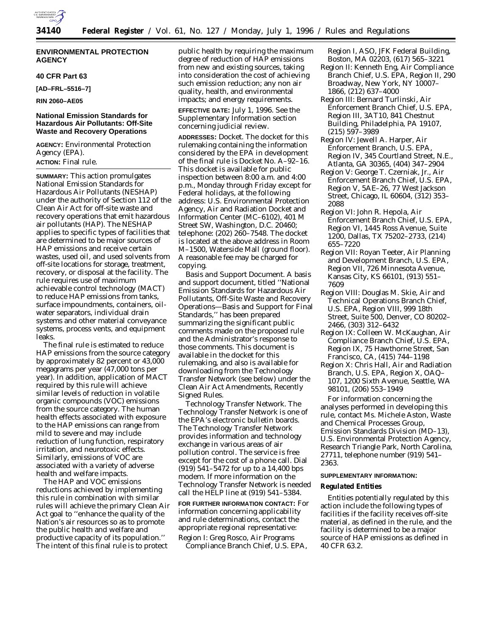

# **ENVIRONMENTAL PROTECTION AGENCY**

## **40 CFR Part 63**

**[AD–FRL–5516–7]**

**RIN 2060–AE05**

# **National Emission Standards for Hazardous Air Pollutants: Off-Site Waste and Recovery Operations**

**AGENCY:** Environmental Protection Agency (EPA).

# **ACTION:** Final rule.

**SUMMARY:** This action promulgates National Emission Standards for Hazardous Air Pollutants (NESHAP) under the authority of Section 112 of the Clean Air Act for off-site waste and recovery operations that emit hazardous air pollutants (HAP). The NESHAP applies to specific types of facilities that are determined to be major sources of HAP emissions and receive certain wastes, used oil, and used solvents from off-site locations for storage, treatment, recovery, or disposal at the facility. The rule requires use of maximum achievable control technology (MACT) to reduce HAP emissions from tanks, surface impoundments, containers, oilwater separators, individual drain systems and other material conveyance systems, process vents, and equipment leaks.

The final rule is estimated to reduce HAP emissions from the source category by approximately 82 percent or 43,000 megagrams per year (47,000 tons per year). In addition, application of MACT required by this rule will achieve similar levels of reduction in volatile organic compounds (VOC) emissions from the source category. The human health effects associated with exposure to the HAP emissions can range from mild to severe and may include reduction of lung function, respiratory irritation, and neurotoxic effects. Similarly, emissions of VOC are associated with a variety of adverse health and welfare impacts.

The HAP and VOC emissions reductions achieved by implementing this rule in combination with similar rules will achieve the primary Clean Air Act goal to ''enhance the quality of the Nation's air resources so as to promote the public health and welfare and productive capacity of its population.'' The intent of this final rule is to protect

public health by requiring the maximum degree of reduction of HAP emissions from new and existing sources, taking into consideration the cost of achieving such emission reduction; any non air quality, health, and environmental impacts; and energy requirements.

**EFFECTIVE DATE:** July 1, 1996. See the Supplementary Information section concerning judicial review.

**ADDRESSES:** *Docket.* The docket for this rulemaking containing the information considered by the EPA in development of the final rule is Docket No. A–92–16. This docket is available for public inspection between 8:00 a.m. and 4:00 p.m., Monday through Friday except for Federal holidays, at the following address: U.S. Environmental Protection Agency, Air and Radiation Docket and Information Center (MC–6102), 401 M Street SW, Washington, D.C. 20460; telephone: (202) 260–7548. The docket is located at the above address in Room M–1500, Waterside Mall (ground floor). A reasonable fee may be charged for copying.

*Basis and Support Document.* A basis and support document, titled ''National Emission Standards for Hazardous Air Pollutants, Off-Site Waste and Recovery Operations—Basis and Support for Final Standards,'' has been prepared summarizing the significant public comments made on the proposed rule and the Administrator's response to those comments. This document is available in the docket for this rulemaking, and also is available for downloading from the Technology Transfer Network (see below) under the Clean Air Act Amendments, Recently Signed Rules.

*Technology Transfer Network.* The Technology Transfer Network is one of the EPA's electronic bulletin boards. The Technology Transfer Network provides information and technology exchange in various areas of air pollution control. The service is free except for the cost of a phone call. Dial (919) 541–5472 for up to a 14,400 bps modem. If more information on the Technology Transfer Network is needed call the HELP line at (919) 541–5384.

**FOR FURTHER INFORMATION CONTACT:** For information concerning applicability and rule determinations, contact the appropriate regional representative:

Region I: Greg Rosco, Air Programs Compliance Branch Chief, U.S. EPA, Region I, ASO, JFK Federal Building, Boston, MA 02203, (617) 565–3221

- Region II: Kenneth Eng, Air Compliance Branch Chief, U.S. EPA, Region II, 290 Broadway, New York, NY 10007– 1866, (212) 637–4000
- Region III: Bernard Turlinski, Air Enforcement Branch Chief, U.S. EPA, Region III, 3AT10, 841 Chestnut Building, Philadelphia, PA 19107, (215) 597–3989
- Region IV: Jewell A. Harper, Air Enforcement Branch, U.S. EPA, Region IV, 345 Courtland Street, N.E., Atlanta, GA 30365, (404) 347–2904
- Region V: George T. Czerniak, Jr., Air Enforcement Branch Chief, U.S. EPA, Region V, 5AE–26, 77 West Jackson Street, Chicago, IL 60604, (312) 353– 2088
- Region VI: John R. Hepola, Air Enforcement Branch Chief, U.S. EPA, Region VI, 1445 Ross Avenue, Suite 1200, Dallas, TX 75202–2733, (214) 655–7220
- Region VII: Royan Teeter, Air Planning and Development Branch, U.S. EPA, Region VII, 726 Minnesota Avenue, Kansas City, KS 66101, (913) 551– 7609
- Region VIII: Douglas M. Skie, Air and Technical Operations Branch Chief, U.S. EPA, Region VIII, 999 18th Street, Suite 500, Denver, CO 80202– 2466, (303) 312–6432
- Region IX: Colleen W. McKaughan, Air Compliance Branch Chief, U.S. EPA, Region IX, 75 Hawthorne Street, San Francisco, CA, (415) 744–1198
- Region X: Chris Hall, Air and Radiation Branch, U.S. EPA, Region X, OAQ– 107, 1200 Sixth Avenue, Seattle, WA 98101, (206) 553–1949

For information concerning the analyses performed in developing this rule, contact Ms. Michele Aston, Waste and Chemical Processes Group, Emission Standards Division (MD–13), U.S. Environmental Protection Agency, Research Triangle Park, North Carolina, 27711, telephone number (919) 541– 2363.

# **SUPPLEMENTARY INFORMATION:**

## **Regulated Entities**

Entities potentially regulated by this action include the following types of facilities if the facility receives off-site material, as defined in the rule, and the facility is determined to be a major source of HAP emissions as defined in 40 CFR 63.2.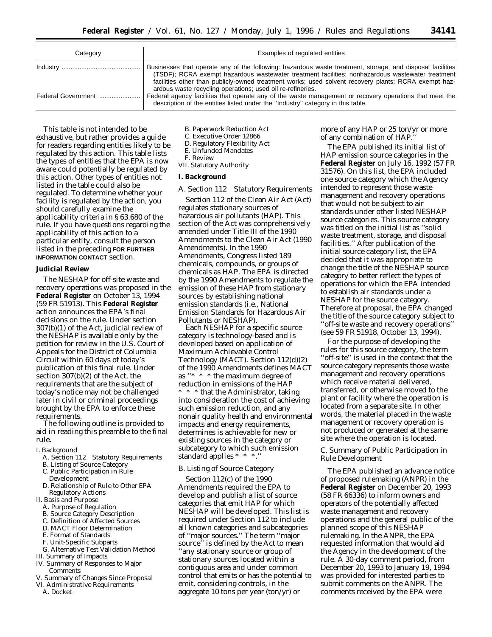| Category           | Examples of regulated entities                                                                                                                                                                                                                                                                                        |
|--------------------|-----------------------------------------------------------------------------------------------------------------------------------------------------------------------------------------------------------------------------------------------------------------------------------------------------------------------|
|                    | Businesses that operate any of the following: hazardous waste treatment, storage, and disposal facilities<br>(TSDF); RCRA exempt hazardous wastewater treatment facilities; nonhazardous wastewater treatment<br>facilities other than publicly-owned treatment works; used solvent recovery plants; RCRA exempt haz- |
| Federal Government | ardous waste recycling operations; used oil re-refineries.<br>Federal agency facilities that operate any of the waste management or recovery operations that meet the<br>description of the entities listed under the "Industry" category in this table.                                                              |

This table is not intended to be exhaustive, but rather provides a guide for readers regarding entities likely to be regulated by this action. This table lists the types of entities that the EPA is now aware could potentially be regulated by this action. Other types of entities not listed in the table could also be regulated. To determine whether your facility is regulated by the action, you should carefully examine the applicability criteria in § 63.680 of the rule. If you have questions regarding the applicability of this action to a particular entity, consult the person listed in the preceding **FOR FURTHER INFORMATION CONTACT** section.

## **Judicial Review**

The NESHAP for off-site waste and recovery operations was proposed in the **Federal Register** on October 13, 1994 (59 FR 51913). This **Federal Register** action announces the EPA's final decisions on the rule. Under section 307(b)(1) of the Act, judicial review of the NESHAP is available only by the petition for review in the U.S. Court of Appeals for the District of Columbia Circuit within 60 days of today's publication of this final rule. Under section 307(b)(2) of the Act, the requirements that are the subject of today's notice may not be challenged later in civil or criminal proceedings brought by the EPA to enforce these requirements.

The following outline is provided to aid in reading this preamble to the final rule.

- I. Background
	- A. Section 112 Statutory Requirements
	- B. Listing of Source Category
	- C. Public Participation in Rule Development
	- D. Relationship of Rule to Other EPA
	- Regulatory Actions
- II. Basis and Purpose
	- A. Purpose of Regulation
	- B. Source Category Description
	- C. Definition of Affected Sources
	- D. MACT Floor Determination
	- E. Format of Standards
- F. Unit-Specific Subparts
- G. Alternative Test Validation Method
- III. Summary of Impacts
- IV. Summary of Responses to Major Comments
- V. Summary of Changes Since Proposal
- VI. Administrative Requirements A. Docket
- B. Paperwork Reduction Act
- C. Executive Order 12866
- D. Regulatory Flexibility Act
- E. Unfunded Mandates
- F. Review
- VII. Statutory Authority

# **I. Background**

*A. Section 112 Statutory Requirements*

Section 112 of the Clean Air Act (Act) regulates stationary sources of hazardous air pollutants (HAP). This section of the Act was comprehensively amended under Title III of the 1990 Amendments to the Clean Air Act (1990 Amendments). In the 1990 Amendments, Congress listed 189 chemicals, compounds, or groups of chemicals as HAP. The EPA is directed by the 1990 Amendments to regulate the emission of these HAP from stationary sources by establishing national emission standards (i.e., National Emission Standards for Hazardous Air Pollutants or NESHAP).

Each NESHAP for a specific source category is technology-based and is developed based on application of Maximum Achievable Control Technology (MACT). Section 112(d)(2) of the 1990 Amendments defines MACT as ''\* \* \* the maximum degree of reduction in emissions of the HAP \* \* \* that the Administrator, taking into consideration the cost of achieving such emission reduction, and any nonair quality health and environmental impacts and energy requirements, determines is achievable for new or existing sources in the category or subcategory to which such emission standard applies \* \* \*.

# *B. Listing of Source Category*

Section 112(c) of the 1990 Amendments required the EPA to develop and publish a list of source categories that emit HAP for which NESHAP will be developed. This list is required under Section 112 to include all known categories and subcategories of ''major sources.'' The term ''major source'' is defined by the Act to mean ''any stationary source or group of stationary sources located within a contiguous area and under common control that emits or has the potential to emit, considering controls, in the aggregate 10 tons per year (ton/yr) or

more of any HAP or 25 ton/yr or more of any combination of HAP.''

The EPA published its initial list of HAP emission source categories in the **Federal Register** on July 16, 1992 (57 FR 31576). On this list, the EPA included one source category which the Agency intended to represent those waste management and recovery operations that would not be subject to air standards under other listed NESHAP source categories. This source category was titled on the initial list as ''solid waste treatment, storage, and disposal facilities.'' After publication of the initial source category list, the EPA decided that it was appropriate to change the title of the NESHAP source category to better reflect the types of operations for which the EPA intended to establish air standards under a NESHAP for the source category. Therefore at proposal, the EPA changed the title of the source category subject to ''off-site waste and recovery operations'' (see 59 FR 51918, October 13, 1994).

For the purpose of developing the rules for this source category, the term ''off-site'' is used in the context that the source category represents those waste management and recovery operations which receive material delivered, transferred, or otherwise moved to the plant or facility where the operation is located from a separate site. In other words, the material placed in the waste management or recovery operation is not produced or generated at the same site where the operation is located.

# *C. Summary of Public Participation in Rule Development*

The EPA published an advance notice of proposed rulemaking (ANPR) in the **Federal Register** on December 20, 1993 (58 FR 66336) to inform owners and operators of the potentially affected waste management and recovery operations and the general public of the planned scope of this NESHAP rulemaking. In the ANPR, the EPA requested information that would aid the Agency in the development of the rule. A 30-day comment period, from December 20, 1993 to January 19, 1994 was provided for interested parties to submit comments on the ANPR. The comments received by the EPA were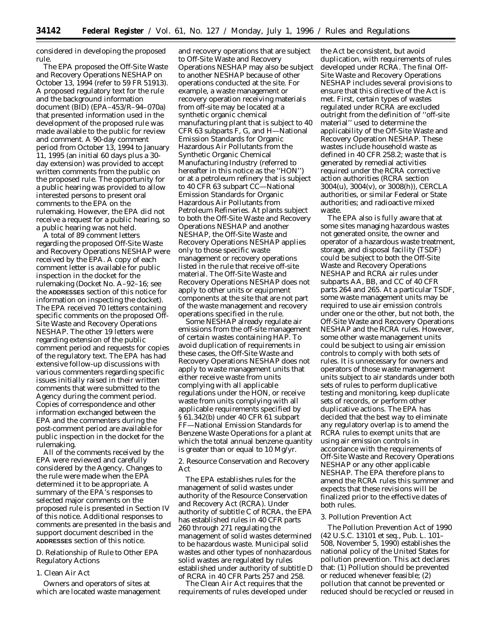considered in developing the proposed rule.

The EPA proposed the Off-Site Waste and Recovery Operations NESHAP on October 13, 1994 (refer to 59 FR 51913). A proposed regulatory text for the rule and the background information document (BID) (EPA–453/R–94–070a) that presented information used in the development of the proposed rule was made available to the public for review and comment. A 90-day comment period from October 13, 1994 to January 11, 1995 (an initial 60 days plus a 30 day extension) was provided to accept written comments from the public on the proposed rule. The opportunity for a public hearing was provided to allow interested persons to present oral comments to the EPA on the rulemaking. However, the EPA did not receive a request for a public hearing, so a public hearing was not held.

A total of 89 comment letters regarding the proposed Off-Site Waste and Recovery Operations NESHAP were received by the EPA. A copy of each comment letter is available for public inspection in the docket for the rulemaking (Docket No. A–92–16; see the **ADDRESSES** section of this notice for information on inspecting the docket). The EPA received 70 letters containing specific comments on the proposed Off-Site Waste and Recovery Operations NESHAP. The other 19 letters were regarding extension of the public comment period and requests for copies of the regulatory text. The EPA has had extensive follow-up discussions with various commenters regarding specific issues initially raised in their written comments that were submitted to the Agency during the comment period. Copies of correspondence and other information exchanged between the EPA and the commenters during the post-comment period are available for public inspection in the docket for the rulemaking.

All of the comments received by the EPA were reviewed and carefully considered by the Agency. Changes to the rule were made when the EPA determined it to be appropriate. A summary of the EPA's responses to selected major comments on the proposed rule is presented in Section IV of this notice. Additional responses to comments are presented in the basis and support document described in the **ADDRESSES** section of this notice.

# *D. Relationship of Rule to Other EPA Regulatory Actions*

# 1. Clean Air Act

Owners and operators of sites at which are located waste management

and recovery operations that are subject to Off-Site Waste and Recovery Operations NESHAP may also be subject to another NESHAP because of other operations conducted at the site. For example, a waste management or recovery operation receiving materials from off-site may be located at a synthetic organic chemical manufacturing plant that is subject to 40 CFR 63 subparts F, G, and H—National Emission Standards for Organic Hazardous Air Pollutants from the Synthetic Organic Chemical Manufacturing Industry (referred to hereafter in this notice as the ''HON'') or at a petroleum refinery that is subject to 40 CFR 63 subpart CC—National Emission Standards for Organic Hazardous Air Pollutants from Petroleum Refineries. At plants subject to both the Off-Site Waste and Recovery Operations NESHAP and another NESHAP, the Off-Site Waste and Recovery Operations NESHAP applies only to those specific waste management or recovery operations listed in the rule that receive off-site material. The Off-Site Waste and Recovery Operations NESHAP does not apply to other units or equipment components at the site that are not part of the waste management and recovery operations specified in the rule.

Some NESHAP already regulate air emissions from the off-site management of certain wastes containing HAP. To avoid duplication of requirements in these cases, the Off-Site Waste and Recovery Operations NESHAP does not apply to waste management units that either receive waste from units complying with all applicable regulations under the HON, or receive waste from units complying with all applicable requirements specified by § 61.342(b) under 40 CFR 61 subpart FF—National Emission Standards for Benzene Waste Operations for a plant at which the total annual benzene quantity is greater than or equal to 10 Mg/yr.

2. Resource Conservation and Recovery Act

The EPA establishes rules for the management of solid wastes under authority of the Resource Conservation and Recovery Act (RCRA). Under authority of subtitle C of RCRA, the EPA has established rules in 40 CFR parts 260 through 271 regulating the management of solid wastes determined to be hazardous waste. Municipal solid wastes and other types of nonhazardous solid wastes are regulated by rules established under authority of subtitle D of RCRA in 40 CFR Parts 257 and 258.

The Clean Air Act requires that the requirements of rules developed under the Act be consistent, but avoid duplication, with requirements of rules developed under RCRA. The final Off-Site Waste and Recovery Operations NESHAP includes several provisions to ensure that this directive of the Act is met. First, certain types of wastes regulated under RCRA are excluded outright from the definition of ''off-site material'' used to determine the applicability of the Off-Site Waste and Recovery Operation NESHAP. These wastes include household waste as defined in 40 CFR 258.2; waste that is generated by remedial activities required under the RCRA corrective action authorities (RCRA section 3004(u), 3004(v), or 3008(h)), CERCLA authorities, or similar Federal or State authorities; and radioactive mixed waste.

The EPA also is fully aware that at some sites managing hazardous wastes not generated onsite, the owner and operator of a hazardous waste treatment, storage, and disposal facility (TSDF) could be subject to both the Off-Site Waste and Recovery Operations NESHAP and RCRA air rules under subparts AA, BB, and CC of 40 CFR parts 264 and 265. At a particular TSDF, some waste management units may be required to use air emission controls under one or the other, but not both, the Off-Site Waste and Recovery Operations NESHAP and the RCRA rules. However, some other waste management units could be subject to using air emission controls to comply with both sets of rules. It is unnecessary for owners and operators of those waste management units subject to air standards under both sets of rules to perform duplicative testing and monitoring, keep duplicate sets of records, or perform other duplicative actions. The EPA has decided that the best way to eliminate any regulatory overlap is to amend the RCRA rules to exempt units that are using air emission controls in accordance with the requirements of Off-Site Waste and Recovery Operations NESHAP or any other applicable NESHAP. The EPA therefore plans to amend the RCRA rules this summer and expects that these revisions will be finalized prior to the effective dates of both rules.

# 3. Pollution Prevention Act

The Pollution Prevention Act of 1990 (42 U.S.C. 13101 et seq., Pub. L. 101– 508, November 5, 1990) establishes the national policy of the United States for pollution prevention. This act declares that: (1) Pollution should be prevented or reduced whenever feasible; (2) pollution that cannot be prevented or reduced should be recycled or reused in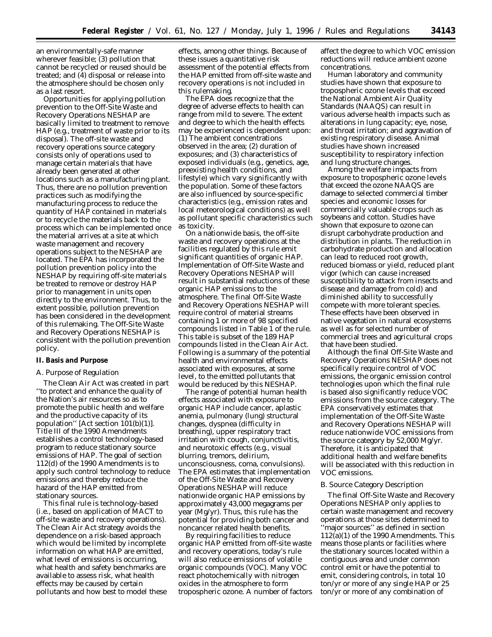an environmentally-safe manner wherever feasible; (3) pollution that cannot be recycled or reused should be treated; and (4) disposal or release into the atmosphere should be chosen only as a last resort.

Opportunities for applying pollution prevention to the Off-Site Waste and Recovery Operations NESHAP are basically limited to treatment to remove HAP (e.g., treatment of waste prior to its disposal). The off-site waste and recovery operations source category consists only of operations used to manage certain materials that have already been generated at other locations such as a manufacturing plant. Thus, there are no pollution prevention practices such as modifying the manufacturing process to reduce the quantity of HAP contained in materials or to recycle the materials back to the process which can be implemented once the material arrives at a site at which waste management and recovery operations subject to the NESHAP are located. The EPA has incorporated the pollution prevention policy into the NESHAP by requiring off-site materials be treated to remove or destroy HAP prior to management in units open directly to the environment. Thus, to the extent possible, pollution prevention has been considered in the development of this rulemaking. The Off-Site Waste and Recovery Operations NESHAP is consistent with the pollution prevention policy.

## **II. Basis and Purpose**

## *A. Purpose of Regulation*

The Clean Air Act was created in part ''to protect and enhance the quality of the Nation's air resources so as to promote the public health and welfare and the productive capacity of its population'' [Act section 101(b)(1)]. Title III of the 1990 Amendments establishes a control technology-based program to reduce stationary source emissions of HAP. The goal of section 112(d) of the 1990 Amendments is to apply such control technology to reduce emissions and thereby reduce the hazard of the HAP emitted from stationary sources.

This final rule is technology-based (i.e., based on application of MACT to off-site waste and recovery operations). The Clean Air Act strategy avoids the dependence on a risk-based approach which would be limited by incomplete information on what HAP are emitted, what level of emissions is occurring, what health and safety benchmarks are available to assess risk, what health effects may be caused by certain pollutants and how best to model these

effects, among other things. Because of these issues a quantitative risk assessment of the potential effects from the HAP emitted from off-site waste and recovery operations is not included in this rulemaking.

The EPA does recognize that the degree of adverse effects to health can range from mild to severe. The extent and degree to which the health effects may be experienced is dependent upon: (1) The ambient concentrations observed in the area; (2) duration of exposures; and (3) characteristics of exposed individuals (e.g., genetics, age, preexisting health conditions, and lifestyle) which vary significantly with the population. Some of these factors are also influenced by source-specific characteristics (e.g., emission rates and local meteorological conditions) as well as pollutant specific characteristics such as toxicity.

On a nationwide basis, the off-site waste and recovery operations at the facilities regulated by this rule emit significant quantities of organic HAP. Implementation of Off-Site Waste and Recovery Operations NESHAP will result in substantial reductions of these organic HAP emissions to the atmosphere. The final Off-Site Waste and Recovery Operations NESHAP will require control of material streams containing 1 or more of 98 specified compounds listed in Table  $\overline{1}$  of the rule. This table is subset of the 189 HAP compounds listed in the Clean Air Act. Following is a summary of the potential health and environmental effects associated with exposures, at some level, to the emitted pollutants that would be reduced by this NESHAP.

The range of potential human health effects associated with exposure to organic HAP include cancer, aplastic anemia, pulmonary (lung) structural changes, dyspnea (difficulty in breathing), upper respiratory tract irritation with cough, conjunctivitis, and neurotoxic effects (e.g., visual blurring, tremors, delirium, unconsciousness, coma, convulsions). The EPA estimates that implementation of the Off-Site Waste and Recovery Operations NESHAP will reduce nationwide organic HAP emissions by approximately 43,000 megagrams per year (Mg/yr). Thus, this rule has the potential for providing both cancer and noncancer related health benefits.

By requiring facilities to reduce organic HAP emitted from off-site waste and recovery operations, today's rule will also reduce emissions of volatile organic compounds (VOC). Many VOC react photochemically with nitrogen oxides in the atmosphere to form tropospheric ozone. A number of factors affect the degree to which VOC emission reductions will reduce ambient ozone concentrations.

Human laboratory and community studies have shown that exposure to tropospheric ozone levels that exceed the National Ambient Air Quality Standards (NAAQS) can result in various adverse health impacts such as alterations in lung capacity; eye, nose, and throat irritation; and aggravation of existing respiratory disease. Animal studies have shown increased susceptibility to respiratory infection and lung structure changes.

Among the welfare impacts from exposure to tropospheric ozone levels that exceed the ozone NAAQS are damage to selected commercial timber species and economic losses for commercially valuable crops such as soybeans and cotton. Studies have shown that exposure to ozone can disrupt carbohydrate production and distribution in plants. The reduction in carbohydrate production and allocation can lead to reduced root growth, reduced biomass or yield, reduced plant vigor (which can cause increased susceptibility to attack from insects and disease and damage from cold) and diminished ability to successfully compete with more tolerant species. These effects have been observed in native vegetation in natural ecosystems as well as for selected number of commercial trees and agricultural crops that have been studied.

Although the final Off-Site Waste and Recovery Operations NESHAP does not specifically require control of VOC emissions, the organic emission control technologies upon which the final rule is based also significantly reduce VOC emissions from the source category. The EPA conservatively estimates that implementation of the Off-Site Waste and Recovery Operations NESHAP will reduce nationwide VOC emissions from the source category by 52,000 Mg/yr. Therefore, it is anticipated that additional health and welfare benefits will be associated with this reduction in VOC emissions.

## *B. Source Category Description*

The final Off-Site Waste and Recovery Operations NESHAP only applies to certain waste management and recovery operations at those sites determined to ''major sources'' as defined in section  $112(a)(1)$  of the 1990 Amendments. This means those plants or facilities where the stationary sources located within a contiguous area and under common control emit or have the potential to emit, considering controls, in total 10 ton/yr or more of any single HAP or 25 ton/yr or more of any combination of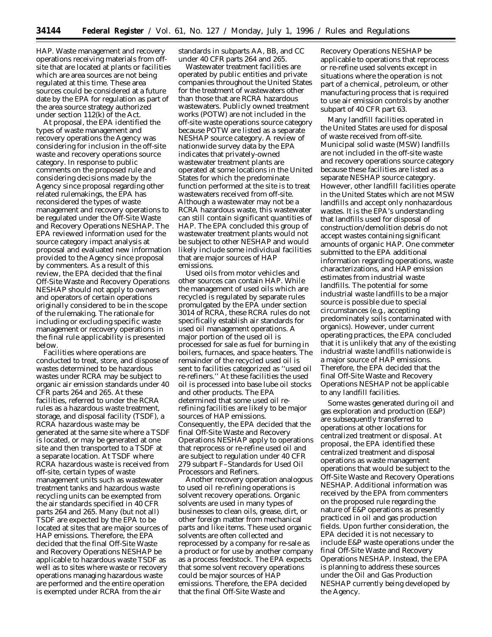HAP. Waste management and recovery operations receiving materials from offsite that are located at plants or facilities which are area sources are not being regulated at this time. These area sources could be considered at a future date by the EPA for regulation as part of the area source strategy authorized under section 112(k) of the Act.

At proposal, the EPA identified the types of waste management and recovery operations the Agency was considering for inclusion in the off-site waste and recovery operations source category. In response to public comments on the proposed rule and considering decisions made by the Agency since proposal regarding other related rulemakings, the EPA has reconsidered the types of waste management and recovery operations to be regulated under the Off-Site Waste and Recovery Operations NESHAP. The EPA reviewed information used for the source category impact analysis at proposal and evaluated new information provided to the Agency since proposal by commenters. As a result of this review, the EPA decided that the final Off-Site Waste and Recovery Operations NESHAP should not apply to owners and operators of certain operations originally considered to be in the scope of the rulemaking. The rationale for including or excluding specific waste management or recovery operations in the final rule applicability is presented below.

Facilities where operations are conducted to treat, store, and dispose of wastes determined to be hazardous wastes under RCRA may be subject to organic air emission standards under 40 CFR parts 264 and 265. At these facilities, referred to under the RCRA rules as a hazardous waste treatment, storage, and disposal facility (TSDF), a RCRA hazardous waste may be generated at the same site where a TSDF is located, or may be generated at one site and then transported to a TSDF at a separate location. At TSDF where RCRA hazardous waste is received from off-site, certain types of waste management units such as wastewater treatment tanks and hazardous waste recycling units can be exempted from the air standards specified in 40 CFR parts 264 and 265. Many (but not all) TSDF are expected by the EPA to be located at sites that are major sources of HAP emissions. Therefore, the EPA decided that the final Off-Site Waste and Recovery Operations NESHAP be applicable to hazardous waste TSDF as well as to sites where waste or recovery operations managing hazardous waste are performed and the entire operation is exempted under RCRA from the air

standards in subparts AA, BB, and CC under 40 CFR parts 264 and 265.

Wastewater treatment facilities are operated by public entities and private companies throughout the United States for the treatment of wastewaters other than those that are RCRA hazardous wastewaters. Publicly owned treatment works (POTW) are not included in the off-site waste operations source category because POTW are listed as a separate NESHAP source category. A review of nationwide survey data by the EPA indicates that privately-owned wastewater treatment plants are operated at some locations in the United States for which the predominate function performed at the site is to treat wastewaters received from off-site. Although a wastewater may not be a RCRA hazardous waste, this wastewater can still contain significant quantities of HAP. The EPA concluded this group of wastewater treatment plants would not be subject to other NESHAP and would likely include some individual facilities that are major sources of HAP emissions.

Used oils from motor vehicles and other sources can contain HAP. While the management of used oils which are recycled is regulated by separate rules promulgated by the EPA under section 3014 of RCRA, these RCRA rules do not specifically establish air standards for used oil management operations. A major portion of the used oil is processed for sale as fuel for burning in boilers, furnaces, and space heaters. The remainder of the recycled used oil is sent to facilities categorized as ''used oil re-refiners.'' At these facilities the used oil is processed into base lube oil stocks and other products. The EPA determined that some used oil rerefining facilities are likely to be major sources of HAP emissions. Consequently, the EPA decided that the final Off-Site Waste and Recovery Operations NESHAP apply to operations that reprocess or re-refine used oil and are subject to regulation under 40 CFR 279 subpart F–Standards for Used Oil Processors and Refiners.

Another recovery operation analogous to used oil re-refining operations is solvent recovery operations. Organic solvents are used in many types of businesses to clean oils, grease, dirt, or other foreign matter from mechanical parts and like items. These used organic solvents are often collected and reprocessed by a company for re-sale as a product or for use by another company as a process feedstock. The EPA expects that some solvent recovery operations could be major sources of HAP emissions. Therefore, the EPA decided that the final Off-Site Waste and

Recovery Operations NESHAP be applicable to operations that reprocess or re-refine used solvents except in situations where the operation is not part of a chemical, petroleum, or other manufacturing process that is required to use air emission controls by another subpart of 40 CFR part 63.

Many landfill facilities operated in the United States are used for disposal of waste received from off-site. Municipal solid waste (MSW) landfills are not included in the off-site waste and recovery operations source category because these facilities are listed as a separate NESHAP source category. However, other landfill facilities operate in the United States which are not MSW landfills and accept only nonhazardous wastes. It is the EPA's understanding that landfills used for disposal of construction/demolition debris do not accept wastes containing significant amounts of organic HAP. One commeter submitted to the EPA additional information regarding operations, waste characterizations, and HAP emission estimates from industrial waste landfills. The potential for some industrial waste landfills to be a major source is possible due to special circumstances (e.g., accepting predominately soils contaminated with organics). However, under current operating practices, the EPA concluded that it is unlikely that any of the existing industrial waste landfills nationwide is a major source of HAP emissions. Therefore, the EPA decided that the final Off-Site Waste and Recovery Operations NESHAP not be applicable to any landfill facilities.

Some wastes generated during oil and gas exploration and production (E&P) are subsequently transferred to operations at other locations for centralized treatment or disposal. At proposal, the EPA identified these centralized treatment and disposal operations as waste management operations that would be subject to the Off-Site Waste and Recovery Operations NESHAP. Additional information was received by the EPA from commenters on the proposed rule regarding the nature of E&P operations as presently practiced in oil and gas production fields. Upon further consideration, the EPA decided it is not necessary to include E&P waste operations under the final Off-Site Waste and Recovery Operations NESHAP. Instead, the EPA is planning to address these sources under the Oil and Gas Production NESHAP currently being developed by the Agency.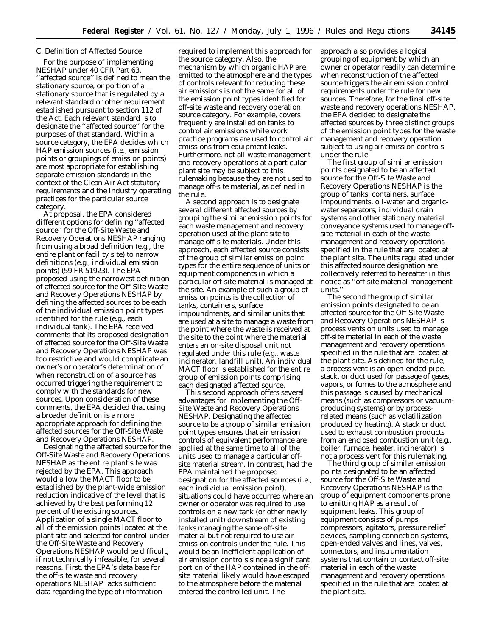# *C. Definition of Affected Source*

For the purpose of implementing NESHAP under 40 CFR Part 63, ''affected source'' is defined to mean the stationary source, or portion of a stationary source that is regulated by a relevant standard or other requirement established pursuant to section 112 of the Act. Each relevant standard is to designate the ''affected source'' for the purposes of that standard. Within a source category, the EPA decides which HAP emission sources (i.e., emission points or groupings of emission points) are most appropriate for establishing separate emission standards in the context of the Clean Air Act statutory requirements and the industry operating practices for the particular source category.

At proposal, the EPA considered different options for defining ''affected source'' for the Off-Site Waste and Recovery Operations NESHAP ranging from using a broad definition (e.g., the entire plant or facility site) to narrow definitions (e.g., individual emission points) (59 FR 51923). The EPA proposed using the narrowest definition of affected source for the Off-Site Waste and Recovery Operations NESHAP by defining the affected sources to be each of the individual emission point types identified for the rule (e.g., each individual tank). The EPA received comments that its proposed designation of affected source for the Off-Site Waste and Recovery Operations NESHAP was too restrictive and would complicate an owner's or operator's determination of when reconstruction of a source has occurred triggering the requirement to comply with the standards for new sources. Upon consideration of these comments, the EPA decided that using a broader definition is a more appropriate approach for defining the affected sources for the Off-Site Waste and Recovery Operations NESHAP.

Designating the affected source for the Off-Site Waste and Recovery Operations NESHAP as the entire plant site was rejected by the EPA. This approach would allow the MACT floor to be established by the plant-wide emission reduction indicative of the level that is achieved by the best performing 12 percent of the existing sources. Application of a single MACT floor to all of the emission points located at the plant site and selected for control under the Off-Site Waste and Recovery Operations NESHAP would be difficult, if not technically infeasible, for several reasons. First, the EPA's data base for the off-site waste and recovery operations NESHAP lacks sufficient data regarding the type of information

required to implement this approach for the source category. Also, the mechanism by which organic HAP are emitted to the atmosphere and the types of controls relevant for reducing these air emissions is not the same for all of the emission point types identified for off-site waste and recovery operation source category. For example, covers frequently are installed on tanks to control air emissions while work practice programs are used to control air emissions from equipment leaks. Furthermore, not all waste management and recovery operations at a particular plant site may be subject to this rulemaking because they are not used to manage off-site material, as defined in the rule.

A second approach is to designate several different affected sources by grouping the similar emission points for each waste management and recovery operation used at the plant site to manage off-site materials. Under this approach, each affected source consists of the group of similar emission point types for the entire sequence of units or equipment components in which a particular off-site material is managed at the site. An example of such a group of emission points is the collection of tanks, containers, surface impoundments, and similar units that are used at a site to manage a waste from the point where the waste is received at the site to the point where the material enters an on-site disposal unit not regulated under this rule (e.g., waste incinerator, landfill unit). An individual MACT floor is established for the entire group of emission points comprising each designated affected source.

This second approach offers several advantages for implementing the Off-Site Waste and Recovery Operations NESHAP. Designating the affected source to be a group of similar emission point types ensures that air emission controls of equivalent performance are applied at the same time to all of the units used to manage a particular offsite material stream. In contrast, had the EPA maintained the proposed designation for the affected sources (i.e., each individual emission point), situations could have occurred where an owner or operator was required to use controls on a new tank (or other newly installed unit) downstream of existing tanks managing the same off-site material but not required to use air emission controls under the rule. This would be an inefficient application of air emission controls since a significant portion of the HAP contained in the offsite material likely would have escaped to the atmosphere before the material entered the controlled unit. The

approach also provides a logical grouping of equipment by which an owner or operator readily can determine when reconstruction of the affected source triggers the air emission control requirements under the rule for new sources. Therefore, for the final off-site waste and recovery operations NESHAP, the EPA decided to designate the affected sources by three distinct groups of the emission point types for the waste management and recovery operation subject to using air emission controls under the rule.

The first group of similar emission points designated to be an affected source for the Off-Site Waste and Recovery Operations NESHAP is the group of tanks, containers, surface impoundments, oil-water and organicwater separators, individual drain systems and other stationary material conveyance systems used to manage offsite material in each of the waste management and recovery operations specified in the rule that are located at the plant site. The units regulated under this affected source designation are collectively referred to hereafter in this notice as ''off-site material management units.''

The second the group of similar emission points designated to be an affected source for the Off-Site Waste and Recovery Operations NESHAP is process vents on units used to manage off-site material in each of the waste management and recovery operations specified in the rule that are located at the plant site. As defined for the rule, a process vent is an open-ended pipe, stack, or duct used for passage of gases, vapors, or fumes to the atmosphere and this passage is caused by mechanical means (such as compressors or vacuumproducing systems) or by processrelated means (such as volatilization produced by heating). A stack or duct used to exhaust combustion products from an enclosed combustion unit (e.g., boiler, furnace, heater, incinerator) is not a process vent for this rulemaking.

The third group of similar emission points designated to be an affected source for the Off-Site Waste and Recovery Operations NESHAP is the group of equipment components prone to emitting HAP as a result of equipment leaks. This group of equipment consists of pumps, compressors, agitators, pressure relief devices, sampling connection systems, open-ended valves and lines, valves, connectors, and instrumentation systems that contain or contact off-site material in each of the waste management and recovery operations specified in the rule that are located at the plant site.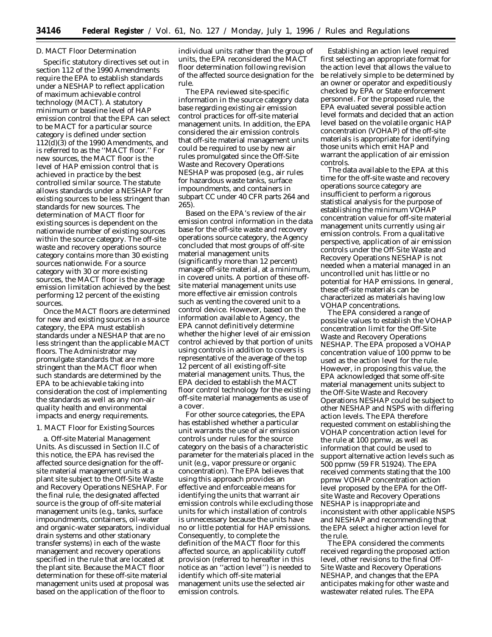## *D. MACT Floor Determination*

Specific statutory directives set out in section 112 of the 1990 Amendments require the EPA to establish standards under a NESHAP to reflect application of maximum achievable control technology (MACT). A statutory minimum or baseline level of HAP emission control that the EPA can select to be MACT for a particular source category is defined under section 112(d)(3) of the 1990 Amendments, and is referred to as the ''MACT floor.'' For new sources, the MACT floor is the level of HAP emission control that is achieved in practice by the best controlled similar source. The statute allows standards under a NESHAP for existing sources to be less stringent than standards for new sources. The determination of MACT floor for existing sources is dependent on the nationwide number of existing sources within the source category. The off-site waste and recovery operations source category contains more than 30 existing sources nationwide. For a source category with 30 or more existing sources, the MACT floor is the average emission limitation achieved by the best performing 12 percent of the existing sources.

Once the MACT floors are determined for new and existing sources in a source category, the EPA must establish standards under a NESHAP that are no less stringent than the applicable MACT floors. The Administrator may promulgate standards that are more stringent than the MACT floor when such standards are determined by the EPA to be achievable taking into consideration the cost of implementing the standards as well as any non-air quality health and environmental impacts and energy requirements.

## 1. MACT Floor for Existing Sources

a. *Off-site Material Management Units*. As discussed in Section II.C of this notice, the EPA has revised the affected source designation for the offsite material management units at a plant site subject to the Off-Site Waste and Recovery Operations NESHAP. For the final rule, the designated affected source is the group of off-site material management units (e.g., tanks, surface impoundments, containers, oil-water and organic-water separators, individual drain systems and other stationary transfer systems) in each of the waste management and recovery operations specified in the rule that are located at the plant site. Because the MACT floor determination for these off-site material management units used at proposal was based on the application of the floor to

individual units rather than the group of units, the EPA reconsidered the MACT floor determination following revision of the affected source designation for the rule.

The EPA reviewed site-specific information in the source category data base regarding existing air emission control practices for off-site material management units. In addition, the EPA considered the air emission controls that off-site material management units could be required to use by new air rules promulgated since the Off-Site Waste and Recovery Operations NESHAP was proposed (e.g., air rules for hazardous waste tanks, surface impoundments, and containers in subpart CC under 40 CFR parts 264 and 265).

Based on the EPA's review of the air emission control information in the data base for the off-site waste and recovery operations source category, the Agency concluded that most groups of off-site material management units (significantly more than 12 percent) manage off-site material, at a minimum, in covered units. A portion of these offsite material management units use more effective air emission controls such as venting the covered unit to a control device. However, based on the information available to Agency, the EPA cannot definitively determine whether the higher level of air emission control achieved by that portion of units using controls in addition to covers is representative of the average of the top 12 percent of all existing off-site material management units. Thus, the EPA decided to establish the MACT floor control technology for the existing off-site material managements as use of a cover.

For other source categories, the EPA has established whether a particular unit warrants the use of air emission controls under rules for the source category on the basis of a characteristic parameter for the materials placed in the unit (e.g., vapor pressure or organic concentration). The EPA believes that using this approach provides an effective and enforceable means for identifying the units that warrant air emission controls while excluding those units for which installation of controls is unnecessary because the units have no or little potential for HAP emissions. Consequently, to complete the definition of the MACT floor for this affected source, an applicability cutoff provision (referred to hereafter in this notice as an ''action level'') is needed to identify which off-site material management units use the selected air emission controls.

Establishing an action level required first selecting an appropriate format for the action level that allows the value to be relatively simple to be determined by an owner or operator and expeditiously checked by EPA or State enforcement personnel. For the proposed rule, the EPA evaluated several possible action level formats and decided that an action level based on the volatile organic HAP concentration (VOHAP) of the off-site materials is appropriate for identifying those units which emit HAP and warrant the application of air emission controls.

The data available to the EPA at this time for the off-site waste and recovery operations source category are insufficient to perform a rigorous statistical analysis for the purpose of establishing the minimum VOHAP concentration value for off-site material management units currently using air emission controls. From a qualitative perspective, application of air emission controls under the Off-Site Waste and Recovery Operations NESHAP is not needed when a material managed in an uncontrolled unit has little or no potential for HAP emissions. In general, these off-site materials can be characterized as materials having low VOHAP concentrations.

The EPA considered a range of possible values to establish the VOHAP concentration limit for the Off-Site Waste and Recovery Operations NESHAP. The EPA proposed a VOHAP concentration value of 100 ppmw to be used as the action level for the rule. However, in proposing this value, the EPA acknowledged that some off-site material management units subject to the Off-Site Waste and Recovery Operations NESHAP could be subject to other NESHAP and NSPS with differing action levels. The EPA therefore requested comment on establishing the VOHAP concentration action level for the rule at 100 ppmw, as well as information that could be used to support alternative action levels such as 500 ppmw (59 FR 51924). The EPA received comments stating that the 100 ppmw VOHAP concentration action level proposed by the EPA for the Offsite Waste and Recovery Operations NESHAP is inappropriate and inconsistent with other applicable NSPS and NESHAP and recommending that the EPA select a higher action level for the rule.

The EPA considered the comments received regarding the proposed action level, other revisions to the final Off-Site Waste and Recovery Operations NESHAP, and changes that the EPA anticipates making for other waste and wastewater related rules. The EPA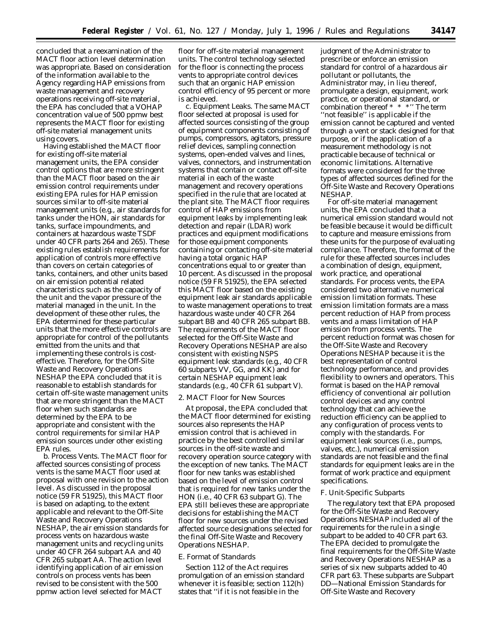concluded that a reexamination of the MACT floor action level determination was appropriate. Based on consideration of the information available to the Agency regarding HAP emissions from waste management and recovery operations receiving off-site material, the EPA has concluded that a VOHAP concentration value of 500 ppmw best represents the MACT floor for existing off-site material management units using covers.

Having established the MACT floor for existing off-site material management units, the EPA consider control options that are more stringent than the MACT floor based on the air emission control requirements under existing EPA rules for HAP emission sources similar to off-site material management units (e.g., air standards for tanks under the HON, air standards for tanks, surface impoundments, and containers at hazardous waste TSDF under 40 CFR parts 264 and 265). These existing rules establish requirements for application of controls more effective than covers on certain categories of tanks, containers, and other units based on air emission potential related characteristics such as the capacity of the unit and the vapor pressure of the material managed in the unit. In the development of these other rules, the EPA determined for these particular units that the more effective controls are appropriate for control of the pollutants emitted from the units and that implementing these controls is costeffective. Therefore, for the Off-Site Waste and Recovery Operations NESHAP the EPA concluded that it is reasonable to establish standards for certain off-site waste management units that are more stringent than the MACT floor when such standards are determined by the EPA to be appropriate and consistent with the control requirements for similar HAP emission sources under other existing EPA rules.

b. *Process Vents*. The MACT floor for affected sources consisting of process vents is the same MACT floor used at proposal with one revision to the action level. As discussed in the proposal notice (59 FR 51925), this MACT floor is based on adapting, to the extent applicable and relevant to the Off-Site Waste and Recovery Operations NESHAP, the air emission standards for process vents on hazardous waste management units and recycling units under 40 CFR 264 subpart AA and 40 CFR 265 subpart AA. The action level identifying application of air emission controls on process vents has been revised to be consistent with the 500 ppmw action level selected for MACT

floor for off-site material management units. The control technology selected for the floor is connecting the process vents to appropriate control devices such that an organic HAP emission control efficiency of 95 percent or more is achieved.

c. *Equipment Leaks.* The same MACT floor selected at proposal is used for affected sources consisting of the group of equipment components consisting of pumps, compressors, agitators, pressure relief devices, sampling connection systems, open-ended valves and lines, valves, connectors, and instrumentation systems that contain or contact off-site material in each of the waste management and recovery operations specified in the rule that are located at the plant site. The MACT floor requires control of HAP emissions from equipment leaks by implementing leak detection and repair (LDAR) work practices and equipment modifications for those equipment components containing or contacting off-site material having a total organic HAP concentrations equal to or greater than 10 percent. As discussed in the proposal notice (59 FR 51925), the EPA selected this MACT floor based on the existing equipment leak air standards applicable to waste management operations to treat hazardous waste under 40 CFR 264 subpart BB and 40 CFR 265 subpart BB. The requirements of the MACT floor selected for the Off-Site Waste and Recovery Operations NESHAP are also consistent with existing NSPS equipment leak standards (e.g., 40 CFR 60 subparts VV, GG, and KK) and for certain NESHAP equipment leak standards (e.g., 40 CFR 61 subpart V).

## 2. MACT Floor for New Sources

At proposal, the EPA concluded that the MACT floor determined for existing sources also represents the HAP emission control that is achieved in practice by the best controlled similar sources in the off-site waste and recovery operation source category with the exception of new tanks. The MACT floor for new tanks was established based on the level of emission control that is required for new tanks under the HON (i.e., 40 CFR 63 subpart G). The EPA still believes these are appropriate decisions for establishing the MACT floor for new sources under the revised affected source designations selected for the final Off-Site Waste and Recovery Operations NESHAP.

## *E. Format of Standards*

Section 112 of the Act requires promulgation of an emission standard whenever it is feasible; section 112(h) states that ''if it is not feasible in the

judgment of the Administrator to prescribe or enforce an emission standard for control of a hazardous air pollutant or pollutants, the Administrator may, in lieu thereof, promulgate a design, equipment, work practice, or operational standard, or combination thereof \* \* \*'' The term ''not feasible'' is applicable if the emission cannot be captured and vented through a vent or stack designed for that purpose, or if the application of a measurement methodology is not practicable because of technical or economic limitations. Alternative formats were considered for the three types of affected sources defined for the Off-Site Waste and Recovery Operations NESHAP.

For off-site material management units, the EPA concluded that a numerical emission standard would not be feasible because it would be difficult to capture and measure emissions from these units for the purpose of evaluating compliance. Therefore, the format of the rule for these affected sources includes a combination of design, equipment, work practice, and operational standards. For process vents, the EPA considered two alternative numerical emission limitation formats. These emission limitation formats are a mass percent reduction of HAP from process vents and a mass limitation of HAP emission from process vents. The percent reduction format was chosen for the Off-Site Waste and Recovery Operations NESHAP because it is the best representation of control technology performance, and provides flexibility to owners and operators. This format is based on the HAP removal efficiency of conventional air pollution control devices and any control technology that can achieve the reduction efficiency can be applied to any configuration of process vents to comply with the standards. For equipment leak sources (i.e., pumps, valves, etc.), numerical emission standards are not feasible and the final standards for equipment leaks are in the format of work practice and equipment specifications.

## *F. Unit-Specific Subparts*

The regulatory text that EPA proposed for the Off-Site Waste and Recovery Operations NESHAP included all of the requirements for the rule in a single subpart to be added to 40 CFR part 63. The EPA decided to promulgate the final requirements for the Off-Site Waste and Recovery Operations NESHAP as a series of six new subparts added to 40 CFR part 63. These subparts are Subpart DD—National Emission Standards for Off-Site Waste and Recovery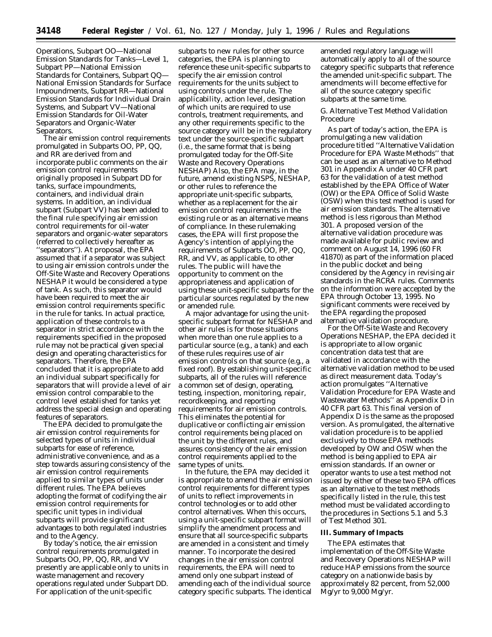Operations, Subpart OO—National Emission Standards for Tanks—Level 1, Subpart PP—National Emission Standards for Containers, Subpart QQ— National Emission Standards for Surface Impoundments, Subpart RR—National Emission Standards for Individual Drain Systems, and Subpart VV—National Emission Standards for Oil-Water Separators and Organic-Water Separators.

The air emission control requirements promulgated in Subparts OO, PP, QQ, and RR are derived from and incorporate public comments on the air emission control requirements originally proposed in Subpart DD for tanks, surface impoundments, containers, and individual drain systems. In addition, an individual subpart (Subpart VV) has been added to the final rule specifying air emission control requirements for oil-water separators and organic-water separators (referred to collectively hereafter as ''separators''). At proposal, the EPA assumed that if a separator was subject to using air emission controls under the Off-Site Waste and Recovery Operations NESHAP it would be considered a type of tank. As such, this separator would have been required to meet the air emission control requirements specific in the rule for tanks. In actual practice, application of these controls to a separator in strict accordance with the requirements specified in the proposed rule may not be practical given special design and operating characteristics for separators. Therefore, the EPA concluded that it is appropriate to add an individual subpart specifically for separators that will provide a level of air emission control comparable to the control level established for tanks yet address the special design and operating features of separators.

The EPA decided to promulgate the air emission control requirements for selected types of units in individual subparts for ease of reference, administrative convenience, and as a step towards assuring consistency of the air emission control requirements applied to similar types of units under different rules. The EPA believes adopting the format of codifying the air emission control requirements for specific unit types in individual subparts will provide significant advantages to both regulated industries and to the Agency.

By today's notice, the air emission control requirements promulgated in Subparts OO, PP, QQ, RR, and VV presently are applicable only to units in waste management and recovery operations regulated under Subpart DD. For application of the unit-specific

subparts to new rules for other source categories, the EPA is planning to reference these unit-specific subparts to specify the air emission control requirements for the units subject to using controls under the rule. The applicability, action level, designation of which units are required to use controls, treatment requirements, and any other requirements specific to the source category will be in the regulatory text under the source-specific subpart (i.e., the same format that is being promulgated today for the Off-Site Waste and Recovery Operations NESHAP) Also, the EPA may, in the future, amend existing NSPS, NESHAP, or other rules to reference the appropriate unit-specific subparts, whether as a replacement for the air emission control requirements in the existing rule or as an alternative means of compliance. In these rulemaking cases, the EPA will first propose the Agency's intention of applying the requirements of Subparts OO, PP, QQ, RR, and VV, as applicable, to other rules. The public will have the opportunity to comment on the appropriateness and application of using these unit-specific subparts for the particular sources regulated by the new or amended rule.

A major advantage for using the unitspecific subpart format for NESHAP and other air rules is for those situations when more than one rule applies to a particular source (e.g., a tank) and each of these rules requires use of air emission controls on that source (e.g., a fixed roof). By establishing unit-specific subparts, all of the rules will reference a common set of design, operating, testing, inspection, monitoring, repair, recordkeeping, and reporting requirements for air emission controls. This eliminates the potential for duplicative or conflicting air emission control requirements being placed on the unit by the different rules, and assures consistency of the air emission control requirements applied to the same types of units.

In the future, the EPA may decided it is appropriate to amend the air emission control requirements for different types of units to reflect improvements in control technologies or to add other control alternatives. When this occurs, using a unit-specific subpart format will simplify the amendment process and ensure that all source-specific subparts are amended in a consistent and timely manner. To incorporate the desired changes in the air emission control requirements, the EPA will need to amend only one subpart instead of amending each of the individual source category specific subparts. The identical

amended regulatory language will automatically apply to all of the source category specific subparts that reference the amended unit-specific subpart. The amendments will become effective for all of the source category specific subparts at the same time.

# *G. Alternative Test Method Validation Procedure*

As part of today's action, the EPA is promulgating a new validation procedure titled ''Alternative Validation Procedure for EPA Waste Methods'' that can be used as an alternative to Method 301 in Appendix A under 40 CFR part 63 for the validation of a test method established by the EPA Office of Water (OW) or the EPA Office of Solid Waste (OSW) when this test method is used for air emission standards. The alternative method is less rigorous than Method 301. A proposed version of the alternative validation procedure was made available for public review and comment on August 14, 1996 (60 FR 41870) as part of the information placed in the public docket and being considered by the Agency in revising air standards in the RCRA rules. Comments on the information were accepted by the EPA through October 13, 1995. No significant comments were received by the EPA regarding the proposed alternative validation procedure.

For the Off-Site Waste and Recovery Operations NESHAP, the EPA decided it is appropriate to allow organic concentration data test that are validated in accordance with the alternative validation method to be used as direct measurement data. Today's action promulgates ''Alternative Validation Procedure for EPA Waste and Wastewater Methods'' as Appendix D in 40 CFR part 63. This final version of Appendix D is the same as the proposed version. As promulgated, the alternative validation procedure is to be applied exclusively to those EPA methods developed by OW and OSW when the method is being applied to EPA air emission standards. If an owner or operator wants to use a test method not issued by either of these two EPA offices as an alternative to the test methods specifically listed in the rule, this test method must be validated according to the procedures in Sections 5.1 and 5.3 of Test Method 301.

## **III. Summary of Impacts**

The EPA estimates that implementation of the Off-Site Waste and Recovery Operations NESHAP will reduce HAP emissions from the source category on a nationwide basis by approximately 82 percent, from 52,000 Mg/yr to 9,000 Mg/yr.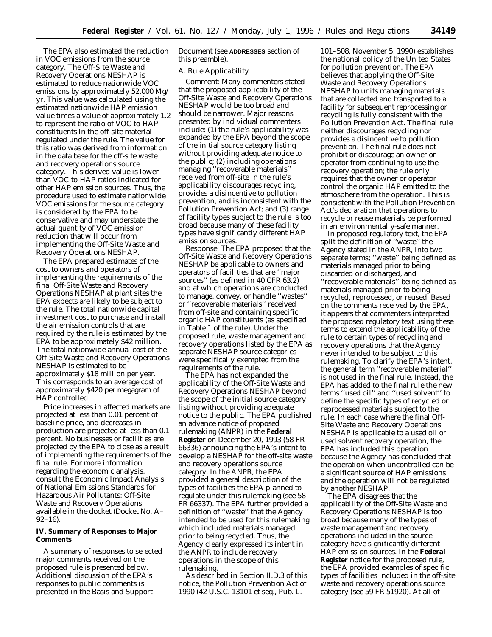The EPA also estimated the reduction in VOC emissions from the source category. The Off-Site Waste and Recovery Operations NESHAP is estimated to reduce nationwide VOC emissions by approximately 52,000 Mg/ yr. This value was calculated using the estimated nationwide HAP emission value times a value of approximately 1.2 to represent the ratio of VOC-to-HAP constituents in the off-site material regulated under the rule. The value for this ratio was derived from information in the data base for the off-site waste and recovery operations source category. This derived value is lower than VOC-to-HAP ratios indicated for other HAP emission sources. Thus, the procedure used to estimate nationwide VOC emissions for the source category is considered by the EPA to be conservative and may understate the actual quantity of VOC emission reduction that will occur from implementing the Off-Site Waste and Recovery Operations NESHAP.

The EPA prepared estimates of the cost to owners and operators of implementing the requirements of the final Off-Site Waste and Recovery Operations NESHAP at plant sites the EPA expects are likely to be subject to the rule. The total nationwide capital investment cost to purchase and install the air emission controls that are required by the rule is estimated by the EPA to be approximately \$42 million. The total nationwide annual cost of the Off-Site Waste and Recovery Operations NESHAP is estimated to be approximately \$18 million per year. This corresponds to an average cost of approximately \$420 per megagram of HAP controlled.

Price increases in affected markets are projected at less than 0.01 percent of baseline price, and decreases in production are projected at less than 0.1 percent. No businesses or facilities are projected by the EPA to close as a result of implementing the requirements of the final rule. For more information regarding the economic analysis, consult the Economic Impact Analysis of National Emissions Standards for Hazardous Air Pollutants: Off-Site Waste and Recovery Operations available in the docket (Docket No. A– 92–16).

# **IV. Summary of Responses to Major Comments**

A summary of responses to selected major comments received on the proposed rule is presented below. Additional discussion of the EPA's responses to public comments is presented in the Basis and Support

Document (see **ADDRESSES** section of this preamble).

## *A. Rule Applicability*

*Comment:* Many commenters stated that the proposed applicability of the Off-Site Waste and Recovery Operations NESHAP would be too broad and should be narrower. Major reasons presented by individual commenters include: (1) the rule's applicability was expanded by the EPA beyond the scope of the initial source category listing without providing adequate notice to the public; (2) including operations managing ''recoverable materials'' received from off-site in the rule's applicability discourages recycling, provides a disincentive to pollution prevention, and is inconsistent with the Pollution Prevention Act; and (3) range of facility types subject to the rule is too broad because many of these facility types have significantly different HAP emission sources.

*Response*: The EPA proposed that the Off-Site Waste and Recovery Operations NESHAP be applicable to owners and operators of facilities that are ''major sources'' (as defined in 40 CFR 63.2) and at which operations are conducted to manage, convey, or handle ''wastes'' or ''recoverable materials'' received from off-site and containing specific organic HAP constituents (as specified in Table 1 of the rule). Under the proposed rule, waste management and recovery operations listed by the EPA as separate NESHAP source categories were specifically exempted from the requirements of the rule.

The EPA has not expanded the applicability of the Off-Site Waste and Recovery Operations NESHAP beyond the scope of the initial source category listing without providing adequate notice to the public. The EPA published an advance notice of proposed rulemaking (ANPR) in the **Federal Register** on December 20, 1993 (58 FR 66336) announcing the EPA's intent to develop a NESHAP for the off-site waste and recovery operations source category. In the ANPR, the EPA provided a general description of the types of facilities the EPA planned to regulate under this rulemaking (see 58 FR 66337). The EPA further provided a definition of ''waste'' that the Agency intended to be used for this rulemaking which included materials managed prior to being recycled. Thus, the Agency clearly expressed its intent in the ANPR to include recovery operations in the scope of this rulemaking.

As described in Section II.D.3 of this notice, the Pollution Prevention Act of 1990 (42 U.S.C. 13101 *et seq.*, Pub. L.

101–508, November 5, 1990) establishes the national policy of the United States for pollution prevention. The EPA believes that applying the Off-Site Waste and Recovery Operations NESHAP to units managing materials that are collected and transported to a facility for subsequent reprocessing or recycling is fully consistent with the Pollution Prevention Act. The final rule neither discourages recycling nor provides a disincentive to pollution prevention. The final rule does not prohibit or discourage an owner or operator from continuing to use the recovery operation; the rule only requires that the owner or operator control the organic HAP emitted to the atmosphere from the operation. This is consistent with the Pollution Prevention Act's declaration that operations to recycle or reuse materials be performed in an environmentally-safe manner.

In proposed regulatory text, the EPA split the definition of ''waste'' the Agency stated in the ANPR, into two separate terms; ''waste'' being defined as materials managed prior to being discarded or discharged, and ''recoverable materials'' being defined as materials managed prior to being recycled, reprocessed, or reused. Based on the comments received by the EPA, it appears that commenters interpreted the proposed regulatory text using these terms to extend the applicability of the rule to certain types of recycling and recovery operations that the Agency never intended to be subject to this rulemaking. To clarify the EPA's intent, the general term ''recoverable material'' is not used in the final rule. Instead, the EPA has added to the final rule the new terms ''used oil'' and ''used solvent'' to define the specific types of recycled or reprocessed materials subject to the rule. In each case where the final Off-Site Waste and Recovery Operations NESHAP is applicable to a used oil or used solvent recovery operation, the EPA has included this operation because the Agency has concluded that the operation when uncontrolled can be a significant source of HAP emissions and the operation will not be regulated by another NESHAP.

The EPA disagrees that the applicability of the Off-Site Waste and Recovery Operations NESHAP is too broad because many of the types of waste management and recovery operations included in the source category have significantly different HAP emission sources. In the **Federal Register** notice for the proposed rule, the EPA provided examples of specific types of facilities included in the off-site waste and recovery operations source category (see 59 FR 51920). At all of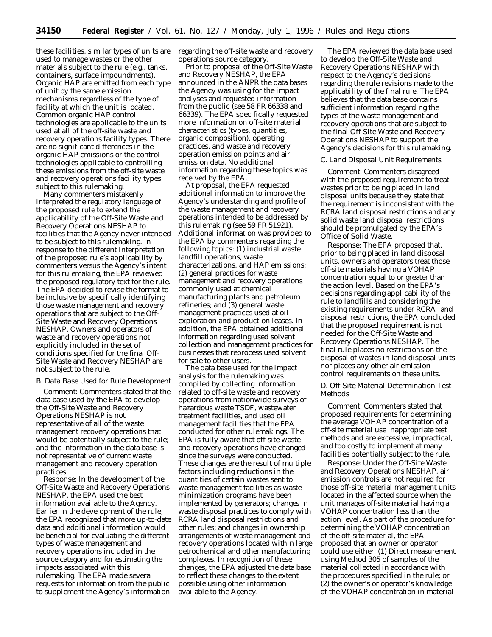these facilities, similar types of units are used to manage wastes or the other materials subject to the rule (e.g., tanks, containers, surface impoundments). Organic HAP are emitted from each type of unit by the same emission mechanisms regardless of the type of facility at which the unit is located. Common organic HAP control technologies are applicable to the units used at all of the off-site waste and recovery operations facility types. There are no significant differences in the organic HAP emissions or the control technologies applicable to controlling these emissions from the off-site waste and recovery operations facility types subject to this rulemaking.

Many commenters mistakenly interpreted the regulatory language of the proposed rule to extend the applicability of the Off-Site Waste and Recovery Operations NESHAP to facilities that the Agency never intended to be subject to this rulemaking. In response to the different interpretation of the proposed rule's applicability by commenters versus the Agency's intent for this rulemaking, the EPA reviewed the proposed regulatory text for the rule. The EPA decided to revise the format to be inclusive by specifically identifying those waste management and recovery operations that are subject to the Off-Site Waste and Recovery Operations NESHAP. Owners and operators of waste and recovery operations not explicitly included in the set of conditions specified for the final Off-Site Waste and Recovery NESHAP are not subject to the rule.

#### *B. Data Base Used for Rule Development*

*Comment:* Commenters stated that the data base used by the EPA to develop the Off-Site Waste and Recovery Operations NESHAP is not representative of all of the waste management recovery operations that would be potentially subject to the rule; and the information in the data base is not representative of current waste management and recovery operation practices.

*Response:* In the development of the Off-Site Waste and Recovery Operations NESHAP, the EPA used the best information available to the Agency. Earlier in the development of the rule, the EPA recognized that more up-to-date data and additional information would be beneficial for evaluating the different types of waste management and recovery operations included in the source category and for estimating the impacts associated with this rulemaking. The EPA made several requests for information from the public to supplement the Agency's information

regarding the off-site waste and recovery operations source category.

Prior to proposal of the Off-Site Waste and Recovery NESHAP, the EPA announced in the ANPR the data bases the Agency was using for the impact analyses and requested information from the public (see 58 FR 66338 and 66339). The EPA specifically requested more information on off-site material characteristics (types, quantities, organic composition), operating practices, and waste and recovery operation emission points and air emission data. No additional information regarding these topics was received by the EPA.

At proposal, the EPA requested additional information to improve the Agency's understanding and profile of the waste management and recovery operations intended to be addressed by this rulemaking (see 59 FR 51921). Additional information was provided to the EPA by commenters regarding the following topics: (1) industrial waste landfill operations, waste characterizations, and HAP emissions; (2) general practices for waste management and recovery operations commonly used at chemical manufacturing plants and petroleum refineries; and (3) general waste management practices used at oil exploration and production leases. In addition, the EPA obtained additional information regarding used solvent collection and management practices for businesses that reprocess used solvent for sale to other users.

The data base used for the impact analysis for the rulemaking was compiled by collecting information related to off-site waste and recovery operations from nationwide surveys of hazardous waste TSDF, wastewater treatment facilities, and used oil management facilities that the EPA conducted for other rulemakings. The EPA is fully aware that off-site waste and recovery operations have changed since the surveys were conducted. These changes are the result of multiple factors including reductions in the quantities of certain wastes sent to waste management facilities as waste minimization programs have been implemented by generators; changes in waste disposal practices to comply with RCRA land disposal restrictions and other rules; and changes in ownership arrangements of waste management and recovery operations located within large petrochemical and other manufacturing complexes. In recognition of these changes, the EPA adjusted the data base to reflect these changes to the extent possible using other information available to the Agency.

The EPA reviewed the data base used to develop the Off-Site Waste and Recovery Operations NESHAP with respect to the Agency's decisions regarding the rule revisions made to the applicability of the final rule. The EPA believes that the data base contains sufficient information regarding the types of the waste management and recovery operations that are subject to the final Off-Site Waste and Recovery Operations NESHAP to support the Agency's decisions for this rulemaking.

## *C. Land Disposal Unit Requirements*

*Comment:* Commenters disagreed with the proposed requirement to treat wastes prior to being placed in land disposal units because they state that the requirement is inconsistent with the RCRA land disposal restrictions and any solid waste land disposal restrictions should be promulgated by the EPA's Office of Solid Waste.

*Response:* The EPA proposed that, prior to being placed in land disposal units, owners and operators treat those off-site materials having a VOHAP concentration equal to or greater than the action level. Based on the EPA's decisions regarding applicability of the rule to landfills and considering the existing requirements under RCRA land disposal restrictions, the EPA concluded that the proposed requirement is not needed for the Off-Site Waste and Recovery Operations NESHAP. The final rule places no restrictions on the disposal of wastes in land disposal units nor places any other air emission control requirements on these units.

## *D. Off-Site Material Determination Test Methods*

*Comment:* Commenters stated that proposed requirements for determining the average VOHAP concentration of a off-site material use inappropriate test methods and are excessive, impractical, and too costly to implement at many facilities potentially subject to the rule.

*Response:* Under the Off-Site Waste and Recovery Operations NESHAP, air emission controls are not required for those off-site material management units located in the affected source when the unit manages off-site material having a VOHAP concentration less than the action level. As part of the procedure for determining the VOHAP concentration of the off-site material, the EPA proposed that an owner or operator could use either: (1) Direct measurement using Method 305 of samples of the material collected in accordance with the procedures specified in the rule; or (2) the owner's or operator's knowledge of the VOHAP concentration in material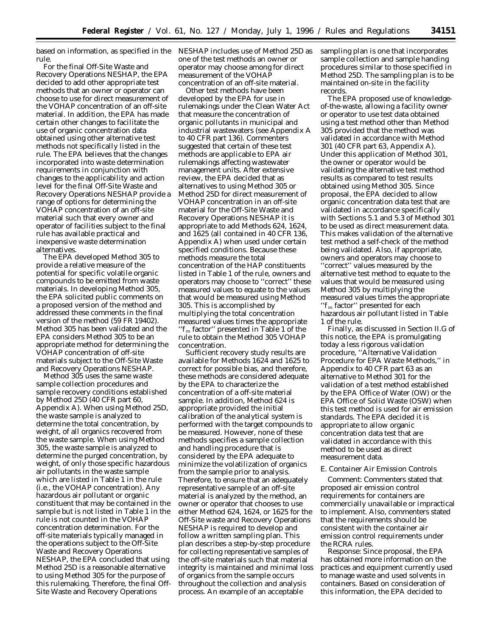based on information, as specified in the NESHAP includes use of Method 25D as rule.

For the final Off-Site Waste and Recovery Operations NESHAP, the EPA decided to add other appropriate test methods that an owner or operator can choose to use for direct measurement of the VOHAP concentration of an off-site material. In addition, the EPA has made certain other changes to facilitate the use of organic concentration data obtained using other alternative test methods not specifically listed in the rule. The EPA believes that the changes incorporated into waste determination requirements in conjunction with changes to the applicability and action level for the final Off-Site Waste and Recovery Operations NESHAP provide a range of options for determining the VOHAP concentration of an off-site material such that every owner and operator of facilities subject to the final rule has available practical and inexpensive waste determination alternatives.

The EPA developed Method 305 to provide a relative measure of the potential for specific volatile organic compounds to be emitted from waste materials. In developing Method 305, the EPA solicited public comments on a proposed version of the method and addressed these comments in the final version of the method (59 FR 19402). Method 305 has been validated and the EPA considers Method 305 to be an appropriate method for determining the VOHAP concentration of off-site materials subject to the Off-Site Waste and Recovery Operations NESHAP.

Method 305 uses the same waste sample collection procedures and sample recovery conditions established by Method 25D (40 CFR part 60, Appendix A). When using Method 25D, the waste sample is analyzed to determine the total concentration, by weight, of all organics recovered from the waste sample. When using Method 305, the waste sample is analyzed to determine the purged concentration, by weight, of only those specific hazardous air pollutants in the waste sample which are listed in Table 1 in the rule (i.e., the VOHAP concentration). Any hazardous air pollutant or organic constituent that may be contained in the sample but is not listed in Table 1 in the rule is not counted in the VOHAP concentration determination. For the off-site materials typically managed in the operations subject to the Off-Site Waste and Recovery Operations NESHAP, the EPA concluded that using Method 25D is a reasonable alternative to using Method 305 for the purpose of this rulemaking. Therefore, the final Off-Site Waste and Recovery Operations

one of the test methods an owner or operator may choose among for direct measurement of the VOHAP concentration of an off-site material.

Other test methods have been developed by the EPA for use in rulemakings under the Clean Water Act that measure the concentration of organic pollutants in municipal and industrial wastewaters (see Appendix A to 40 CFR part 136). Commenters suggested that certain of these test methods are applicable to EPA air rulemakings affecting wastewater management units. After extensive review, the EPA decided that as alternatives to using Method 305 or Method 25D for direct measurement of VOHAP concentration in an off-site material for the Off-Site Waste and Recovery Operations NESHAP it is appropriate to add Methods 624, 1624, and 1625 (all contained in 40 CFR 136, Appendix A) when used under certain specified conditions. Because these methods measure the total concentration of the HAP constituents listed in Table 1 of the rule, owners and operators may choose to ''correct'' these measured values to equate to the values that would be measured using Method 305. This is accomplished by multiplying the total concentration measured values times the appropriate " $f_m$  factor" presented in Table 1 of the rule to obtain the Method 305 VOHAP concentration.

Sufficient recovery study results are available for Methods 1624 and 1625 to correct for possible bias, and therefore, these methods are considered adequate by the EPA to characterize the concentration of a off-site material sample. In addition, Method 624 is appropriate provided the initial calibration of the analytical system is performed with the target compounds to be measured. However, none of these methods specifies a sample collection and handling procedure that is considered by the EPA adequate to minimize the volatilization of organics from the sample prior to analysis. Therefore, to ensure that an adequately representative sample of an off-site material is analyzed by the method, an owner or operator that chooses to use either Method 624, 1624, or 1625 for the Off-Site waste and Recovery Operations NESHAP is required to develop and follow a written sampling plan. This plan describes a step-by-step procedure for collecting representative samples of the off-site materials such that material integrity is maintained and minimal loss of organics from the sample occurs throughout the collection and analysis process. An example of an acceptable

sampling plan is one that incorporates sample collection and sample handing procedures similar to those specified in Method 25D. The sampling plan is to be maintained on-site in the facility records.

The EPA proposed use of knowledgeof-the-waste, allowing a facility owner or operator to use test data obtained using a test method other than Method 305 provided that the method was validated in accordance with Method 301 (40 CFR part 63, Appendix A). Under this application of Method 301, the owner or operator would be validating the alternative test method results as compared to test results obtained using Method 305. Since proposal, the EPA decided to allow organic concentration data test that are validated in accordance specifically with Sections 5.1 and 5.3 of Method 301 to be used as direct measurement data. This makes validation of the alternative test method a self-check of the method being validated. Also, if appropriate, owners and operators may choose to ''correct'' values measured by the alternative test method to equate to the values that would be measured using Method 305 by multiplying the measured values times the appropriate "f<sub>m</sub> factor" presented for each hazardous air pollutant listed in Table 1 of the rule.

Finally, as discussed in Section II.G of this notice, the EPA is promulgating today a less rigorous validation procedure, ''Alternative Validation Procedure for EPA Waste Methods,'' in Appendix to 40 CFR part 63 as an alternative to Method 301 for the validation of a test method established by the EPA Office of Water (OW) or the EPA Office of Solid Waste (OSW) when this test method is used for air emission standards. The EPA decided it is appropriate to allow organic concentration data test that are validated in accordance with this method to be used as direct measurement data.

## *E. Container Air Emission Controls*

*Comment:* Commenters stated that proposed air emission control requirements for containers are commercially unavailable or impractical to implement. Also, commenters stated that the requirements should be consistent with the container air emission control requirements under the RCRA rules.

*Response:* Since proposal, the EPA has obtained more information on the practices and equipment currently used to manage waste and used solvents in containers. Based on consideration of this information, the EPA decided to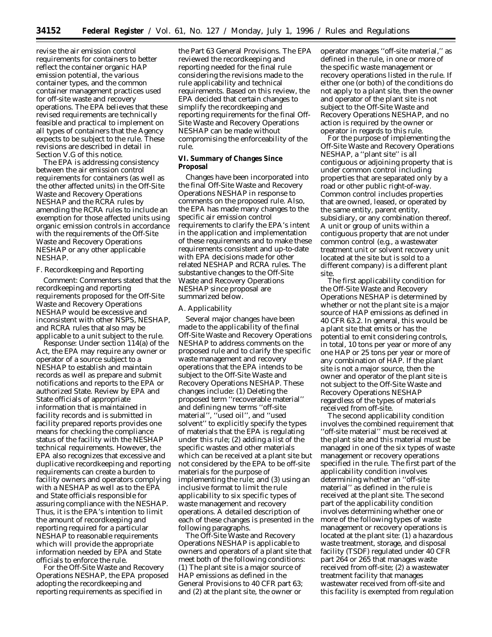revise the air emission control requirements for containers to better reflect the container organic HAP emission potential, the various container types, and the common container management practices used for off-site waste and recovery operations. The EPA believes that these revised requirements are technically feasible and practical to implement on all types of containers that the Agency expects to be subject to the rule. These revisions are described in detail in Section V.G of this notice.

The EPA is addressing consistency between the air emission control requirements for containers (as well as the other affected units) in the Off-Site Waste and Recovery Operations NESHAP and the RCRA rules by amending the RCRA rules to include an exemption for those affected units using organic emission controls in accordance with the requirements of the Off-Site Waste and Recovery Operations NESHAP or any other applicable NESHAP.

## *F. Recordkeeping and Reporting*

*Comment:* Commenters stated that the recordkeeping and reporting requirements proposed for the Off-Site Waste and Recovery Operations NESHAP would be excessive and inconsistent with other NSPS, NESHAP, and RCRA rules that also may be applicable to a unit subject to the rule.

*Response:* Under section 114(a) of the Act, the EPA may require any owner or operator of a source subject to a NESHAP to establish and maintain records as well as prepare and submit notifications and reports to the EPA or authorized State. Review by EPA and State officials of appropriate information that is maintained in facility records and is submitted in facility prepared reports provides one means for checking the compliance status of the facility with the NESHAP technical requirements. However, the EPA also recognizes that excessive and duplicative recordkeeping and reporting requirements can create a burden to facility owners and operators complying with a NESHAP as well as to the EPA and State officials responsible for assuring compliance with the NESHAP. Thus, it is the EPA's intention to limit the amount of recordkeeping and reporting required for a particular NESHAP to reasonable requirements which will provide the appropriate information needed by EPA and State officials to enforce the rule.

For the Off-Site Waste and Recovery Operations NESHAP, the EPA proposed adopting the recordkeeping and reporting requirements as specified in

the Part 63 General Provisions. The EPA reviewed the recordkeeping and reporting needed for the final rule considering the revisions made to the rule applicability and technical requirements. Based on this review, the EPA decided that certain changes to simplify the recordkeeping and reporting requirements for the final Off-Site Waste and Recovery Operations NESHAP can be made without compromising the enforceability of the rule.

# **VI. Summary of Changes Since Proposal**

Changes have been incorporated into the final Off-Site Waste and Recovery Operations NESHAP in response to comments on the proposed rule. Also, the EPA has made many changes to the specific air emission control requirements to clarify the EPA's intent in the application and implementation of these requirements and to make these requirements consistent and up-to-date with EPA decisions made for other related NESHAP and RCRA rules. The substantive changes to the Off-Site Waste and Recovery Operations NESHAP since proposal are summarized below.

## *A. Applicability*

Several major changes have been made to the applicability of the final Off-Site Waste and Recovery Operations NESHAP to address comments on the proposed rule and to clarify the specific waste management and recovery operations that the EPA intends to be subject to the Off-Site Waste and Recovery Operations NESHAP. These changes include: (1) Deleting the proposed term ''recoverable material'' and defining new terms ''off-site material'', ''used oil'', and ''used solvent'' to explicitly specify the types of materials that the EPA is regulating under this rule; (2) adding a list of the specific wastes and other materials which can be received at a plant site but not considered by the EPA to be off-site materials for the purpose of implementing the rule; and (3) using an inclusive format to limit the rule applicability to six specific types of waste management and recovery operations. A detailed description of each of these changes is presented in the following paragraphs.

The Off-Site Waste and Recovery Operations NESHAP is applicable to owners and operators of a plant site that meet both of the following conditions: (1) The plant site is a major source of HAP emissions as defined in the General Provisions to 40 CFR part 63; and (2) at the plant site, the owner or

operator manages ''off-site material,'' as defined in the rule, in one or more of the specific waste management or recovery operations listed in the rule. If either one (or both) of the conditions do not apply to a plant site, then the owner and operator of the plant site is not subject to the Off-Site Waste and Recovery Operations NESHAP, and no action is required by the owner or operator in regards to this rule.

For the purpose of implementing the Off-Site Waste and Recovery Operations NESHAP, a ''plant site'' is all contiguous or adjoining property that is under common control including properties that are separated only by a road or other public right-of-way. Common control includes properties that are owned, leased, or operated by the same entity, parent entity, subsidiary, or any combination thereof. A unit or group of units within a contiguous property that are not under common control (e.g., a wastewater treatment unit or solvent recovery unit located at the site but is sold to a different company) is a different plant site.

The first applicability condition for the Off-Site Waste and Recovery Operations NESHAP is determined by whether or not the plant site is a major source of HAP emissions as defined in 40 CFR 63.2. In general, this would be a plant site that emits or has the potential to emit considering controls, in total, 10 tons per year or more of any one HAP or 25 tons per year or more of any combination of HAP. If the plant site is not a major source, then the owner and operator of the plant site is not subject to the Off-Site Waste and Recovery Operations NESHAP regardless of the types of materials received from off-site.

The second applicability condition involves the combined requirement that ''off-site material'' must be received at the plant site and this material must be managed in one of the six types of waste management or recovery operations specified in the rule. The first part of the applicability condition involves determining whether an ''off-site material'' as defined in the rule is received at the plant site. The second part of the applicability condition involves determining whether one or more of the following types of waste management or recovery operations is located at the plant site: (1) a hazardous waste treatment, storage, and disposal facility (TSDF) regulated under 40 CFR part 264 or 265 that manages waste received from off-site; (2) a wastewater treatment facility that manages wastewater received from off-site and this facility is exempted from regulation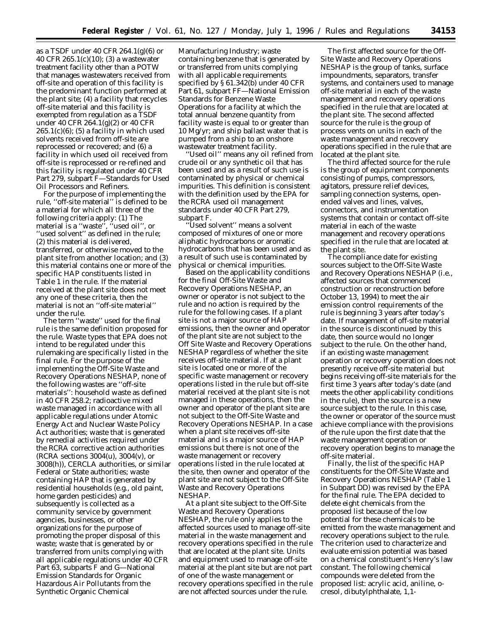as a TSDF under 40 CFR 264.1(g)(6) or 40 CFR 265.1(c)(10); (3) a wastewater treatment facility other than a POTW that manages wastewaters received from off-site and operation of this facility is the predominant function performed at the plant site; (4) a facility that recycles off-site material and this facility is exempted from regulation as a TSDF under 40 CFR 264.1(g)(2) or 40 CFR  $265.1(c)(6)$ ; (5) a facility in which used solvents received from off-site are reprocessed or recovered; and (6) a facility in which used oil received from off-site is reprocessed or re-refined and this facility is regulated under 40 CFR Part 279, subpart F—Standards for Used Oil Processors and Refiners.

For the purpose of implementing the rule, ''off-site material'' is defined to be a material for which all three of the following criteria apply: (1) The material is a ''waste'', ''used oil'', or ''used solvent'' as defined in the rule; (2) this material is delivered, transferred, or otherwise moved to the plant site from another location; and (3) this material contains one or more of the specific HAP constituents listed in Table 1 in the rule. If the material received at the plant site does not meet any one of these criteria, then the material is not an ''off-site material'' under the rule.

The term ''waste'' used for the final rule is the same definition proposed for the rule. Waste types that EPA does not intend to be regulated under this rulemaking are specifically listed in the final rule. For the purpose of the implementing the Off-Site Waste and Recovery Operations NESHAP, none of the following wastes are ''off-site materials'': household waste as defined in 40 CFR 258.2; radioactive mixed waste managed in accordance with all applicable regulations under Atomic Energy Act and Nuclear Waste Policy Act authorities; waste that is generated by remedial activities required under the RCRA corrective action authorities (RCRA sections 3004(u), 3004(v), or 3008(h)), CERCLA authorities, or similar Federal or State authorities; waste containing HAP that is generated by residential households (e.g., old paint, home garden pesticides) and subsequently is collected as a community service by government agencies, businesses, or other organizations for the purpose of promoting the proper disposal of this waste; waste that is generated by or transferred from units complying with all applicable regulations under 40 CFR Part 63, subparts F and G—National Emission Standards for Organic Hazardous Air Pollutants from the Synthetic Organic Chemical

Manufacturing Industry; waste containing benzene that is generated by or transferred from units complying with all applicable requirements specified by § 61.342(b) under 40 CFR Part 61, subpart FF—National Emission Standards for Benzene Waste Operations for a facility at which the total annual benzene quantity from facility waste is equal to or greater than 10 Mg/yr; and ship ballast water that is pumped from a ship to an onshore wastewater treatment facility.

''Used oil'' means any oil refined from crude oil or any synthetic oil that has been used and as a result of such use is contaminated by physical or chemical impurities. This definition is consistent with the definition used by the EPA for the RCRA used oil management standards under 40 CFR Part 279, subpart F.

Used solvent" means a solvent composed of mixtures of one or more aliphatic hydrocarbons or aromatic hydrocarbons that has been used and as a result of such use is contaminated by physical or chemical impurities.

Based on the applicability conditions for the final Off-Site Waste and Recovery Operations NESHAP, an owner or operator is not subject to the rule and no action is required by the rule for the following cases. If a plant site is not a major source of HAP emissions, then the owner and operator of the plant site are not subject to the Off Site Waste and Recovery Operations NESHAP regardless of whether the site receives off-site material. If at a plant site is located one or more of the specific waste management or recovery operations listed in the rule but off-site material received at the plant site is not managed in these operations, then the owner and operator of the plant site are not subject to the Off-Site Waste and Recovery Operations NESHAP. In a case when a plant site receives off-site material and is a major source of HAP emissions but there is not one of the waste management or recovery operations listed in the rule located at the site, then owner and operator of the plant site are not subject to the Off-Site Waste and Recovery Operations NESHAP.

At a plant site subject to the Off-Site Waste and Recovery Operations NESHAP, the rule only applies to the affected sources used to manage off-site material in the waste management and recovery operations specified in the rule that are located at the plant site. Units and equipment used to manage off-site material at the plant site but are not part of one of the waste management or recovery operations specified in the rule are not affected sources under the rule.

The first affected source for the Off-Site Waste and Recovery Operations NESHAP is the group of tanks, surface impoundments, separators, transfer systems, and containers used to manage off-site material in each of the waste management and recovery operations specified in the rule that are located at the plant site. The second affected source for the rule is the group of process vents on units in each of the waste management and recovery operations specified in the rule that are located at the plant site.

The third affected source for the rule is the group of equipment components consisting of pumps, compressors, agitators, pressure relief devices, sampling connection systems, openended valves and lines, valves, connectors, and instrumentation systems that contain or contact off-site material in each of the waste management and recovery operations specified in the rule that are located at the plant site.

The compliance date for existing sources subject to the Off-Site Waste and Recovery Operations NESHAP (i.e., affected sources that commenced construction or reconstruction before October 13, 1994) to meet the air emission control requirements of the rule is beginning 3 years after today's date. If management of off-site material in the source is discontinued by this date, then source would no longer subject to the rule. On the other hand, if an existing waste management operation or recovery operation does not presently receive off-site material but begins receiving off-site materials for the first time 3 years after today's date (and meets the other applicability conditions in the rule), then the source is a new source subject to the rule. In this case, the owner or operator of the source must achieve compliance with the provisions of the rule upon the first date that the waste management operation or recovery operation begins to manage the off-site material.

Finally, the list of the specific HAP constituents for the Off-Site Waste and Recovery Operations NESHAP (Table 1 in Subpart DD) was revised by the EPA for the final rule. The EPA decided to delete eight chemicals from the proposed list because of the low potential for these chemicals to be emitted from the waste management and recovery operations subject to the rule. The criterion used to characterize and evaluate emission potential was based on a chemical constituent's Henry's law constant. The following chemical compounds were deleted from the proposed list: acrylic acid, aniline, ocresol, dibutylphthalate, 1,1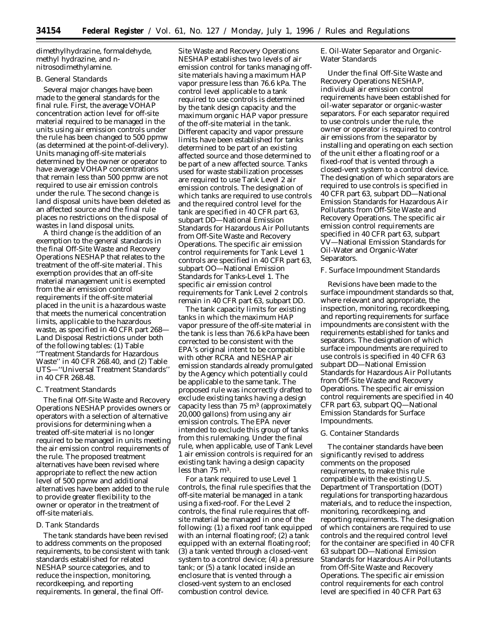dimethylhydrazine, formaldehyde, methyl hydrazine, and nnitrosodimethylamine.

# *B. General Standards*

Several major changes have been made to the general standards for the final rule. First, the average VOHAP concentration action level for off-site material required to be managed in the units using air emission controls under the rule has been changed to 500 ppmw (as determined at the point-of-delivery). Units managing off-site materials determined by the owner or operator to have average VOHAP concentrations that remain less than 500 ppmw are not required to use air emission controls under the rule. The second change is land disposal units have been deleted as an affected source and the final rule places no restrictions on the disposal of wastes in land disposal units.

A third change is the addition of an exemption to the general standards in the final Off-Site Waste and Recovery Operations NESHAP that relates to the treatment of the off-site material. This exemption provides that an off-site material management unit is exempted from the air emission control requirements if the off-site material placed in the unit is a hazardous waste that meets the numerical concentration limits, applicable to the hazardous waste, as specified in 40 CFR part 268— Land Disposal Restrictions under both of the following tables: (1) Table ''Treatment Standards for Hazardous Waste'' in 40 CFR 268.40, and (2) Table UTS—''Universal Treatment Standards'' in 40 CFR 268.48.

## *C. Treatment Standards*

The final Off-Site Waste and Recovery Operations NESHAP provides owners or operators with a selection of alternative provisions for determining when a treated off-site material is no longer required to be managed in units meeting the air emission control requirements of the rule. The proposed treatment alternatives have been revised where appropriate to reflect the new action level of 500 ppmw and additional alternatives have been added to the rule to provide greater flexibility to the owner or operator in the treatment of off-site materials.

## *D. Tank Standards*

The tank standards have been revised to address comments on the proposed requirements, to be consistent with tank standards established for related NESHAP source categories, and to reduce the inspection, monitoring, recordkeeping, and reporting requirements. In general, the final Off-

Site Waste and Recovery Operations NESHAP establishes two levels of air emission control for tanks managing offsite materials having a maximum HAP vapor pressure less than 76.6 kPa. The control level applicable to a tank required to use controls is determined by the tank design capacity and the maximum organic HAP vapor pressure of the off-site material in the tank. Different capacity and vapor pressure limits have been established for tanks determined to be part of an existing affected source and those determined to be part of a new affected source. Tanks used for waste stabilization processes are required to use Tank Level 2 air emission controls. The designation of which tanks are required to use controls and the required control level for the tank are specified in 40 CFR part 63, subpart DD—National Emission Standards for Hazardous Air Pollutants from Off-Site Waste and Recovery Operations. The specific air emission control requirements for Tank Level 1 controls are specified in 40 CFR part 63, subpart OO—National Emission Standards for Tanks-Level 1. The specific air emission control requirements for Tank Level 2 controls remain in 40 CFR part 63, subpart DD.

The tank capacity limits for existing tanks in which the maximum HAP vapor pressure of the off-site material in the tank is less than 76.6 kPa have been corrected to be consistent with the EPA's original intent to be compatible with other RCRA and NESHAP air emission standards already promulgated by the Agency which potentially could be applicable to the same tank. The proposed rule was incorrectly drafted to exclude existing tanks having a design capacity less than  $75 \text{ m}^3$  (approximately 20,000 gallons) from using any air emission controls. The EPA never intended to exclude this group of tanks from this rulemaking. Under the final rule, when applicable, use of Tank Level 1 air emission controls is required for an existing tank having a design capacity less than 75 m3.

For a tank required to use Level 1 controls, the final rule specifies that the off-site material be managed in a tank using a fixed-roof. For the Level 2 controls, the final rule requires that offsite material be managed in one of the following: (1) a fixed roof tank equipped with an internal floating roof; (2) a tank equipped with an external floating roof; (3) a tank vented through a closed-vent system to a control device; (4) a pressure tank; or (5) a tank located inside an enclosure that is vented through a closed-vent system to an enclosed combustion control device.

# *E. Oil-Water Separator and Organic-Water Standards*

Under the final Off-Site Waste and Recovery Operations NESHAP, individual air emission control requirements have been established for oil-water separator or organic-waster separators. For each separator required to use controls under the rule, the owner or operator is required to control air emissions from the separator by installing and operating on each section of the unit either a floating roof or a fixed-roof that is vented through a closed-vent system to a control device. The designation of which separators are required to use controls is specified in 40 CFR part 63, subpart DD—National Emission Standards for Hazardous Air Pollutants from Off-Site Waste and Recovery Operations. The specific air emission control requirements are specified in 40 CFR part 63, subpart VV—National Emission Standards for Oil-Water and Organic-Water Separators.

## *F. Surface Impoundment Standards*

Revisions have been made to the surface impoundment standards so that, where relevant and appropriate, the inspection, monitoring, recordkeeping, and reporting requirements for surface impoundments are consistent with the requirements established for tanks and separators. The designation of which surface impoundments are required to use controls is specified in 40 CFR 63 subpart DD—National Emission Standards for Hazardous Air Pollutants from Off-Site Waste and Recovery Operations. The specific air emission control requirements are specified in 40 CFR part 63, subpart QQ—National Emission Standards for Surface Impoundments.

## *G. Container Standards*

The container standards have been significantly revised to address comments on the proposed requirements, to make this rule compatible with the existing U.S. Department of Transportation (DOT) regulations for transporting hazardous materials, and to reduce the inspection, monitoring, recordkeeping, and reporting requirements. The designation of which containers are required to use controls and the required control level for the container are specified in 40 CFR 63 subpart DD—National Emission Standards for Hazardous Air Pollutants from Off-Site Waste and Recovery Operations. The specific air emission control requirements for each control level are specified in 40 CFR Part 63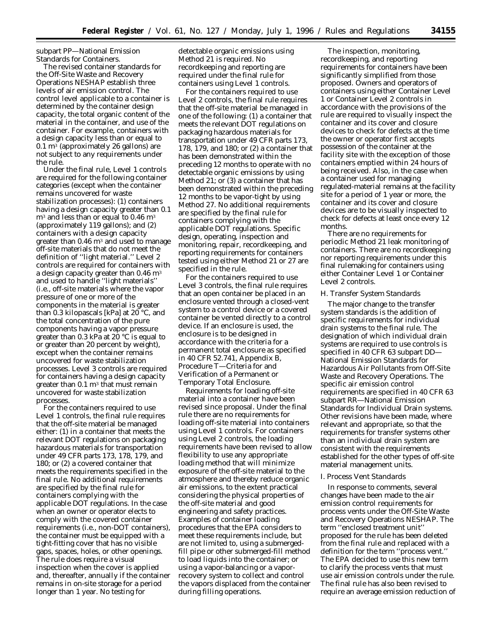subpart PP—National Emission Standards for Containers.

The revised container standards for the Off-Site Waste and Recovery Operations NESHAP establish three levels of air emission control. The control level applicable to a container is determined by the container design capacity, the total organic content of the material in the container, and use of the container. For example, containers with a design capacity less than or equal to  $0.1 \text{ m}^3$  (approximately 26 gallons) are not subject to any requirements under the rule.

Under the final rule, Level 1 controls are required for the following container categories (except when the container remains uncovered for waste stabilization processes): (1) containers having a design capacity greater than 0.1  $\rm m<sup>3</sup>$  and less than or equal to 0.46  $\rm m<sup>3</sup>$ (approximately 119 gallons); and (2) containers with a design capacity greater than  $0.46 \text{ m}^3$  and used to manage off-site materials that do not meet the definition of ''light material.'' Level 2 controls are required for containers with a design capacity greater than  $0.46 \text{ m}^3$ and used to handle ''light materials'' (i.e., off-site materials where the vapor pressure of one or more of the components in the material is greater than 0.3 kilopascals [kPa] at 20 °C, and the total concentration of the pure components having a vapor pressure greater than 0.3 kPa at 20  $\degree$ C is equal to or greater than 20 percent by weight), except when the container remains uncovered for waste stabilization processes. Level 3 controls are required for containers having a design capacity greater than  $0.1 \text{ m}^3$  that must remain uncovered for waste stabilization processes.

For the containers required to use Level 1 controls, the final rule requires that the off-site material be managed either: (1) in a container that meets the relevant DOT regulations on packaging hazardous materials for transportation under 49 CFR parts 173, 178, 179, and 180; or (2) a covered container that meets the requirements specified in the final rule. No additional requirements are specified by the final rule for containers complying with the applicable DOT regulations. In the case when an owner or operator elects to comply with the covered container requirements (i.e., non-DOT containers), the container must be equipped with a tight-fitting cover that has no visible gaps, spaces, holes, or other openings. The rule does require a visual inspection when the cover is applied and, thereafter, annually if the container remains in on-site storage for a period longer than 1 year. No testing for

detectable organic emissions using Method 21 is required. No recordkeeping and reporting are required under the final rule for containers using Level 1 controls.

For the containers required to use Level 2 controls, the final rule requires that the off-site material be managed in one of the following: (1) a container that meets the relevant DOT regulations on packaging hazardous materials for transportation under 49 CFR parts 173, 178, 179, and 180; or (2) a container that has been demonstrated within the preceding 12 months to operate with no detectable organic emissions by using Method 21; or (3) a container that has been demonstrated within the preceding 12 months to be vapor-tight by using Method 27. No additional requirements are specified by the final rule for containers complying with the applicable DOT regulations. Specific design, operating, inspection and monitoring, repair, recordkeeping, and reporting requirements for containers tested using either Method 21 or 27 are specified in the rule.

For the containers required to use Level 3 controls, the final rule requires that an open container be placed in an enclosure vented through a closed-vent system to a control device or a covered container be vented directly to a control device. If an enclosure is used, the enclosure is to be designed in accordance with the criteria for a permanent total enclosure as specified in 40 CFR 52.741, Appendix B, Procedure T—Criteria for and Verification of a Permanent or Temporary Total Enclosure.

Requirements for loading off-site material into a container have been revised since proposal. Under the final rule there are no requirements for loading off-site material into containers using Level 1 controls. For containers using Level 2 controls, the loading requirements have been revised to allow flexibility to use any appropriate loading method that will minimize exposure of the off-site material to the atmosphere and thereby reduce organic air emissions, to the extent practical considering the physical properties of the off-site material and good engineering and safety practices. Examples of container loading procedures that the EPA considers to meet these requirements include, but are not limited to, using a submergedfill pipe or other submerged-fill method to load liquids into the container; or using a vapor-balancing or a vaporrecovery system to collect and control the vapors displaced from the container during filling operations.

The inspection, monitoring, recordkeeping, and reporting requirements for containers have been significantly simplified from those proposed. Owners and operators of containers using either Container Level 1 or Container Level 2 controls in accordance with the provisions of the rule are required to visually inspect the container and its cover and closure devices to check for defects at the time the owner or operator first accepts possession of the container at the facility site with the exception of those containers emptied within 24 hours of being received. Also, in the case when a container used for managing regulated-material remains at the facility site for a period of 1 year or more, the container and its cover and closure devices are to be visually inspected to check for defects at least once every 12 months.

There are no requirements for periodic Method 21 leak monitoring of containers. There are no recordkeeping nor reporting requirements under this final rulemaking for containers using either Container Level 1 or Container Level 2 controls.

## *H. Transfer System Standards*

The major change to the transfer system standards is the addition of specific requirements for individual drain systems to the final rule. The designation of which individual drain systems are required to use controls is specified in 40 CFR 63 subpart DD— National Emission Standards for Hazardous Air Pollutants from Off-Site Waste and Recovery Operations. The specific air emission control requirements are specified in 40 CFR 63 subpart RR—National Emission Standards for Individual Drain systems. Other revisions have been made, where relevant and appropriate, so that the requirements for transfer systems other than an individual drain system are consistent with the requirements established for the other types of off-site material management units.

## *I. Process Vent Standards*

In response to comments, several changes have been made to the air emission control requirements for process vents under the Off-Site Waste and Recovery Operations NESHAP. The term ''enclosed treatment unit'' proposed for the rule has been deleted from the final rule and replaced with a definition for the term ''process vent.'' The EPA decided to use this new term to clarify the process vents that must use air emission controls under the rule. The final rule has also been revised to require an average emission reduction of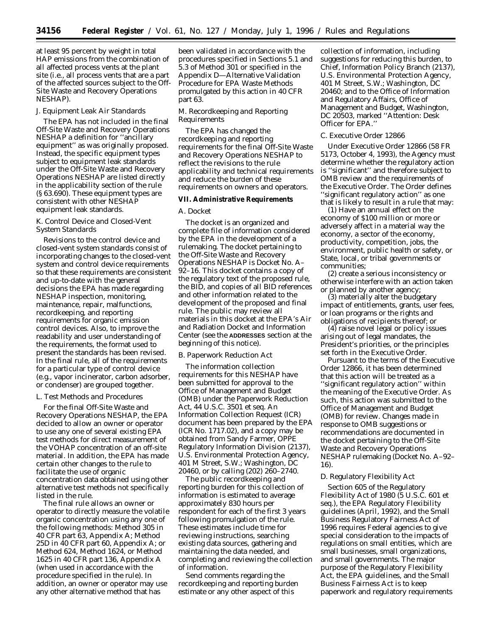at least 95 percent by weight in total HAP emissions from the combination of all affected process vents at the plant site (i.e., all process vents that are a part of the affected sources subject to the Off-Site Waste and Recovery Operations NESHAP).

## *J. Equipment Leak Air Standards*

The EPA has not included in the final Off-Site Waste and Recovery Operations NESHAP a definition for ''ancillary equipment'' as was originally proposed. Instead, the specific equipment types subject to equipment leak standards under the Off-Site Waste and Recovery Operations NESHAP are listed directly in the applicability section of the rule (§ 63.690). These equipment types are consistent with other NESHAP equipment leak standards.

# *K. Control Device and Closed-Vent System Standards*

Revisions to the control device and closed-vent system standards consist of incorporating changes to the closed-vent system and control device requirements so that these requirements are consistent and up-to-date with the general decisions the EPA has made regarding NESHAP inspection, monitoring, maintenance, repair, malfunctions, recordkeeping, and reporting requirements for organic emission control devices. Also, to improve the readability and user understanding of the requirements, the format used to present the standards has been revised. In the final rule, all of the requirements for a particular type of control device (e.g., vapor incinerator, carbon adsorber, or condenser) are grouped together.

## *L. Test Methods and Procedures*

For the final Off-Site Waste and Recovery Operations NESHAP, the EPA decided to allow an owner or operator to use any one of several existing EPA test methods for direct measurement of the VOHAP concentration of an off-site material. In addition, the EPA has made certain other changes to the rule to facilitate the use of organic concentration data obtained using other alternative test methods not specifically listed in the rule.

The final rule allows an owner or operator to directly measure the volatile organic concentration using any one of the following methods: Method 305 in 40 CFR part 63, Appendix A; Method 25D in 40 CFR part 60, Appendix A; or Method 624, Method 1624, or Method 1625 in 40 CFR part 136, Appendix A (when used in accordance with the procedure specified in the rule). In addition, an owner or operator may use any other alternative method that has

been validated in accordance with the procedures specified in Sections 5.1 and 5.3 of Method 301 or specified in the Appendix D—Alternative Validation Procedure for EPA Waste Methods promulgated by this action in 40 CFR part 63.

## *M. Recordkeeping and Reporting Requirements*

The EPA has changed the recordkeeping and reporting requirements for the final Off-Site Waste and Recovery Operations NESHAP to reflect the revisions to the rule applicability and technical requirements and reduce the burden of these requirements on owners and operators.

## **VII. Administrative Requirements**

# *A. Docket*

The docket is an organized and complete file of information considered by the EPA in the development of a rulemaking. The docket pertaining to the Off-Site Waste and Recovery Operations NESHAP is Docket No. A– 92–16. This docket contains a copy of the regulatory text of the proposed rule, the BID, and copies of all BID references and other information related to the development of the proposed and final rule. The public may review all materials in this docket at the EPA's Air and Radiation Docket and Information Center (see the **ADDRESSES** section at the beginning of this notice).

## *B. Paperwork Reduction Act*

The information collection requirements for this NESHAP have been submitted for approval to the Office of Management and Budget (OMB) under the *Paperwork Reduction Act,* 44 U.S.C. 3501 et seq. An Information Collection Request (ICR) document has been prepared by the EPA (ICR No. 1717.02), and a copy may be obtained from Sandy Farmer, OPPE Regulatory Information Division (2137), U.S. Environmental Protection Agency, 401 M Street, S.W.; Washington, DC 20460, or by calling (202) 260–2740.

The public recordkeeping and reporting burden for this collection of information is estimated to average approximately 830 hours per respondent for each of the first 3 years following promulgation of the rule. These estimates include time for reviewing instructions, searching existing data sources, gathering and maintaining the data needed, and completing and reviewing the collection of information.

Send comments regarding the recordkeeping and reporting burden estimate or any other aspect of this

collection of information, including suggestions for reducing this burden, to Chief, Information Policy Branch (2137), U.S. Environmental Protection Agency, 401 M Street, S.W.; Washington, DC 20460; and to the Office of Information and Regulatory Affairs, Office of Management and Budget, Washington, DC 20503, marked ''Attention: Desk Officer for EPA.''

## *C. Executive Order 12866*

Under Executive Order 12866 (58 FR 5173, October 4, 1993), the Agency must determine whether the regulatory action is ''significant'' and therefore subject to OMB review and the requirements of the Executive Order. The Order defines ''significant regulatory action'' as one that is likely to result in a rule that may:

(1) Have an annual effect on the economy of \$100 million or more or adversely affect in a material way the economy, a sector of the economy, productivity, competition, jobs, the environment, public health or safety, or State, local, or tribal governments or communities;

(2) create a serious inconsistency or otherwise interfere with an action taken or planned by another agency;

(3) materially alter the budgetary impact of entitlements, grants, user fees, or loan programs or the rights and obligations of recipients thereof; or

(4) raise novel legal or policy issues arising out of legal mandates, the President's priorities, or the principles set forth in the Executive Order.

Pursuant to the terms of the Executive Order 12866, it has been determined that this action will be treated as a ''significant regulatory action'' within the meaning of the Executive Order. As such, this action was submitted to the Office of Management and Budget (OMB) for review. Changes made in response to OMB suggestions or recommendations are documented in the docket pertaining to the Off-Site Waste and Recovery Operations NESHAP rulemaking (Docket No. A–92– 16).

## *D. Regulatory Flexibility Act*

Section 605 of the Regulatory Flexibility Act of 1980 (5 U.S.C. 601 et seq.), the EPA Regulatory Flexibility guidelines (April, 1992), and the Small Business Regulatory Fairness Act of 1996 requires Federal agencies to give special consideration to the impacts of regulations on small entities, which are small businesses, small organizations, and small governments. The major purpose of the Regulatory Flexibility Act, the EPA guidelines, and the Small Business Fairness Act is to keep paperwork and regulatory requirements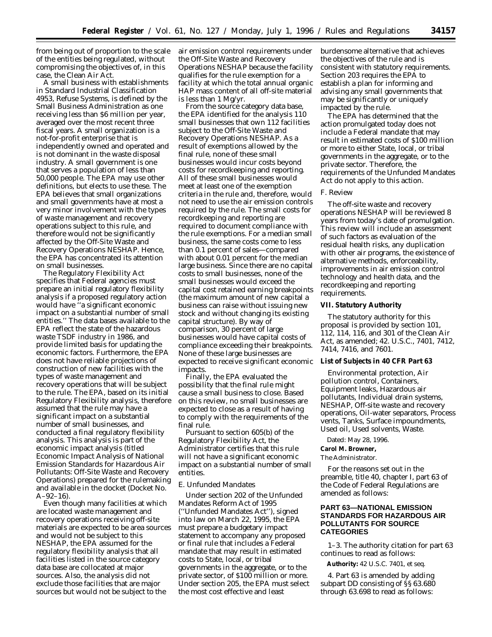from being out of proportion to the scale of the entities being regulated, without compromising the objectives of, in this case, the Clean Air Act.

A small business with establishments in Standard Industrial Classification 4953, Refuse Systems, is defined by the Small Business Administration as one receiving less than \$6 million per year, averaged over the most recent three fiscal years. A small organization is a not-for-profit enterprise that is independently owned and operated and is not dominant in the waste disposal industry. A small government is one that serves a population of less than 50,000 people. The EPA may use other definitions, but elects to use these. The EPA believes that small organizations and small governments have at most a very minor involvement with the types of waste management and recovery operations subject to this rule, and therefore would not be significantly affected by the Off-Site Waste and Recovery Operations NESHAP. Hence, the EPA has concentrated its attention on small businesses.

The Regulatory Flexibility Act specifies that Federal agencies must prepare an initial regulatory flexibility analysis if a proposed regulatory action would have ''a significant economic impact on a substantial number of small entities.'' The data bases available to the EPA reflect the state of the hazardous waste TSDF industry in 1986, and provide limited basis for updating the economic factors. Furthermore, the EPA does not have reliable projections of construction of new facilities with the types of waste management and recovery operations that will be subject to the rule. The EPA, based on its initial Regulatory Flexibility analysis, therefore assumed that the rule may have a significant impact on a substantial number of small businesses, and conducted a final regulatory flexibility analysis. This analysis is part of the economic impact analysis (titled *Economic Impact Analysis of National Emission Standards for Hazardous Air Pollutants: Off-Site Waste and Recovery Operations*) prepared for the rulemaking and available in the docket (Docket No.  $A-92-16$ ).

Even though many facilities at which are located waste management and recovery operations receiving off-site materials are expected to be area sources and would not be subject to this NESHAP, the EPA assumed for the regulatory flexibility analysis that all facilities listed in the source category data base are collocated at major sources. Also, the analysis did not exclude those facilities that are major sources but would not be subject to the

air emission control requirements under the Off-Site Waste and Recovery Operations NESHAP because the facility qualifies for the rule exemption for a facility at which the total annual organic HAP mass content of all off-site material is less than 1 Mg/yr.

From the source category data base, the EPA identified for the analysis 110 small businesses that own 112 facilities subject to the Off-Site Waste and Recovery Operations NESHAP. As a result of exemptions allowed by the final rule, none of these small businesses would incur costs beyond costs for recordkeeping and reporting. All of these small businesses would meet at least one of the exemption criteria in the rule and, therefore, would not need to use the air emission controls required by the rule. The small costs for recordkeeping and reporting are required to document compliance with the rule exemptions. For a median small business, the same costs come to less than 0.1 percent of sales—compared with about 0.01 percent for the median large business. Since there are no capital costs to small businesses, none of the small businesses would exceed the capital cost retained earning breakpoints (the maximum amount of new capital a business can raise without issuing new stock and without changing its existing capital structure). By way of comparison, 30 percent of large businesses would have capital costs of compliance exceeding their breakpoints. None of these large businesses are expected to receive significant economic impacts.

Finally, the EPA evaluated the possibility that the final rule might cause a small business to close. Based on this review, no small businesses are expected to close as a result of having to comply with the requirements of the final rule.

Pursuant to section 605(b) of the Regulatory Flexibility Act, the Administrator certifies that this rule will not have a significant economic impact on a substantial number of small entities.

## *E. Unfunded Mandates*

Under section 202 of the Unfunded Mandates Reform Act of 1995 (''Unfunded Mandates Act''), signed into law on March 22, 1995, the EPA must prepare a budgetary impact statement to accompany any proposed or final rule that includes a Federal mandate that may result in estimated costs to State, local, or tribal governments in the aggregate, or to the private sector, of \$100 million or more. Under section 205, the EPA must select the most cost effective and least

burdensome alternative that achieves the objectives of the rule and is consistent with statutory requirements. Section 203 requires the EPA to establish a plan for informing and advising any small governments that may be significantly or uniquely impacted by the rule.

The EPA has determined that the action promulgated today does not include a Federal mandate that may result in estimated costs of \$100 million or more to either State, local, or tribal governments in the aggregate, or to the private sector. Therefore, the requirements of the Unfunded Mandates Act do not apply to this action.

## *F. Review*

The off-site waste and recovery operations NESHAP will be reviewed 8 years from today's date of promulgation. This review will include an assessment of such factors as evaluation of the residual health risks, any duplication with other air programs, the existence of alternative methods, enforceability, improvements in air emission control technology and health data, and the recordkeeping and reporting requirements.

## **VII. Statutory Authority**

The statutory authority for this proposal is provided by section 101, 112, 114, 116, and 301 of the Clean Air Act, as amended; 42. U.S.C., 7401, 7412, 7414, 7416, and 7601.

# **List of Subjects in 40 CFR Part 63**

Environmental protection, Air pollution control, Containers, Equipment leaks, Hazardous air pollutants, Individual drain systems, NESHAP, Off-site waste and recovery operations, Oil-water separators, Process vents, Tanks, Surface impoundments, Used oil, Used solvents, Waste.

Dated: May 28, 1996.

# **Carol M. Browner,**

*The Administrator.*

For the reasons set out in the preamble, title 40, chapter I, part 63 of the Code of Federal Regulations are amended as follows:

# **PART 63—NATIONAL EMISSION STANDARDS FOR HAZARDOUS AIR POLLUTANTS FOR SOURCE CATEGORIES**

1–3. The authority citation for part 63 continues to read as follows:

**Authority:** 42 U.S.C. 7401, et seq.

4. Part 63 is amended by adding subpart DD consisting of §§ 63.680 through 63.698 to read as follows: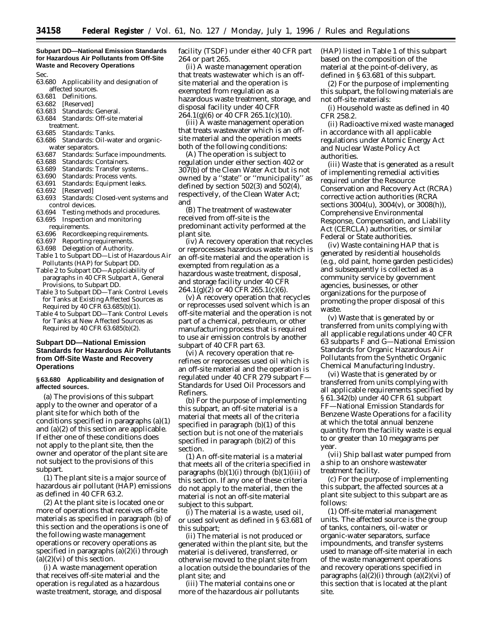## **Subpart DD—National Emission Standards for Hazardous Air Pollutants from Off-Site Waste and Recovery Operations**

Sec.

- 63.680 Applicability and designation of
- affected sources. 63.681 Definitions.
- 63.682 [Reserved]
- 63.683 Standards: General.
- 63.684 Standards: Off-site material treatment.
- 
- 63.685 Standards: Tanks. Standards: Oil-water and organic-
- water separators.<br>63.687 Standards: S Standards: Surface impoundments.
- 63.688 Standards: Containers.
- 63.689 Standards: Transfer systems..<br>63.690 Standards: Process vents.
- Standards: Process vents.
- 63.691 Standards: Equipment leaks.
- 63.692 [Reserved]
- 63.693 Standards: Closed-vent systems and control devices.
- 63.694 Testing methods and procedures. 63.695 Inspection and monitoring
- requirements.
- 63.696 Recordkeeping requirements.
- 63.697 Reporting requirements.
- 63.698 Delegation of Authority.
- Table 1 to Subpart DD—List of Hazardous Air Pollutants (HAP) for Subpart DD.
- Table 2 to Subpart DD—Applciability of paragraphs in 40 CFR Subpart A, General Provisions, to Subpart DD.
- Table 3 to Subpart DD—Tank Control Levels for Tanks at Existing Affected Sources as Required by 40 CFR 63.685(b)(1).
- Table 4 to Subpart DD—Tank Control Levels for Tanks at New Affected Sources as Required by 40 CFR 63.685(b)(2).

# **Subpart DD—National Emission Standards for Hazardous Air Pollutants from Off-Site Waste and Recovery Operations**

## **§ 63.680 Applicability and designation of affected sources.**

(a) The provisions of this subpart apply to the owner and operator of a plant site for which both of the conditions specified in paragraphs (a)(1) and (a)(2) of this section are applicable. If either one of these conditions does not apply to the plant site, then the owner and operator of the plant site are not subject to the provisions of this subpart.

(1) The plant site is a major source of hazardous air pollutant (HAP) emissions as defined in 40 CFR 63.2.

(2) At the plant site is located one or more of operations that receives off-site materials as specified in paragraph (b) of this section and the operations is one of the following waste management operations or recovery operations as specified in paragraphs (a)(2)(i) through  $(a)(2)(vi)$  of this section.

(i) A waste management operation that receives off-site material and the operation is regulated as a hazardous waste treatment, storage, and disposal facility (TSDF) under either 40 CFR part 264 or part 265.

(ii) A waste management operation that treats wastewater which is an offsite material and the operation is exempted from regulation as a hazardous waste treatment, storage, and disposal facility under 40 CFR 264.1(g)(6) or 40 CFR 265.1(c)(10).

(iii) A waste management operation that treats wastewater which is an offsite material and the operation meets both of the following conditions:

(A) The operation is subject to regulation under either section 402 or 307(b) of the Clean Water Act but is not owned by a ''state'' or ''municipality'' as defined by section 502(3) and 502(4), respectively, of the Clean Water Act; and

(B) The treatment of wastewater received from off-site is the predominant activity performed at the plant site.

(iv) A recovery operation that recycles or reprocesses hazardous waste which is an off-site material and the operation is exempted from regulation as a hazardous waste treatment, disposal, and storage facility under 40 CFR  $264.1(g)(2)$  or 40 CFR  $265.1(c)(6)$ .

(v) A recovery operation that recycles or reprocesses used solvent which is an off-site material and the operation is not part of a chemical, petroleum, or other manufacturing process that is required to use air emission controls by another subpart of 40 CFR part 63.

(vi) A recovery operation that rerefines or reprocesses used oil which is an off-site material and the operation is regulated under 40 CFR 279 subpart F— Standards for Used Oil Processors and Refiners.

(b) For the purpose of implementing this subpart, an off-site material is a material that meets all of the criteria specified in paragraph (b)(1) of this section but is not one of the materials specified in paragraph (b)(2) of this section.

(1) An off-site material is a material that meets all of the criteria specified in paragraphs  $(b)(1)(i)$  through  $(b)(1)(iii)$  of this section. If any one of these criteria do not apply to the material, then the material is not an off-site material subject to this subpart.

(i) The material is a waste, used oil, or used solvent as defined in § 63.681 of this subpart;

(ii) The material is not produced or generated within the plant site, but the material is delivered, transferred, or otherwise moved to the plant site from a location outside the boundaries of the plant site; and

(iii) The material contains one or more of the hazardous air pollutants (HAP) listed in Table 1 of this subpart based on the composition of the material at the point-of-delivery, as defined in § 63.681 of this subpart.

(2) For the purpose of implementing this subpart, the following materials are not off-site materials:

(i) Household waste as defined in 40 CFR 258.2.

(ii) Radioactive mixed waste managed in accordance with all applicable regulations under Atomic Energy Act and Nuclear Waste Policy Act authorities.

(iii) Waste that is generated as a result of implementing remedial activities required under the Resource Conservation and Recovery Act (RCRA) corrective action authorities (RCRA sections 3004(u), 3004(v), or 3008(h)), Comprehensive Environmental Response, Compensation, and Liability Act (CERCLA) authorities, or similar Federal or State authorities.

(iv) Waste containing HAP that is generated by residential households (e.g., old paint, home garden pesticides) and subsequently is collected as a community service by government agencies, businesses, or other organizations for the purpose of promoting the proper disposal of this waste.

(v) Waste that is generated by or transferred from units complying with all applicable regulations under 40 CFR 63 subparts F and G—National Emission Standards for Organic Hazardous Air Pollutants from the Synthetic Organic Chemical Manufacturing Industry.

(vi) Waste that is generated by or transferred from units complying with all applicable requirements specified by § 61.342(b) under 40 CFR 61 subpart FF—National Emission Standards for Benzene Waste Operations for a facility at which the total annual benzene quantity from the facility waste is equal to or greater than 10 megagrams per year.

(vii) Ship ballast water pumped from a ship to an onshore wastewater treatment facility.

(c) For the purpose of implementing this subpart, the affected sources at a plant site subject to this subpart are as follows:

(1) Off-site material management units. The affected source is the group of tanks, containers, oil-water or organic-water separators, surface impoundments, and transfer systems used to manage off-site material in each of the waste management operations and recovery operations specified in paragraphs  $(a)(2)(i)$  through  $(a)(2)(vi)$  of this section that is located at the plant site.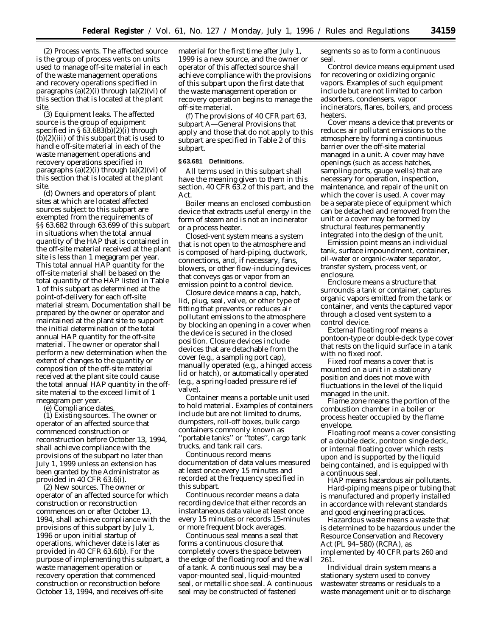(2) Process vents. The affected source is the group of process vents on units used to manage off-site material in each of the waste management operations and recovery operations specified in paragraphs  $(a)(2)(i)$  through  $(a)(2)(vi)$  of this section that is located at the plant site.

(3) Equipment leaks. The affected source is the group of equipment specified in § 63.683(b)(2)(i) through (b)(2)(iii) of this subpart that is used to handle off-site material in each of the waste management operations and recovery operations specified in paragraphs  $(a)(2)(i)$  through  $(a)(2)(vi)$  of this section that is located at the plant site.

(d) Owners and operators of plant sites at which are located affected sources subject to this subpart are exempted from the requirements of §§ 63.682 through 63.699 of this subpart in situations when the total annual quantity of the HAP that is contained in the off-site material received at the plant site is less than 1 megagram per year. This total annual HAP quantity for the off-site material shall be based on the total quantity of the HAP listed in Table 1 of this subpart as determined at the point-of-delivery for each off-site material stream. Documentation shall be prepared by the owner or operator and maintained at the plant site to support the initial determination of the total annual HAP quantity for the off-site material. The owner or operator shall perform a new determination when the extent of changes to the quantity or composition of the off-site material received at the plant site could cause the total annual HAP quantity in the offsite material to the exceed limit of 1 megagram per year.

(e) Compliance dates.

(1) Existing sources. The owner or operator of an affected source that commenced construction or reconstruction before October 13, 1994, shall achieve compliance with the provisions of the subpart no later than July 1, 1999 unless an extension has been granted by the Administrator as provided in 40 CFR 63.6(i).

(2) New sources. The owner or operator of an affected source for which construction or reconstruction commences on or after October 13, 1994, shall achieve compliance with the provisions of this subpart by July 1, 1996 or upon initial startup of operations, whichever date is later as provided in 40 CFR 63.6(b). For the purpose of implementing this subpart, a waste management operation or recovery operation that commenced construction or reconstruction before October 13, 1994, and receives off-site

material for the first time after July 1, 1999 is a new source, and the owner or operator of this affected source shall achieve compliance with the provisions of this subpart upon the first date that the waste management operation or recovery operation begins to manage the off-site material.

(f) The provisions of 40 CFR part 63, subpart A—General Provisions that apply and those that do not apply to this subpart are specified in Table 2 of this subpart.

## **§ 63.681 Definitions.**

All terms used in this subpart shall have the meaning given to them in this section, 40 CFR 63.2 of this part, and the Act.

*Boiler* means an enclosed combustion device that extracts useful energy in the form of steam and is not an incinerator or a process heater.

*Closed-vent system* means a system that is not open to the atmosphere and is composed of hard-piping, ductwork, connections, and, if necessary, fans, blowers, or other flow-inducing devices that conveys gas or vapor from an emission point to a control device.

*Closure device* means a cap, hatch, lid, plug, seal, valve, or other type of fitting that prevents or reduces air pollutant emissions to the atmosphere by blocking an opening in a cover when the device is secured in the closed position. Closure devices include devices that are detachable from the cover (e.g., a sampling port cap), manually operated (e.g., a hinged access lid or hatch), or automatically operated (e.g., a spring-loaded pressure relief valve).

*Container* means a portable unit used to hold material. Examples of containers include but are not limited to drums, dumpsters, roll-off boxes, bulk cargo containers commonly known as 'portable tanks" or "totes", cargo tank trucks, and tank rail cars.

*Continuous record* means documentation of data values measured at least once every 15 minutes and recorded at the frequency specified in this subpart.

*Continuous recorder* means a data recording device that either records an instantaneous data value at least once every 15 minutes or records 15-minutes or more frequent block averages.

*Continuous seal* means a seal that forms a continuous closure that completely covers the space between the edge of the floating roof and the wall of a tank. A continuous seal may be a vapor-mounted seal, liquid-mounted seal, or metallic shoe seal. A continuous seal may be constructed of fastened

segments so as to form a continuous seal.

*Control device* means equipment used for recovering or oxidizing organic vapors. Examples of such equipment include but are not limited to carbon adsorbers, condensers, vapor incinerators, flares, boilers, and process heaters.

*Cover* means a device that prevents or reduces air pollutant emissions to the atmosphere by forming a continuous barrier over the off-site material managed in a unit. A cover may have openings (such as access hatches, sampling ports, gauge wells) that are necessary for operation, inspection, maintenance, and repair of the unit on which the cover is used. A cover may be a separate piece of equipment which can be detached and removed from the unit or a cover may be formed by structural features permanently integrated into the design of the unit.

*Emission point* means an individual tank, surface impoundment, container, oil-water or organic-water separator, transfer system, process vent, or enclosure.

*Enclosure* means a structure that surrounds a tank or container, captures organic vapors emitted from the tank or container, and vents the captured vapor through a closed vent system to a control device.

*External floating roof* means a pontoon-type or double-deck type cover that rests on the liquid surface in a tank with no fixed roof.

*Fixed roof* means a cover that is mounted on a unit in a stationary position and does not move with fluctuations in the level of the liquid managed in the unit.

*Flame zone* means the portion of the combustion chamber in a boiler or process heater occupied by the flame envelope.

*Floating roof* means a cover consisting of a double deck, pontoon single deck, or internal floating cover which rests upon and is supported by the liquid being contained, and is equipped with a continuous seal.

*HAP* means hazardous air pollutants. *Hard-piping* means pipe or tubing that is manufactured and properly installed in accordance with relevant standards and good engineering practices.

*Hazardous waste* means a waste that is determined to be hazardous under the Resource Conservation and Recovery Act (PL 94–580) (RCRA), as implemented by 40 CFR parts 260 and 261.

*Individual drain system* means a stationary system used to convey wastewater streams or residuals to a waste management unit or to discharge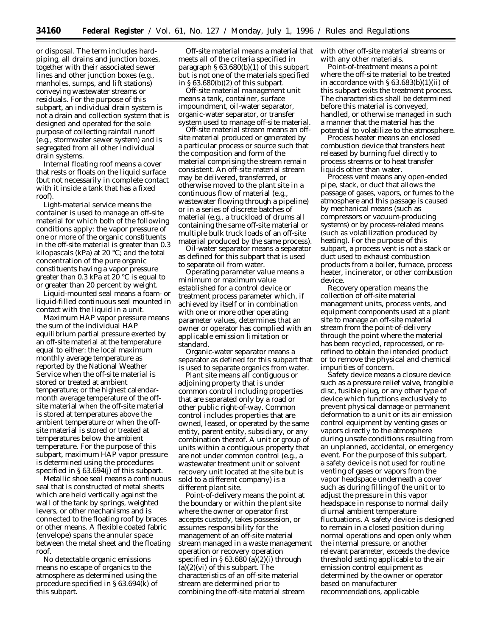or disposal. The term includes hardpiping, all drains and junction boxes, together with their associated sewer lines and other junction boxes (e.g., manholes, sumps, and lift stations) conveying wastewater streams or residuals. For the purpose of this subpart, an individual drain system is not a drain and collection system that is designed and operated for the sole purpose of collecting rainfall runoff (e.g., stormwater sewer system) and is segregated from all other individual drain systems.

*Internal floating roof* means a cover that rests or floats on the liquid surface (but not necessarily in complete contact with it inside a tank that has a fixed roof).

*Light-material service* means the container is used to manage an off-site material for which both of the following conditions apply: the vapor pressure of one or more of the organic constituents in the off-site material is greater than 0.3 kilopascals (kPa) at 20  $\degree$ C; and the total concentration of the pure organic constituents having a vapor pressure greater than 0.3 kPa at 20  $\degree$ C is equal to or greater than 20 percent by weight.

*Liquid-mounted seal* means a foam- or liquid-filled continuous seal mounted in contact with the liquid in a unit.

*Maximum HAP vapor pressure* means the sum of the individual HAP equilibrium partial pressure exerted by an off-site material at the temperature equal to either: the local maximum monthly average temperature as reported by the National Weather Service when the off-site material is stored or treated at ambient temperature; or the highest calendarmonth average temperature of the offsite material when the off-site material is stored at temperatures above the ambient temperature or when the offsite material is stored or treated at temperatures below the ambient temperature. For the purpose of this subpart, maximum HAP vapor pressure is determined using the procedures specified in § 63.694(j) of this subpart.

*Metallic shoe seal* means a continuous seal that is constructed of metal sheets which are held vertically against the wall of the tank by springs, weighted levers, or other mechanisms and is connected to the floating roof by braces or other means. A flexible coated fabric (envelope) spans the annular space between the metal sheet and the floating roof.

*No detectable organic emissions* means no escape of organics to the atmosphere as determined using the procedure specified in § 63.694(k) of this subpart.

*Off-site material* means a material that meets all of the criteria specified in paragraph § 63.680(b)(1) of this subpart but is not one of the materials specified in  $\S 63.680(b)(2)$  of this subpart.

*Off-site material management unit* means a tank, container, surface impoundment, oil-water separator, organic-water separator, or transfer system used to manage off-site material.

*Off-site material stream* means an offsite material produced or generated by a particular process or source such that the composition and form of the material comprising the stream remain consistent. An off-site material stream may be delivered, transferred, or otherwise moved to the plant site in a continuous flow of material (e.g., wastewater flowing through a pipeline) or in a series of discrete batches of material (e.g., a truckload of drums all containing the same off-site material or multiple bulk truck loads of an off-site material produced by the same process).

*Oil-water separator* means a separator as defined for this subpart that is used to separate oil from water.

*Operating parameter value* means a minimum or maximum value established for a control device or treatment process parameter which, if achieved by itself or in combination with one or more other operating parameter values, determines that an owner or operator has complied with an applicable emission limitation or standard.

*Organic-water separator* means a separator as defined for this subpart that is used to separate organics from water.

*Plant site* means all contiguous or adjoining property that is under common control including properties that are separated only by a road or other public right-of-way. Common control includes properties that are owned, leased, or operated by the same entity, parent entity, subsidiary, or any combination thereof. A unit or group of units within a contiguous property that are not under common control (e.g., a wastewater treatment unit or solvent recovery unit located at the site but is sold to a different company) is a different plant site.

*Point-of-delivery* means the point at the boundary or within the plant site where the owner or operator first accepts custody, takes possession, or assumes responsibility for the management of an off-site material stream managed in a waste management operation or recovery operation specified in § 63.680 (a)(2)(i) through (a)(2)(vi) of this subpart. The characteristics of an off-site material stream are determined prior to combining the off-site material stream

with other off-site material streams or with any other materials.

*Point-of-treatment* means a point where the off-site material to be treated in accordance with  $\S 63.683(b)(1)(ii)$  of this subpart exits the treatment process. The characteristics shall be determined before this material is conveyed, handled, or otherwise managed in such a manner that the material has the potential to volatilize to the atmosphere.

*Process heater* means an enclosed combustion device that transfers heat released by burning fuel directly to process streams or to heat transfer liquids other than water.

*Process vent* means any open-ended pipe, stack, or duct that allows the passage of gases, vapors, or fumes to the atmosphere and this passage is caused by mechanical means (such as compressors or vacuum-producing systems) or by process-related means (such as volatilization produced by heating). For the purpose of this subpart, a process vent is not a stack or duct used to exhaust combustion products from a boiler, furnace, process heater, incinerator, or other combustion device.

*Recovery operation* means the collection of off-site material management units, process vents, and equipment components used at a plant site to manage an off-site material stream from the point-of-delivery through the point where the material has been recycled, reprocessed, or rerefined to obtain the intended product or to remove the physical and chemical impurities of concern.

*Safety device* means a closure device such as a pressure relief valve, frangible disc, fusible plug, or any other type of device which functions exclusively to prevent physical damage or permanent deformation to a unit or its air emission control equipment by venting gases or vapors directly to the atmosphere during unsafe conditions resulting from an unplanned, accidental, or emergency event. For the purpose of this subpart, a safety device is not used for routine venting of gases or vapors from the vapor headspace underneath a cover such as during filling of the unit or to adjust the pressure in this vapor headspace in response to normal daily diurnal ambient temperature fluctuations. A safety device is designed to remain in a closed position during normal operations and open only when the internal pressure, or another relevant parameter, exceeds the device threshold setting applicable to the air emission control equipment as determined by the owner or operator based on manufacturer recommendations, applicable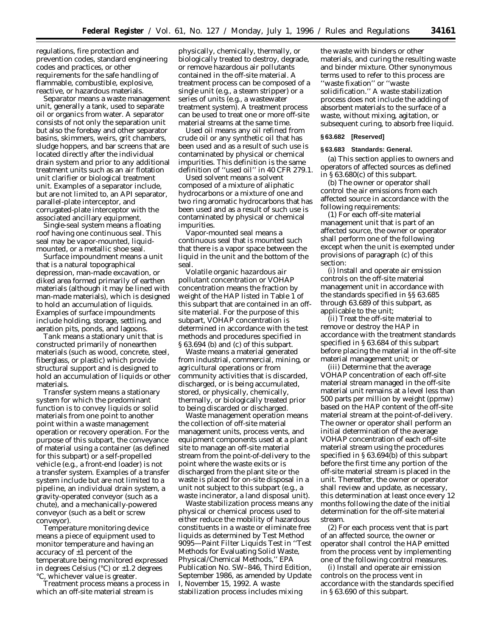regulations, fire protection and prevention codes, standard engineering codes and practices, or other requirements for the safe handling of flammable, combustible, explosive, reactive, or hazardous materials.

*Separator* means a waste management unit, generally a tank, used to separate oil or organics from water. A separator consists of not only the separation unit but also the forebay and other separator basins, skimmers, weirs, grit chambers, sludge hoppers, and bar screens that are located directly after the individual drain system and prior to any additional treatment units such as an air flotation unit clarifier or biological treatment unit. Examples of a separator include, but are not limited to, an API separator, parallel-plate interceptor, and corrugated-plate interceptor with the associated ancillary equipment.

*Single-seal system* means a floating roof having one continuous seal. This seal may be vapor-mounted, liquidmounted, or a metallic shoe seal.

*Surface impoundment* means a unit that is a natural topographical depression, man-made excavation, or diked area formed primarily of earthen materials (although it may be lined with man-made materials), which is designed to hold an accumulation of liquids. Examples of surface impoundments include holding, storage, settling, and aeration pits, ponds, and lagoons.

*Tank* means a stationary unit that is constructed primarily of nonearthen materials (such as wood, concrete, steel, fiberglass, or plastic) which provide structural support and is designed to hold an accumulation of liquids or other materials.

*Transfer system* means a stationary system for which the predominant function is to convey liquids or solid materials from one point to another point within a waste management operation or recovery operation. For the purpose of this subpart, the conveyance of material using a container (as defined for this subpart) or a self-propelled vehicle (e.g., a front-end loader) is not a transfer system. Examples of a transfer system include but are not limited to a pipeline, an individual drain system, a gravity-operated conveyor (such as a chute), and a mechanically-powered conveyor (such as a belt or screw conveyor).

*Temperature monitoring device* means a piece of equipment used to monitor temperature and having an accuracy of ±1 percent of the temperature being monitored expressed in degrees Celsius (°C) or ±1.2 degrees °C, whichever value is greater.

*Treatment process* means a process in which an off-site material stream is

physically, chemically, thermally, or biologically treated to destroy, degrade, or remove hazardous air pollutants contained in the off-site material. A treatment process can be composed of a single unit (e.g., a steam stripper) or a series of units (e.g., a wastewater treatment system). A treatment process can be used to treat one or more off-site material streams at the same time.

*Used oil* means any oil refined from crude oil or any synthetic oil that has been used and as a result of such use is contaminated by physical or chemical impurities. This definition is the same definition of ''used oil'' in 40 CFR 279.1.

*Used solvent* means a solvent composed of a mixture of aliphatic hydrocarbons or a mixture of one and two ring aromatic hydrocarbons that has been used and as a result of such use is contaminated by physical or chemical impurities.

*Vapor-mounted seal* means a continuous seal that is mounted such that there is a vapor space between the liquid in the unit and the bottom of the seal.

*Volatile organic hazardous air pollutant concentration or VOHAP concentration* means the fraction by weight of the HAP listed in Table 1 of this subpart that are contained in an offsite material. For the purpose of this subpart, VOHAP concentration is determined in accordance with the test methods and procedures specified in § 63.694 (b) and (c) of this subpart.

*Waste* means a material generated from industrial, commercial, mining, or agricultural operations or from community activities that is discarded, discharged, or is being accumulated, stored, or physically, chemically, thermally, or biologically treated prior to being discarded or discharged.

*Waste management operation* means the collection of off-site material management units, process vents, and equipment components used at a plant site to manage an off-site material stream from the point-of-delivery to the point where the waste exits or is discharged from the plant site or the waste is placed for on-site disposal in a unit not subject to this subpart (e.g., a waste incinerator, a land disposal unit).

*Waste stabilization process* means any physical or chemical process used to either reduce the mobility of hazardous constituents in a waste or eliminate free liquids as determined by Test Method 9095—Paint Filter Liquids Test in ''Test Methods for Evaluating Solid Waste, Physical/Chemical Methods,'' EPA Publication No. SW–846, Third Edition, September 1986, as amended by Update I, November 15, 1992. A waste stabilization process includes mixing

the waste with binders or other materials, and curing the resulting waste and binder mixture. Other synonymous terms used to refer to this process are ''waste fixation'' or ''waste solidification.'' A waste stabilization process does not include the adding of absorbent materials to the surface of a waste, without mixing, agitation, or subsequent curing, to absorb free liquid.

## **§ 63.682 [Reserved]**

## **§ 63.683 Standards: General.**

(a) This section applies to owners and operators of affected sources as defined in § 63.680(c) of this subpart.

(b) The owner or operator shall control the air emissions from each affected source in accordance with the following requirements:

(1) For each off-site material management unit that is part of an affected source, the owner or operator shall perform one of the following except when the unit is exempted under provisions of paragraph (c) of this section:

(i) Install and operate air emission controls on the off-site material management unit in accordance with the standards specified in §§ 63.685 through 63.689 of this subpart, as applicable to the unit;

(ii) Treat the off-site material to remove or destroy the HAP in accordance with the treatment standards specified in § 63.684 of this subpart before placing the material in the off-site material management unit; or

(iii) Determine that the average VOHAP concentration of each off-site material stream managed in the off-site material unit remains at a level less than 500 parts per million by weight (ppmw) based on the HAP content of the off-site material stream at the point-of-delivery. The owner or operator shall perform an initial determination of the average VOHAP concentration of each off-site material stream using the procedures specified in § 63.694(b) of this subpart before the first time any portion of the off-site material stream is placed in the unit. Thereafter, the owner or operator shall review and update, as necessary, this determination at least once every 12 months following the date of the initial determination for the off-site material stream.

(2) For each process vent that is part of an affected source, the owner or operator shall control the HAP emitted from the process vent by implementing one of the following control measures.

(i) Install and operate air emission controls on the process vent in accordance with the standards specified in § 63.690 of this subpart.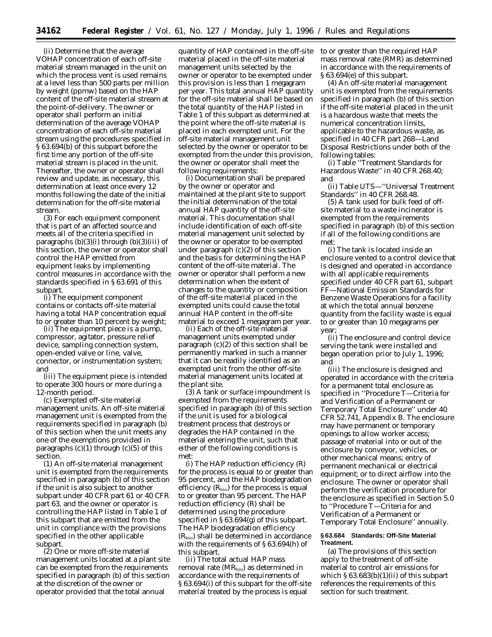(ii) Determine that the average VOHAP concentration of each off-site material stream managed in the unit on which the process vent is used remains at a level less than 500 parts per million by weight (ppmw) based on the HAP content of the off-site material stream at the point-of-delivery. The owner or operator shall perform an initial determination of the average VOHAP concentration of each off-site material stream using the procedures specified in § 63.694(b) of this subpart before the first time any portion of the off-site material stream is placed in the unit. Thereafter, the owner or operator shall review and update, as necessary, this determination at least once every 12 months following the date of the initial determination for the off-site material stream.

(3) For each equipment component that is part of an affected source and meets all of the criteria specified in paragraphs  $(b)(3)(i)$  through  $(b)(3)(iii)$  of this section, the owner or operator shall control the HAP emitted from equipment leaks by implementing control measures in accordance with the standards specified in § 63.691 of this subpart.

(i) The equipment component contains or contacts off-site material having a total HAP concentration equal to or greater than 10 percent by weight;

(ii) The equipment piece is a pump, compressor, agitator, pressure relief device, sampling connection system, open-ended valve or line, valve, connector, or instrumentation system; and

(iii) The equipment piece is intended to operate 300 hours or more during a 12-month period.

(c) Exempted off-site material management units. An off-site material management unit is exempted from the requirements specified in paragraph (b) of this section when the unit meets any one of the exemptions provided in paragraphs  $(c)(1)$  through  $(c)(5)$  of this section.

(1) An off-site material management unit is exempted from the requirements specified in paragraph (b) of this section if the unit is also subject to another subpart under 40 CFR part 61 or 40 CFR part 63, and the owner or operator is controlling the HAP listed in Table 1 of this subpart that are emitted from the unit in compliance with the provisions specified in the other applicable subpart.

(2) One or more off-site material management units located at a plant site can be exempted from the requirements specified in paragraph (b) of this section at the discretion of the owner or operator provided that the total annual

quantity of HAP contained in the off-site material placed in the off-site material management units selected by the owner or operator to be exempted under this provision is less than 1 megagram per year. This total annual HAP quantity for the off-site material shall be based on the total quantity of the HAP listed in Table 1 of this subpart as determined at the point where the off-site material is placed in each exempted unit. For the off-site material management unit selected by the owner or operator to be exempted from the under this provision, the owner or operator shall meet the following requirements:

(i) Documentation shall be prepared by the owner or operator and maintained at the plant site to support the initial determination of the total annual HAP quantity of the off-site material. This documentation shall include identification of each off-site material management unit selected by the owner or operator to be exempted under paragraph (c)(2) of this section and the basis for determining the HAP content of the off-site material. The owner or operator shall perform a new determination when the extent of changes to the quantity or composition of the off-site material placed in the exempted units could cause the total annual HAP content in the off-site material to exceed 1 megagram per year.

(ii) Each of the off-site material management units exempted under paragraph (c)(2) of this section shall be permanently marked in such a manner that it can be readily identified as an exempted unit from the other off-site material management units located at the plant site.

(3) A tank or surface impoundment is exempted from the requirements specified in paragraph (b) of this section if the unit is used for a biological treatment process that destroys or degrades the HAP contained in the material entering the unit, such that either of the following conditions is met:

(i) The HAP reduction efficiency (R) for the process is equal to or greater than 95 percent, and the HAP biodegradation efficiency  $(R<sub>bio</sub>)$  for the process is equal to or greater than 95 percent. The HAP reduction efficiency (R) shall be determined using the procedure specified in § 63.694(g) of this subpart. The HAP biodegradation efficiency  $(R<sub>bio</sub>)$  shall be determined in accordance with the requirements of § 63.694(h) of this subpart.

(ii) The total actual HAP mass removal rate (MRbio) as determined in accordance with the requirements of § 63.694(i) of this subpart for the off-site material treated by the process is equal

to or greater than the required HAP mass removal rate (RMR) as determined in accordance with the requirements of § 63.694(e) of this subpart.

(4) An off-site material management unit is exempted from the requirements specified in paragraph (b) of this section if the off-site material placed in the unit is a hazardous waste that meets the numerical concentration limits, applicable to the hazardous waste, as specified in 40 CFR part 268—Land Disposal Restrictions under both of the following tables:

(i) Table ''Treatment Standards for Hazardous Waste'' in 40 CFR 268.40; and

(ii) Table UTS—''Universal Treatment Standards'' in 40 CFR 268.48.

(5) A tank used for bulk feed of offsite material to a waste incinerator is exempted from the requirements specified in paragraph (b) of this section if all of the following conditions are met:

(i) The tank is located inside an enclosure vented to a control device that is designed and operated in accordance with all applicable requirements specified under 40 CFR part 61, subpart FF—National Emission Standards for Benzene Waste Operations for a facility at which the total annual benzene quantity from the facility waste is equal to or greater than 10 megagrams per year;

(ii) The enclosure and control device serving the tank were installed and began operation prior to July 1, 1996; and

(iii) The enclosure is designed and operated in accordance with the criteria for a permanent total enclosure as specified in ''Procedure T—Criteria for and Verification of a Permanent or Temporary Total Enclosure'' under 40 CFR 52.741, Appendix B. The enclosure may have permanent or temporary openings to allow worker access; passage of material into or out of the enclosure by conveyor, vehicles, or other mechanical means; entry of permanent mechanical or electrical equipment; or to direct airflow into the enclosure. The owner or operator shall perform the verification procedure for the enclosure as specified in Section 5.0 to ''Procedure T—Criteria for and Verification of a Permanent or Temporary Total Enclosure'' annually.

## **§ 63.684 Standards: Off-Site Material Treatment.**

(a) The provisions of this section apply to the treatment of off-site material to control air emissions for which  $\S 63.683(b)(1)(ii)$  of this subpart references the requirements of this section for such treatment.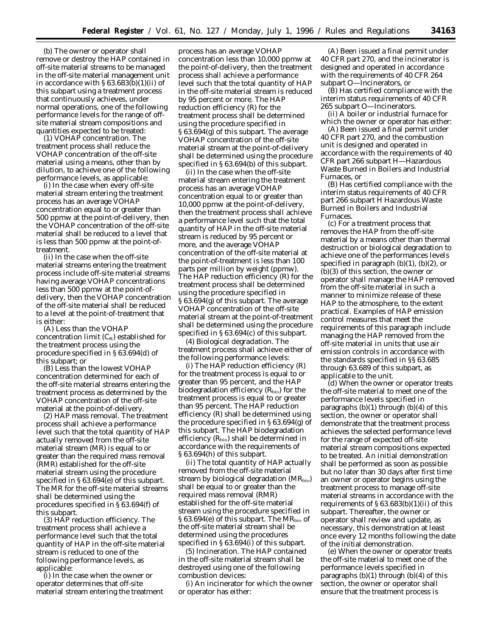(b) The owner or operator shall remove or destroy the HAP contained in off-site material streams to be managed in the off-site material management unit in accordance with  $\S 63.683(b)(1)(ii)$  of this subpart using a treatment process that continuously achieves, under normal operations, one of the following performance levels for the range of offsite material stream compositions and quantities expected to be treated:

(1) *VOHAP concentration.* The treatment process shall reduce the VOHAP concentration of the off-site material using a means, other than by dilution, to achieve one of the following performance levels, as applicable:

(i) In the case when every off-site material stream entering the treatment process has an average VOHAP concentration equal to or greater than 500 ppmw at the point-of-delivery, then the VOHAP concentration of the off-site material shall be reduced to a level that is less than 500 ppmw at the point-oftreatment.

(ii) In the case when the off-site material streams entering the treatment process include off-site material streams having average VOHAP concentrations less than 500 ppmw at the point-ofdelivery, then the VOHAP concentration of the off-site material shall be reduced to a level at the point-of-treatment that is either:

(A) Less than the VOHAP concentration limit  $(C_R)$  established for the treatment process using the procedure specified in § 63.694(d) of this subpart; or

(B) Less than the lowest VOHAP concentration determined for each of the off-site material streams entering the treatment process as determined by the VOHAP concentration of the off-site material at the point-of-delivery.

(2) *HAP mass removal.* The treatment process shall achieve a performance level such that the total quantity of HAP actually removed from the off-site material stream (MR) is equal to or greater than the required mass removal (RMR) established for the off-site material stream using the procedure specified in § 63.694(e) of this subpart. The MR for the off-site material streams shall be determined using the procedures specified in § 63.694(f) of this subpart.

(3) *HAP reduction efficiency.* The treatment process shall achieve a performance level such that the total quantity of HAP in the off-site material stream is reduced to one of the following performance levels, as applicable:

(i) In the case when the owner or operator determines that off-site material stream entering the treatment

process has an average VOHAP concentration less than 10,000 ppmw at the point-of-delivery, then the treatment process shall achieve a performance level such that the total quantity of HAP in the off-site material stream is reduced by 95 percent or more. The HAP reduction efficiency (R) for the treatment process shall be determined using the procedure specified in § 63.694(g) of this subpart. The average VOHAP concentration of the off-site material stream at the point-of-delivery shall be determined using the procedure specified in § 63.694(b) of this subpart.

(ii) In the case when the off-site material stream entering the treatment process has an average VOHAP concentration equal to or greater than 10,000 ppmw at the point-of-delivery, then the treatment process shall achieve a performance level such that the total quantity of HAP in the off-site material stream is reduced by 95 percent or more, and the average VOHAP concentration of the off-site material at the point-of-treatment is less than 100 parts per million by weight (ppmw). The HAP reduction efficiency (R) for the treatment process shall be determined using the procedure specified in § 63.694(g) of this subpart. The average VOHAP concentration of the off-site material stream at the point-of-treatment shall be determined using the procedure specified in § 63.694(c) of this subpart.

(4) *Biological degradation.* The treatment process shall achieve either of the following performance levels:

(i) The HAP reduction efficiency (R) for the treatment process is equal to or greater than 95 percent, and the HAP biodegradation efficiency  $(R_{bio})$  for the treatment process is equal to or greater than 95 percent. The HAP reduction efficiency (R) shall be determined using the procedure specified in § 63.694(g) of this subpart. The HAP biodegradation efficiency  $(R_{bio})$  shall be determined in accordance with the requirements of § 63.694(h) of this subpart.

(ii) The total quantity of HAP actually removed from the off-site material stream by biological degradation  $(MR_{bio})$ shall be equal to or greater than the required mass removal (RMR) established for the off-site material stream using the procedure specified in § 63.694(e) of this subpart. The  $MR_{bio}$  of the off-site material stream shall be determined using the procedures specified in § 63.694(i) of this subpart.

(5) *Incineration.* The HAP contained in the off-site material stream shall be destroyed using one of the following combustion devices:

(i) An incinerator for which the owner or operator has either:

(A) Been issued a final permit under 40 CFR part 270, and the incinerator is designed and operated in accordance with the requirements of 40 CFR 264 subpart O—Incinerators, or

(B) Has certified compliance with the interim status requirements of 40 CFR 265 subpart O—Incinerators.

(ii) A boiler or industrial furnace for which the owner or operator has either:

(A) Been issued a final permit under 40 CFR part 270, and the combustion unit is designed and operated in accordance with the requirements of 40 CFR part 266 subpart H—Hazardous Waste Burned in Boilers and Industrial Furnaces, or

(B) Has certified compliance with the interim status requirements of 40 CFR part 266 subpart H Hazardous Waste Burned in Boilers and Industrial Furnaces.

(c) For a treatment process that removes the HAP from the off-site material by a means other than thermal destruction or biological degradation to achieve one of the performances levels specified in paragraph  $(b)(1)$ ,  $(b)(2)$ , or (b)(3) of this section, the owner or operator shall manage the HAP removed from the off-site material in such a manner to minimize release of these HAP to the atmosphere, to the extent practical. Examples of HAP emission control measures that meet the requirements of this paragraph include managing the HAP removed from the off-site material in units that use air emission controls in accordance with the standards specified in §§ 63.685 through 63.689 of this subpart, as applicable to the unit.

(d) When the owner or operator treats the off-site material to meet one of the performance levels specified in paragraphs  $(b)(1)$  through  $(b)(4)$  of this section, the owner or operator shall demonstrate that the treatment process achieves the selected performance level for the range of expected off-site material stream compositions expected to be treated. An initial demonstration shall be performed as soon as possible but no later than 30 days after first time an owner or operator begins using the treatment process to manage off-site material streams in accordance with the requirements of  $\S 63.683(b)(1)(ii)$  of this subpart. Thereafter, the owner or operator shall review and update, as necessary, this demonstration at least once every 12 months following the date of the initial demonstration.

(e) When the owner or operator treats the off-site material to meet one of the performance levels specified in paragraphs  $(b)(1)$  through  $(b)(4)$  of this section, the owner or operator shall ensure that the treatment process is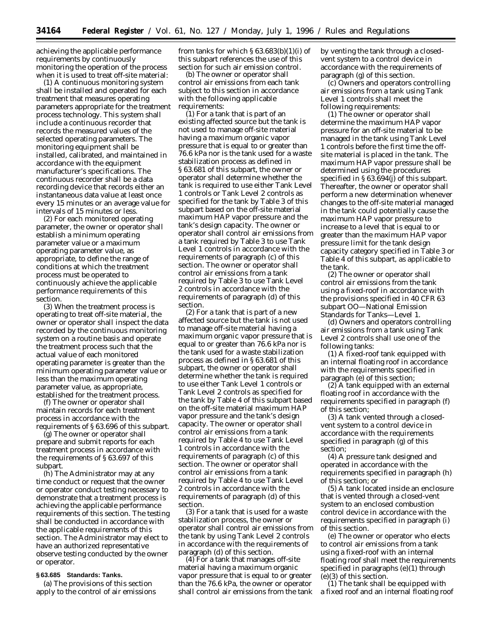achieving the applicable performance requirements by continuously monitoring the operation of the process when it is used to treat off-site material:

(1) A continuous monitoring system shall be installed and operated for each treatment that measures operating parameters appropriate for the treatment process technology. This system shall include a continuous recorder that records the measured values of the selected operating parameters. The monitoring equipment shall be installed, calibrated, and maintained in accordance with the equipment manufacturer's specifications. The continuous recorder shall be a data recording device that records either an instantaneous data value at least once every 15 minutes or an average value for intervals of 15 minutes or less.

(2) For each monitored operating parameter, the owner or operator shall establish a minimum operating parameter value or a maximum operating parameter value, as appropriate, to define the range of conditions at which the treatment process must be operated to continuously achieve the applicable performance requirements of this section.

(3) When the treatment process is operating to treat off-site material, the owner or operator shall inspect the data recorded by the continuous monitoring system on a routine basis and operate the treatment process such that the actual value of each monitored operating parameter is greater than the minimum operating parameter value or less than the maximum operating parameter value, as appropriate, established for the treatment process.

(f) The owner or operator shall maintain records for each treatment process in accordance with the requirements of § 63.696 of this subpart.

(g) The owner or operator shall prepare and submit reports for each treatment process in accordance with the requirements of § 63.697 of this subpart.

(h) The Administrator may at any time conduct or request that the owner or operator conduct testing necessary to demonstrate that a treatment process is achieving the applicable performance requirements of this section. The testing shall be conducted in accordance with the applicable requirements of this section. The Administrator may elect to have an authorized representative observe testing conducted by the owner or operator.

## **§ 63.685 Standards: Tanks.**

(a) The provisions of this section apply to the control of air emissions from tanks for which  $\S 63.683(b)(1)(i)$  of this subpart references the use of this section for such air emission control.

(b) The owner or operator shall control air emissions from each tank subject to this section in accordance with the following applicable requirements:

(1) For a tank that is part of an existing affected source but the tank is not used to manage off-site material having a maximum organic vapor pressure that is equal to or greater than 76.6 kPa nor is the tank used for a waste stabilization process as defined in § 63.681 of this subpart, the owner or operator shall determine whether the tank is required to use either Tank Level 1 controls or Tank Level 2 controls as specified for the tank by Table 3 of this subpart based on the off-site material maximum HAP vapor pressure and the tank's design capacity. The owner or operator shall control air emissions from a tank required by Table 3 to use Tank Level 1 controls in accordance with the requirements of paragraph (c) of this section. The owner or operator shall control air emissions from a tank required by Table 3 to use Tank Level 2 controls in accordance with the requirements of paragraph (d) of this section.

(2) For a tank that is part of a new affected source but the tank is not used to manage off-site material having a maximum organic vapor pressure that is equal to or greater than 76.6 kPa nor is the tank used for a waste stabilization process as defined in § 63.681 of this subpart, the owner or operator shall determine whether the tank is required to use either Tank Level 1 controls or Tank Level 2 controls as specified for the tank by Table 4 of this subpart based on the off-site material maximum HAP vapor pressure and the tank's design capacity. The owner or operator shall control air emissions from a tank required by Table 4 to use Tank Level 1 controls in accordance with the requirements of paragraph (c) of this section. The owner or operator shall control air emissions from a tank required by Table 4 to use Tank Level 2 controls in accordance with the requirements of paragraph (d) of this section.

(3) For a tank that is used for a waste stabilization process, the owner or operator shall control air emissions from the tank by using Tank Level 2 controls in accordance with the requirements of paragraph (d) of this section.

(4) For a tank that manages off-site material having a maximum organic vapor pressure that is equal to or greater than the 76.6 kPa, the owner or operator shall control air emissions from the tank by venting the tank through a closedvent system to a control device in accordance with the requirements of paragraph (g) of this section.

(c) Owners and operators controlling air emissions from a tank using Tank Level 1 controls shall meet the following requirements:

(1) The owner or operator shall determine the maximum HAP vapor pressure for an off-site material to be managed in the tank using Tank Level 1 controls before the first time the offsite material is placed in the tank. The maximum HAP vapor pressure shall be determined using the procedures specified in § 63.694(j) of this subpart. Thereafter, the owner or operator shall perform a new determination whenever changes to the off-site material managed in the tank could potentially cause the maximum HAP vapor pressure to increase to a level that is equal to or greater than the maximum HAP vapor pressure limit for the tank design capacity category specified in Table 3 or Table 4 of this subpart, as applicable to the tank.

(2) The owner or operator shall control air emissions from the tank using a fixed-roof in accordance with the provisions specified in 40 CFR 63 subpart OO—National Emission Standards for Tanks—Level 1.

(d) Owners and operators controlling air emissions from a tank using Tank Level 2 controls shall use one of the following tanks:

(1) A fixed-roof tank equipped with an internal floating roof in accordance with the requirements specified in paragraph (e) of this section;

(2) A tank equipped with an external floating roof in accordance with the requirements specified in paragraph (f) of this section;

(3) A tank vented through a closedvent system to a control device in accordance with the requirements specified in paragraph (g) of this section;

(4) A pressure tank designed and operated in accordance with the requirements specified in paragraph (h) of this section; or

(5) A tank located inside an enclosure that is vented through a closed-vent system to an enclosed combustion control device in accordance with the requirements specified in paragraph (i) of this section.

(e) The owner or operator who elects to control air emissions from a tank using a fixed-roof with an internal floating roof shall meet the requirements specified in paragraphs (e)(1) through (e)(3) of this section.

(1) The tank shall be equipped with a fixed roof and an internal floating roof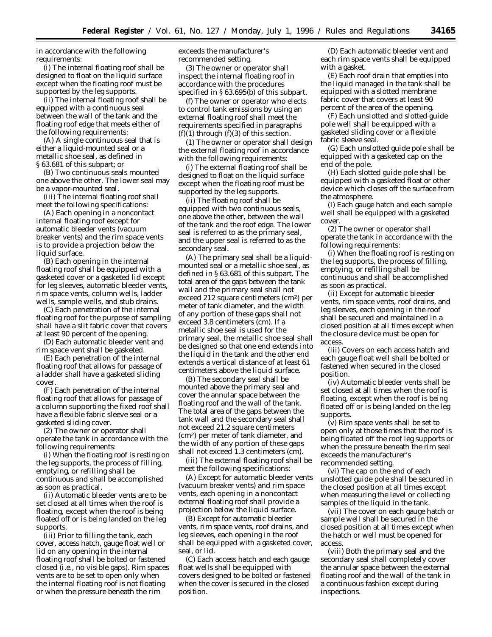in accordance with the following requirements:

(i) The internal floating roof shall be designed to float on the liquid surface except when the floating roof must be supported by the leg supports.

(ii) The internal floating roof shall be equipped with a continuous seal between the wall of the tank and the floating roof edge that meets either of the following requirements:

(A) A single continuous seal that is either a liquid-mounted seal or a metallic shoe seal, as defined in § 63.681 of this subpart; or

(B) Two continuous seals mounted one above the other. The lower seal may be a vapor-mounted seal.

(iii) The internal floating roof shall meet the following specifications:

(A) Each opening in a noncontact internal floating roof except for automatic bleeder vents (vacuum breaker vents) and the rim space vents is to provide a projection below the liquid surface.

(B) Each opening in the internal floating roof shall be equipped with a gasketed cover or a gasketed lid except for leg sleeves, automatic bleeder vents, rim space vents, column wells, ladder wells, sample wells, and stub drains.

(C) Each penetration of the internal floating roof for the purpose of sampling shall have a slit fabric cover that covers at least 90 percent of the opening.

(D) Each automatic bleeder vent and rim space vent shall be gasketed.

(E) Each penetration of the internal floating roof that allows for passage of a ladder shall have a gasketed sliding cover.

(F) Each penetration of the internal floating roof that allows for passage of a column supporting the fixed roof shall have a flexible fabric sleeve seal or a gasketed sliding cover.

(2) The owner or operator shall operate the tank in accordance with the following requirements:

(i) When the floating roof is resting on the leg supports, the process of filling, emptying, or refilling shall be continuous and shall be accomplished as soon as practical.

(ii) Automatic bleeder vents are to be set closed at all times when the roof is floating, except when the roof is being floated off or is being landed on the leg supports.

(iii) Prior to filling the tank, each cover, access hatch, gauge float well or lid on any opening in the internal floating roof shall be bolted or fastened closed (i.e., no visible gaps). Rim spaces vents are to be set to open only when the internal floating roof is not floating or when the pressure beneath the rim

exceeds the manufacturer's recommended setting.

(3) The owner or operator shall inspect the internal floating roof in accordance with the procedures specified in § 63.695(b) of this subpart.

(f) The owner or operator who elects to control tank emissions by using an external floating roof shall meet the requirements specified in paragraphs  $(f)(1)$  through  $(f)(3)$  of this section.

(1) The owner or operator shall design the external floating roof in accordance with the following requirements:

(i) The external floating roof shall be designed to float on the liquid surface except when the floating roof must be supported by the leg supports.

(ii) The floating roof shall be equipped with two continuous seals, one above the other, between the wall of the tank and the roof edge. The lower seal is referred to as the primary seal, and the upper seal is referred to as the secondary seal.

(A) The primary seal shall be a liquidmounted seal or a metallic shoe seal, as defined in § 63.681 of this subpart. The total area of the gaps between the tank wall and the primary seal shall not exceed 212 square centimeters (cm2) per meter of tank diameter, and the width of any portion of these gaps shall not exceed 3.8 centimeters (cm). If a metallic shoe seal is used for the primary seal, the metallic shoe seal shall be designed so that one end extends into the liquid in the tank and the other end extends a vertical distance of at least 61 centimeters above the liquid surface.

(B) The secondary seal shall be mounted above the primary seal and cover the annular space between the floating roof and the wall of the tank. The total area of the gaps between the tank wall and the secondary seal shall not exceed 21.2 square centimeters (cm2) per meter of tank diameter, and the width of any portion of these gaps shall not exceed 1.3 centimeters (cm).

(iii) The external floating roof shall be meet the following specifications:

(A) Except for automatic bleeder vents (vacuum breaker vents) and rim space vents, each opening in a noncontact external floating roof shall provide a projection below the liquid surface.

(B) Except for automatic bleeder vents, rim space vents, roof drains, and leg sleeves, each opening in the roof shall be equipped with a gasketed cover, seal, or lid.

(C) Each access hatch and each gauge float wells shall be equipped with covers designed to be bolted or fastened when the cover is secured in the closed position.

(D) Each automatic bleeder vent and each rim space vents shall be equipped with a gasket.

(E) Each roof drain that empties into the liquid managed in the tank shall be equipped with a slotted membrane fabric cover that covers at least 90 percent of the area of the opening.

(F) Each unslotted and slotted guide pole well shall be equipped with a gasketed sliding cover or a flexible fabric sleeve seal.

(G) Each unslotted guide pole shall be equipped with a gasketed cap on the end of the pole.

(H) Each slotted guide pole shall be equipped with a gasketed float or other device which closes off the surface from the atmosphere.

(I) Each gauge hatch and each sample well shall be equipped with a gasketed cover.

(2) The owner or operator shall operate the tank in accordance with the following requirements:

(i) When the floating roof is resting on the leg supports, the process of filling, emptying, or refilling shall be continuous and shall be accomplished as soon as practical.

(ii) Except for automatic bleeder vents, rim space vents, roof drains, and leg sleeves, each opening in the roof shall be secured and maintained in a closed position at all times except when the closure device must be open for access.

(iii) Covers on each access hatch and each gauge float well shall be bolted or fastened when secured in the closed position.

(iv) Automatic bleeder vents shall be set closed at all times when the roof is floating, except when the roof is being floated off or is being landed on the leg supports.

(v) Rim space vents shall be set to open only at those times that the roof is being floated off the roof leg supports or when the pressure beneath the rim seal exceeds the manufacturer's recommended setting.

(vi) The cap on the end of each unslotted guide pole shall be secured in the closed position at all times except when measuring the level or collecting samples of the liquid in the tank.

(vii) The cover on each gauge hatch or sample well shall be secured in the closed position at all times except when the hatch or well must be opened for access.

(viii) Both the primary seal and the secondary seal shall completely cover the annular space between the external floating roof and the wall of the tank in a continuous fashion except during inspections.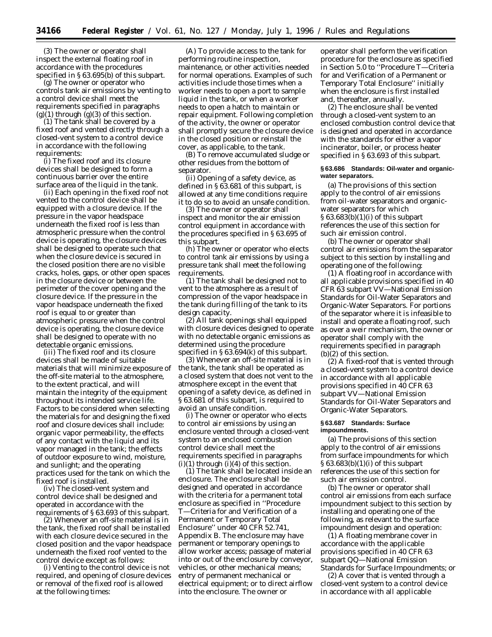(3) The owner or operator shall inspect the external floating roof in accordance with the procedures specified in § 63.695(b) of this subpart.

(g) The owner or operator who controls tank air emissions by venting to a control device shall meet the requirements specified in paragraphs  $(g)(1)$  through  $(g)(3)$  of this section.

(1) The tank shall be covered by a fixed roof and vented directly through a closed-vent system to a control device in accordance with the following requirements:

(i) The fixed roof and its closure devices shall be designed to form a continuous barrier over the entire surface area of the liquid in the tank.

(ii) Each opening in the fixed roof not vented to the control device shall be equipped with a closure device. If the pressure in the vapor headspace underneath the fixed roof is less than atmospheric pressure when the control device is operating, the closure devices shall be designed to operate such that when the closure device is secured in the closed position there are no visible cracks, holes, gaps, or other open spaces in the closure device or between the perimeter of the cover opening and the closure device. If the pressure in the vapor headspace underneath the fixed roof is equal to or greater than atmospheric pressure when the control device is operating, the closure device shall be designed to operate with no detectable organic emissions.

(iii) The fixed roof and its closure devices shall be made of suitable materials that will minimize exposure of the off-site material to the atmosphere, to the extent practical, and will maintain the integrity of the equipment throughout its intended service life. Factors to be considered when selecting the materials for and designing the fixed roof and closure devices shall include: organic vapor permeability, the effects of any contact with the liquid and its vapor managed in the tank; the effects of outdoor exposure to wind, moisture, and sunlight; and the operating practices used for the tank on which the fixed roof is installed.

(iv) The closed-vent system and control device shall be designed and operated in accordance with the requirements of § 63.693 of this subpart.

(2) Whenever an off-site material is in the tank, the fixed roof shall be installed with each closure device secured in the closed position and the vapor headspace underneath the fixed roof vented to the control device except as follows:

(i) Venting to the control device is not required, and opening of closure devices or removal of the fixed roof is allowed at the following times:

(A) To provide access to the tank for performing routine inspection, maintenance, or other activities needed for normal operations. Examples of such activities include those times when a worker needs to open a port to sample liquid in the tank, or when a worker needs to open a hatch to maintain or repair equipment. Following completion of the activity, the owner or operator shall promptly secure the closure device in the closed position or reinstall the cover, as applicable, to the tank.

(B) To remove accumulated sludge or other residues from the bottom of separator.

(ii) Opening of a safety device, as defined in § 63.681 of this subpart, is allowed at any time conditions require it to do so to avoid an unsafe condition.

(3) The owner or operator shall inspect and monitor the air emission control equipment in accordance with the procedures specified in § 63.695 of this subpart.

(h) The owner or operator who elects to control tank air emissions by using a pressure tank shall meet the following requirements.

(1) The tank shall be designed not to vent to the atmosphere as a result of compression of the vapor headspace in the tank during filling of the tank to its design capacity.

(2) All tank openings shall equipped with closure devices designed to operate with no detectable organic emissions as determined using the procedure specified in § 63.694(k) of this subpart.

(3) Whenever an off-site material is in the tank, the tank shall be operated as a closed system that does not vent to the atmosphere except in the event that opening of a safety device, as defined in § 63.681 of this subpart, is required to avoid an unsafe condition.

(i) The owner or operator who elects to control air emissions by using an enclosure vented through a closed-vent system to an enclosed combustion control device shall meet the requirements specified in paragraphs  $(i)(1)$  through  $(i)(4)$  of this section.

(1) The tank shall be located inside an enclosure. The enclosure shall be designed and operated in accordance with the criteria for a permanent total enclosure as specified in ''Procedure T—Criteria for and Verification of a Permanent or Temporary Total Enclosure'' under 40 CFR 52.741, Appendix B. The enclosure may have permanent or temporary openings to allow worker access; passage of material into or out of the enclosure by conveyor, vehicles, or other mechanical means; entry of permanent mechanical or electrical equipment; or to direct airflow into the enclosure. The owner or

operator shall perform the verification procedure for the enclosure as specified in Section 5.0 to ''Procedure T—Criteria for and Verification of a Permanent or Temporary Total Enclosure'' initially when the enclosure is first installed and, thereafter, annually.

(2) The enclosure shall be vented through a closed-vent system to an enclosed combustion control device that is designed and operated in accordance with the standards for either a vapor incinerator, boiler, or process heater specified in § 63.693 of this subpart.

## **§ 63.686 Standards: Oil-water and organicwater separators.**

(a) The provisions of this section apply to the control of air emissions from oil-water separators and organicwater separators for which § 63.683(b)(1)(i) of this subpart references the use of this section for such air emission control.

(b) The owner or operator shall control air emissions from the separator subject to this section by installing and operating one of the following:

(1) A floating roof in accordance with all applicable provisions specified in 40 CFR 63 subpart VV—National Emission Standards for Oil-Water Separators and Organic-Water Separators. For portions of the separator where it is infeasible to install and operate a floating roof, such as over a weir mechanism, the owner or operator shall comply with the requirements specified in paragraph (b)(2) of this section.

(2) A fixed-roof that is vented through a closed-vent system to a control device in accordance with all applicable provisions specified in 40 CFR 63 subpart VV—National Emission Standards for Oil-Water Separators and Organic-Water Separators.

## **§ 63.687 Standards: Surface impoundments.**

(a) The provisions of this section apply to the control of air emissions from surface impoundments for which § 63.683(b)(1)(i) of this subpart references the use of this section for such air emission control.

(b) The owner or operator shall control air emissions from each surface impoundment subject to this section by installing and operating one of the following, as relevant to the surface impoundment design and operation:

(1) A floating membrane cover in accordance with the applicable provisions specified in 40 CFR 63 subpart QQ—National Emission Standards for Surface Impoundments; or

(2) A cover that is vented through a closed-vent system to a control device in accordance with all applicable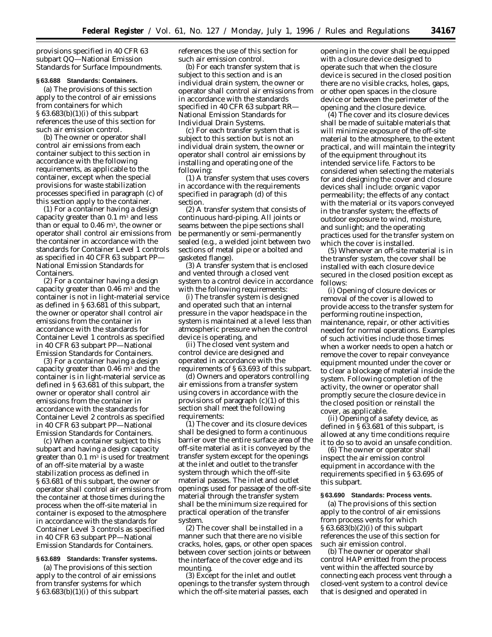provisions specified in 40 CFR 63 subpart QQ—National Emission Standards for Surface Impoundments.

# **§ 63.688 Standards: Containers.**

(a) The provisions of this section apply to the control of air emissions from containers for which § 63.683(b)(1)(i) of this subpart references the use of this section for such air emission control.

(b) The owner or operator shall control air emissions from each container subject to this section in accordance with the following requirements, as applicable to the container, except when the special provisions for waste stabilization processes specified in paragraph (c) of this section apply to the container.

(1) For a container having a design capacity greater than  $0.1 \text{ m}^3$  and less than or equal to  $0.46 \text{ m}^3$ , the owner or operator shall control air emissions from the container in accordance with the standards for Container Level 1 controls as specified in 40 CFR 63 subpart PP— National Emission Standards for Containers.

(2) For a container having a design capacity greater than  $0.46$  m<sup>3</sup> and the container is not in light-material service as defined in § 63.681 of this subpart, the owner or operator shall control air emissions from the container in accordance with the standards for Container Level 1 controls as specified in 40 CFR 63 subpart PP—National Emission Standards for Containers.

(3) For a container having a design capacity greater than  $0.46$  m<sup>3</sup> and the container is in light-material service as defined in § 63.681 of this subpart, the owner or operator shall control air emissions from the container in accordance with the standards for Container Level 2 controls as specified in 40 CFR 63 subpart PP—National Emission Standards for Containers.

(c) When a container subject to this subpart and having a design capacity greater than  $0.1 \text{ m}^3$  is used for treatment of an off-site material by a waste stabilization process as defined in § 63.681 of this subpart, the owner or operator shall control air emissions from the container at those times during the process when the off-site material in container is exposed to the atmosphere in accordance with the standards for Container Level 3 controls as specified in 40 CFR 63 subpart PP—National Emission Standards for Containers.

# **§ 63.689 Standards: Transfer systems.**

(a) The provisions of this section apply to the control of air emissions from transfer systems for which § 63.683(b)(1)(i) of this subpart

references the use of this section for such air emission control.

(b) For each transfer system that is subject to this section and is an individual drain system, the owner or operator shall control air emissions from in accordance with the standards specified in 40 CFR 63 subpart RR— National Emission Standards for Individual Drain Systems.

(c) For each transfer system that is subject to this section but is not an individual drain system, the owner or operator shall control air emissions by installing and operating one of the following:

(1) A transfer system that uses covers in accordance with the requirements specified in paragraph (d) of this section.

(2) A transfer system that consists of continuous hard-piping. All joints or seams between the pipe sections shall be permanently or semi-permanently sealed (e.g., a welded joint between two sections of metal pipe or a bolted and gasketed flange).

(3) A transfer system that is enclosed and vented through a closed vent system to a control device in accordance with the following requirements:

(i) The transfer system is designed and operated such that an internal pressure in the vapor headspace in the system is maintained at a level less than atmospheric pressure when the control device is operating, and

(ii) The closed vent system and control device are designed and operated in accordance with the requirements of § 63.693 of this subpart.

(d) Owners and operators controlling air emissions from a transfer system using covers in accordance with the provisions of paragraph (c)(1) of this section shall meet the following requirements:

(1) The cover and its closure devices shall be designed to form a continuous barrier over the entire surface area of the off-site material as it is conveyed by the transfer system except for the openings at the inlet and outlet to the transfer system through which the off-site material passes. The inlet and outlet openings used for passage of the off-site material through the transfer system shall be the minimum size required for practical operation of the transfer system.

(2) The cover shall be installed in a manner such that there are no visible cracks, holes, gaps, or other open spaces between cover section joints or between the interface of the cover edge and its mounting.

(3) Except for the inlet and outlet openings to the transfer system through which the off-site material passes, each

opening in the cover shall be equipped with a closure device designed to operate such that when the closure device is secured in the closed position there are no visible cracks, holes, gaps, or other open spaces in the closure device or between the perimeter of the opening and the closure device.

(4) The cover and its closure devices shall be made of suitable materials that will minimize exposure of the off-site material to the atmosphere, to the extent practical, and will maintain the integrity of the equipment throughout its intended service life. Factors to be considered when selecting the materials for and designing the cover and closure devices shall include: organic vapor permeability; the effects of any contact with the material or its vapors conveyed in the transfer system; the effects of outdoor exposure to wind, moisture, and sunlight; and the operating practices used for the transfer system on which the cover is installed.

(5) Whenever an off-site material is in the transfer system, the cover shall be installed with each closure device secured in the closed position except as follows:

(i) Opening of closure devices or removal of the cover is allowed to provide access to the transfer system for performing routine inspection, maintenance, repair, or other activities needed for normal operations. Examples of such activities include those times when a worker needs to open a hatch or remove the cover to repair conveyance equipment mounted under the cover or to clear a blockage of material inside the system. Following completion of the activity, the owner or operator shall promptly secure the closure device in the closed position or reinstall the cover, as applicable.

(ii) Opening of a safety device, as defined in § 63.681 of this subpart, is allowed at any time conditions require it to do so to avoid an unsafe condition.

(6) The owner or operator shall inspect the air emission control equipment in accordance with the requirements specified in § 63.695 of this subpart.

## **§ 63.690 Standards: Process vents.**

(a) The provisions of this section apply to the control of air emissions from process vents for which § 63.683(b)(2)(i) of this subpart references the use of this section for such air emission control.

(b) The owner or operator shall control HAP emitted from the process vent within the affected source by connecting each process vent through a closed-vent system to a control device that is designed and operated in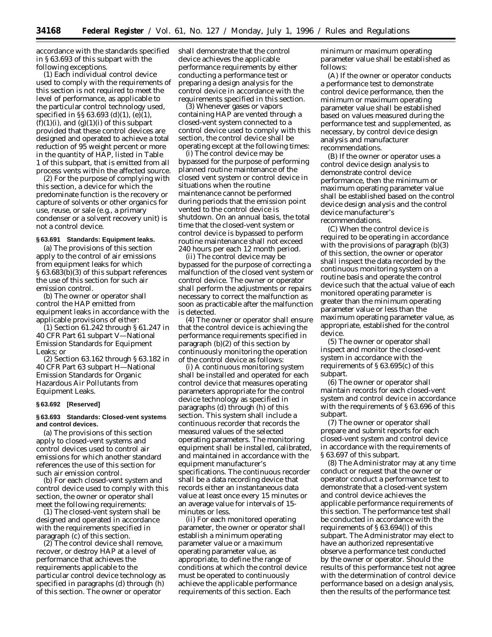accordance with the standards specified in § 63.693 of this subpart with the following exceptions.

(1) Each individual control device used to comply with the requirements of this section is not required to meet the level of performance, as applicable to the particular control technology used, specified in §§ 63.693 (d)(1), (e)(1),  $(f)(1)(i)$ , and  $(g)(1)(i)$  of this subpart provided that these control devices are designed and operated to achieve a total reduction of 95 weight percent or more in the quantity of HAP, listed in Table 1 of this subpart, that is emitted from all process vents within the affected source.

(2) For the purpose of complying with this section, a device for which the predominate function is the recovery or capture of solvents or other organics for use, reuse, or sale (e.g., a primary condenser or a solvent recovery unit) is not a control device.

# **§ 63.691 Standards: Equipment leaks.**

(a) The provisions of this section apply to the control of air emissions from equipment leaks for which § 63.683(b)(3) of this subpart references the use of this section for such air emission control.

(b) The owner or operator shall control the HAP emitted from equipment leaks in accordance with the applicable provisions of either:

(1) Section 61.242 through § 61.247 in 40 CFR Part 61 subpart V—National Emission Standards for Equipment Leaks; or

(2) Section 63.162 through § 63.182 in 40 CFR Part 63 subpart H—National Emission Standards for Organic Hazardous Air Pollutants from Equipment Leaks.

#### **§ 63.692 [Reserved]**

## **§ 63.693 Standards: Closed-vent systems and control devices.**

(a) The provisions of this section apply to closed-vent systems and control devices used to control air emissions for which another standard references the use of this section for such air emission control.

(b) For each closed-vent system and control device used to comply with this section, the owner or operator shall meet the following requirements:

(1) The closed-vent system shall be designed and operated in accordance with the requirements specified in paragraph (c) of this section.

(2) The control device shall remove, recover, or destroy HAP at a level of performance that achieves the requirements applicable to the particular control device technology as specified in paragraphs (d) through (h) of this section. The owner or operator

shall demonstrate that the control device achieves the applicable performance requirements by either conducting a performance test or preparing a design analysis for the control device in accordance with the requirements specified in this section.

(3) Whenever gases or vapors containing HAP are vented through a closed-vent system connected to a control device used to comply with this section, the control device shall be operating except at the following times:

(i) The control device may be bypassed for the purpose of performing planned routine maintenance of the closed vent system or control device in situations when the routine maintenance cannot be performed during periods that the emission point vented to the control device is shutdown. On an annual basis, the total time that the closed-vent system or control device is bypassed to perform routine maintenance shall not exceed 240 hours per each 12 month period.

(ii) The control device may be bypassed for the purpose of correcting a malfunction of the closed vent system or control device. The owner or operator shall perform the adjustments or repairs necessary to correct the malfunction as soon as practicable after the malfunction is detected.

(4) The owner or operator shall ensure that the control device is achieving the performance requirements specified in paragraph (b)(2) of this section by continuously monitoring the operation of the control device as follows:

(i) A continuous monitoring system shall be installed and operated for each control device that measures operating parameters appropriate for the control device technology as specified in paragraphs (d) through (h) of this section. This system shall include a continuous recorder that records the measured values of the selected operating parameters. The monitoring equipment shall be installed, calibrated, and maintained in accordance with the equipment manufacturer's specifications. The continuous recorder shall be a data recording device that records either an instantaneous data value at least once every 15 minutes or an average value for intervals of 15 minutes or less.

(ii) For each monitored operating parameter, the owner or operator shall establish a minimum operating parameter value or a maximum operating parameter value, as appropriate, to define the range of conditions at which the control device must be operated to continuously achieve the applicable performance requirements of this section. Each

minimum or maximum operating parameter value shall be established as follows:

(A) If the owner or operator conducts a performance test to demonstrate control device performance, then the minimum or maximum operating parameter value shall be established based on values measured during the performance test and supplemented, as necessary, by control device design analysis and manufacturer recommendations.

(B) If the owner or operator uses a control device design analysis to demonstrate control device performance, then the minimum or maximum operating parameter value shall be established based on the control device design analysis and the control device manufacturer's recommendations.

(C) When the control device is required to be operating in accordance with the provisions of paragraph (b)(3) of this section, the owner or operator shall inspect the data recorded by the continuous monitoring system on a routine basis and operate the control device such that the actual value of each monitored operating parameter is greater than the minimum operating parameter value or less than the maximum operating parameter value, as appropriate, established for the control device.

(5) The owner or operator shall inspect and monitor the closed-vent system in accordance with the requirements of § 63.695(c) of this subpart.

(6) The owner or operator shall maintain records for each closed-vent system and control device in accordance with the requirements of § 63.696 of this subpart.

(7) The owner or operator shall prepare and submit reports for each closed-vent system and control device in accordance with the requirements of § 63.697 of this subpart.

(8) The Administrator may at any time conduct or request that the owner or operator conduct a performance test to demonstrate that a closed-vent system and control device achieves the applicable performance requirements of this section. The performance test shall be conducted in accordance with the requirements of § 63.694(l) of this subpart. The Administrator may elect to have an authorized representative observe a performance test conducted by the owner or operator. Should the results of this performance test not agree with the determination of control device performance based on a design analysis, then the results of the performance test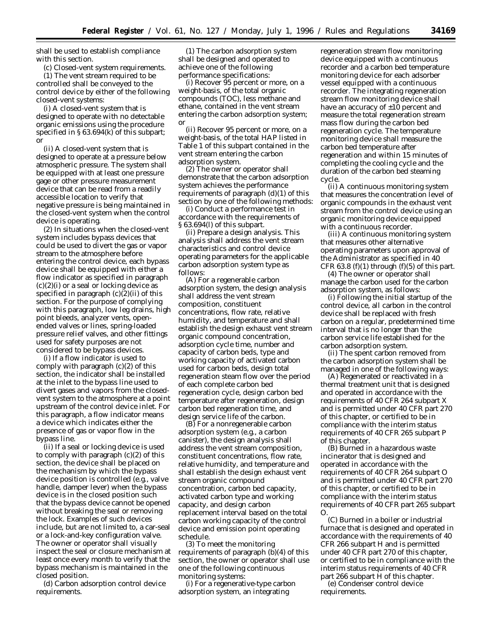shall be used to establish compliance with this section.

(c) Closed-vent system requirements. (1) The vent stream required to be controlled shall be conveyed to the control device by either of the following closed-vent systems:

(i) A closed-vent system that is designed to operate with no detectable organic emissions using the procedure specified in § 63.694(k) of this subpart; or

(ii) A closed-vent system that is designed to operate at a pressure below atmospheric pressure. The system shall be equipped with at least one pressure gage or other pressure measurement device that can be read from a readily accessible location to verify that negative pressure is being maintained in the closed-vent system when the control device is operating.

(2) In situations when the closed-vent system includes bypass devices that could be used to divert the gas or vapor stream to the atmosphere before entering the control device, each bypass device shall be equipped with either a flow indicator as specified in paragraph  $(c)(2)(i)$  or a seal or locking device as specified in paragraph (c)(2)(ii) of this section. For the purpose of complying with this paragraph, low leg drains, high point bleeds, analyzer vents, openended valves or lines, spring-loaded pressure relief valves, and other fittings used for safety purposes are not considered to be bypass devices.

(i) If a flow indicator is used to comply with paragraph  $(c)(2)$  of this section, the indicator shall be installed at the inlet to the bypass line used to divert gases and vapors from the closedvent system to the atmosphere at a point upstream of the control device inlet. For this paragraph, a flow indicator means a device which indicates either the presence of gas or vapor flow in the bypass line.

(ii) If a seal or locking device is used to comply with paragraph (c)(2) of this section, the device shall be placed on the mechanism by which the bypass device position is controlled (e.g., valve handle, damper lever) when the bypass device is in the closed position such that the bypass device cannot be opened without breaking the seal or removing the lock. Examples of such devices include, but are not limited to, a car-seal or a lock-and-key configuration valve. The owner or operator shall visually inspect the seal or closure mechanism at least once every month to verify that the bypass mechanism is maintained in the closed position.

(d) Carbon adsorption control device requirements.

(1) The carbon adsorption system shall be designed and operated to achieve one of the following performance specifications:

(i) Recover 95 percent or more, on a weight-basis, of the total organic compounds (TOC), less methane and ethane, contained in the vent stream entering the carbon adsorption system; or

(ii) Recover 95 percent or more, on a weight-basis, of the total HAP listed in Table 1 of this subpart contained in the vent stream entering the carbon adsorption system.

(2) The owner or operator shall demonstrate that the carbon adsorption system achieves the performance requirements of paragraph  $(d)(1)$  of this section by one of the following methods:

(i) Conduct a performance test in accordance with the requirements of § 63.694(l) of this subpart.

(ii) Prepare a design analysis. This analysis shall address the vent stream characteristics and control device operating parameters for the applicable carbon adsorption system type as follows:

(A) For a regenerable carbon adsorption system, the design analysis shall address the vent stream composition, constituent concentrations, flow rate, relative humidity, and temperature and shall establish the design exhaust vent stream organic compound concentration, adsorption cycle time, number and capacity of carbon beds, type and working capacity of activated carbon used for carbon beds, design total regeneration steam flow over the period of each complete carbon bed regeneration cycle, design carbon bed temperature after regeneration, design carbon bed regeneration time, and design service life of the carbon.

(B) For a nonregenerable carbon adsorption system (e.g., a carbon canister), the design analysis shall address the vent stream composition, constituent concentrations, flow rate, relative humidity, and temperature and shall establish the design exhaust vent stream organic compound concentration, carbon bed capacity, activated carbon type and working capacity, and design carbon replacement interval based on the total carbon working capacity of the control device and emission point operating schedule.

(3) To meet the monitoring requirements of paragraph (b)(4) of this section, the owner or operator shall use one of the following continuous monitoring systems:

(i) For a regenerative-type carbon adsorption system, an integrating

regeneration stream flow monitoring device equipped with a continuous recorder and a carbon bed temperature monitoring device for each adsorber vessel equipped with a continuous recorder. The integrating regeneration stream flow monitoring device shall have an accuracy of ±10 percent and measure the total regeneration stream mass flow during the carbon bed regeneration cycle. The temperature monitoring device shall measure the carbon bed temperature after regeneration and within 15 minutes of completing the cooling cycle and the duration of the carbon bed steaming cycle.

(ii) A continuous monitoring system that measures the concentration level of organic compounds in the exhaust vent stream from the control device using an organic monitoring device equipped with a continuous recorder.

(iii) A continuous monitoring system that measures other alternative operating parameters upon approval of the Administrator as specified in 40 CFR 63.8 (f)(1) through (f)(5) of this part.

(4) The owner or operator shall manage the carbon used for the carbon adsorption system, as follows:

(i) Following the initial startup of the control device, all carbon in the control device shall be replaced with fresh carbon on a regular, predetermined time interval that is no longer than the carbon service life established for the carbon adsorption system.

(ii) The spent carbon removed from the carbon adsorption system shall be managed in one of the following ways:

(A) Regenerated or reactivated in a thermal treatment unit that is designed and operated in accordance with the requirements of 40 CFR 264 subpart X and is permitted under 40 CFR part 270 of this chapter, or certified to be in compliance with the interim status requirements of 40 CFR 265 subpart P of this chapter.

(B) Burned in a hazardous waste incinerator that is designed and operated in accordance with the requirements of 40 CFR 264 subpart O and is permitted under 40 CFR part 270 of this chapter, or certified to be in compliance with the interim status requirements of 40 CFR part 265 subpart O.

(C) Burned in a boiler or industrial furnace that is designed and operated in accordance with the requirements of 40 CFR 266 subpart H and is permitted under 40 CFR part 270 of this chapter, or certified to be in compliance with the interim status requirements of 40 CFR part 266 subpart H of this chapter.

(e) Condenser control device requirements.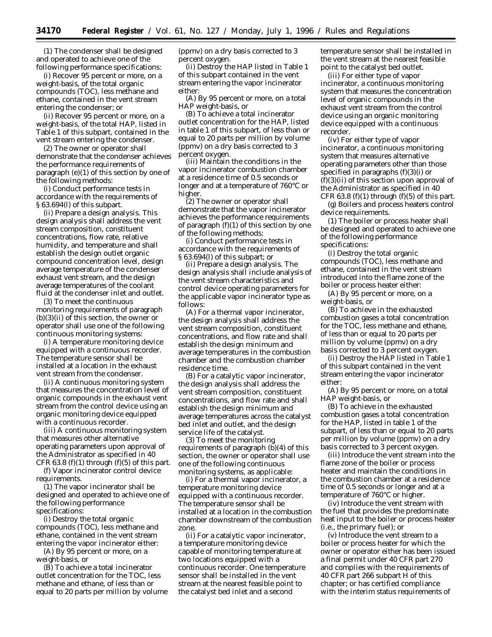(1) The condenser shall be designed and operated to achieve one of the following performance specifications:

(i) Recover 95 percent or more, on a weight-basis, of the total organic compounds (TOC), less methane and ethane, contained in the vent stream entering the condenser; or

(ii) Recover 95 percent or more, on a weight-basis, of the total HAP, listed in Table 1 of this subpart, contained in the vent stream entering the condenser.

(2) The owner or operator shall demonstrate that the condenser achieves the performance requirements of paragraph (e)(1) of this section by one of the following methods:

(i) Conduct performance tests in accordance with the requirements of § 63.694(l) of this subpart.

(ii) Prepare a design analysis. This design analysis shall address the vent stream composition, constituent concentrations, flow rate, relative humidity, and temperature and shall establish the design outlet organic compound concentration level, design average temperature of the condenser exhaust vent stream, and the design average temperatures of the coolant fluid at the condenser inlet and outlet.

(3) To meet the continuous monitoring requirements of paragraph  $(b)(3)(ii)$  of this section, the owner or operator shall use one of the following continuous monitoring systems:

(i) A temperature monitoring device equipped with a continuous recorder. The temperature sensor shall be installed at a location in the exhaust vent stream from the condenser.

(ii) A continuous monitoring system that measures the concentration level of organic compounds in the exhaust vent stream from the control device using an organic monitoring device equipped with a continuous recorder.

(iii) A continuous monitoring system that measures other alternative operating parameters upon approval of the Administrator as specified in 40 CFR 63.8 (f)(1) through (f)(5) of this part.

(f) Vapor incinerator control device requirements.

(1) The vapor incinerator shall be designed and operated to achieve one of the following performance specifications:

(i) Destroy the total organic compounds (TOC), less methane and ethane, contained in the vent stream entering the vapor incinerator either:

(A) By 95 percent or more, on a weight-basis, or

(B) To achieve a total incinerator outlet concentration for the TOC, less methane and ethane, of less than or equal to 20 parts per million by volume (ppmv) on a dry basis corrected to 3 percent oxygen.

(ii) Destroy the HAP listed in Table 1 of this subpart contained in the vent stream entering the vapor incinerator either:

(A) By 95 percent or more, on a total HAP weight-basis, or

(B) To achieve a total incinerator outlet concentration for the HAP, listed in table 1 of this subpart, of less than or equal to 20 parts per million by volume (ppmv) on a dry basis corrected to 3 percent oxygen.

(iii) Maintain the conditions in the vapor incinerator combustion chamber at a residence time of 0.5 seconds or longer and at a temperature of 760°C or higher.

(2) The owner or operator shall demonstrate that the vapor incinerator achieves the performance requirements of paragraph  $(f)(1)$  of this section by one of the following methods:

(i) Conduct performance tests in accordance with the requirements of § 63.694(l) of this subpart; or

(ii) Prepare a design analysis. The design analysis shall include analysis of the vent stream characteristics and control device operating parameters for the applicable vapor incinerator type as follows:

(A) For a thermal vapor incinerator, the design analysis shall address the vent stream composition, constituent concentrations, and flow rate and shall establish the design minimum and average temperatures in the combustion chamber and the combustion chamber residence time.

(B) For a catalytic vapor incinerator, the design analysis shall address the vent stream composition, constituent concentrations, and flow rate and shall establish the design minimum and average temperatures across the catalyst bed inlet and outlet, and the design service life of the catalyst.

(3) To meet the monitoring requirements of paragraph (b)(4) of this section, the owner or operator shall use one of the following continuous monitoring systems, as applicable:

(i) For a thermal vapor incinerator, a temperature monitoring device equipped with a continuous recorder. The temperature sensor shall be installed at a location in the combustion chamber downstream of the combustion zone.

(ii) For a catalytic vapor incinerator, a temperature monitoring device capable of monitoring temperature at two locations equipped with a continuous recorder. One temperature sensor shall be installed in the vent stream at the nearest feasible point to the catalyst bed inlet and a second

temperature sensor shall be installed in the vent stream at the nearest feasible point to the catalyst bed outlet.

(iii) For either type of vapor incinerator, a continuous monitoring system that measures the concentration level of organic compounds in the exhaust vent stream from the control device using an organic monitoring device equipped with a continuous recorder.

(iv) For either type of vapor incinerator, a continuous monitoring system that measures alternative operating parameters other than those specified in paragraphs (f)(3)(i) or  $(f)(3)(ii)$  of this section upon approval of the Administrator as specified in 40 CFR 63.8 (f)(1) through (f)(5) of this part.

(g) Boilers and process heaters control device requirements.

(1) The boiler or process heater shall be designed and operated to achieve one of the following performance specifications:

(i) Destroy the total organic compounds (TOC), less methane and ethane, contained in the vent stream introduced into the flame zone of the boiler or process heater either:

(A) By 95 percent or more, on a weight-basis, or

(B) To achieve in the exhausted combustion gases a total concentration for the TOC, less methane and ethane, of less than or equal to 20 parts per million by volume (ppmv) on a dry basis corrected to 3 percent oxygen.

(ii) Destroy the HAP listed in Table 1 of this subpart contained in the vent stream entering the vapor incinerator either:

(A) By 95 percent or more, on a total HAP weight-basis, or

(B) To achieve in the exhausted combustion gases a total concentration for the HAP, listed in table 1 of the subpart, of less than or equal to 20 parts per million by volume (ppmv) on a dry basis corrected to 3 percent oxygen.

(iii) Introduce the vent stream into the flame zone of the boiler or process heater and maintain the conditions in the combustion chamber at a residence time of 0.5 seconds or longer and at a temperature of 760°C or higher.

(iv) Introduce the vent stream with the fuel that provides the predominate heat input to the boiler or process heater (i.e., the primary fuel); or

(v) Introduce the vent stream to a boiler or process heater for which the owner or operator either has been issued a final permit under 40 CFR part 270 and complies with the requirements of 40 CFR part 266 subpart H of this chapter; or has certified compliance with the interim status requirements of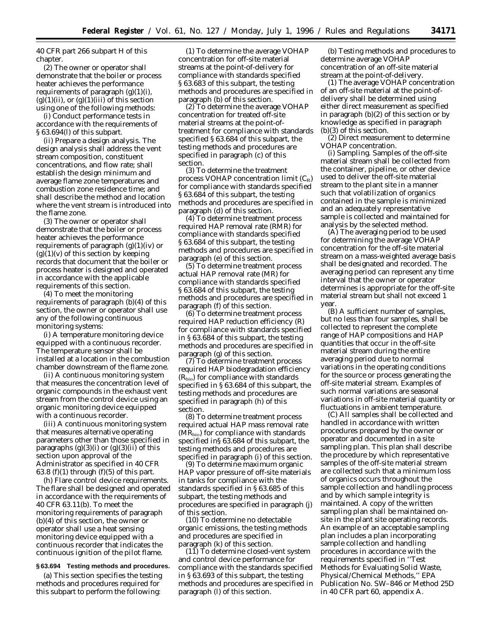40 CFR part 266 subpart H of this chapter.

(2) The owner or operator shall demonstrate that the boiler or process heater achieves the performance requirements of paragraph  $(g)(1)(i)$ ,  $(g)(1)(ii)$ , or  $(g)(1)(iii)$  of this section using one of the following methods:

(i) Conduct performance tests in accordance with the requirements of § 63.694(l) of this subpart.

(ii) Prepare a design analysis. The design analysis shall address the vent stream composition, constituent concentrations, and flow rate; shall establish the design minimum and average flame zone temperatures and combustion zone residence time; and shall describe the method and location where the vent stream is introduced into the flame zone.

(3) The owner or operator shall demonstrate that the boiler or process heater achieves the performance requirements of paragraph  $(g)(1)(iv)$  or  $(g)(1)(v)$  of this section by keeping records that document that the boiler or process heater is designed and operated in accordance with the applicable requirements of this section.

(4) To meet the monitoring requirements of paragraph (b)(4) of this section, the owner or operator shall use any of the following continuous monitoring systems:

(i) A temperature monitoring device equipped with a continuous recorder. The temperature sensor shall be installed at a location in the combustion chamber downstream of the flame zone.

(ii) A continuous monitoring system that measures the concentration level of organic compounds in the exhaust vent stream from the control device using an organic monitoring device equipped with a continuous recorder.

(iii) A continuous monitoring system that measures alternative operating parameters other than those specified in paragraphs  $(g)(3)(i)$  or  $(g)(3)(ii)$  of this section upon approval of the Administrator as specified in 40 CFR 63.8 (f)(1) through (f)(5) of this part.

(h) Flare control device requirements. The flare shall be designed and operated in accordance with the requirements of 40 CFR 63.11(b). To meet the monitoring requirements of paragraph (b)(4) of this section, the owner or operator shall use a heat sensing monitoring device equipped with a continuous recorder that indicates the continuous ignition of the pilot flame.

#### **§ 63.694 Testing methods and procedures.**

(a) This section specifies the testing methods and procedures required for this subpart to perform the following:

(1) To determine the average VOHAP concentration for off-site material streams at the point-of-delivery for compliance with standards specified § 63.683 of this subpart, the testing methods and procedures are specified in paragraph (b) of this section.

(2) To determine the average VOHAP concentration for treated off-site material streams at the point-oftreatment for compliance with standards specified § 63.684 of this subpart, the testing methods and procedures are specified in paragraph (c) of this section.

(3) To determine the treatment process VOHAP concentration limit  $(C_R)$ for compliance with standards specified § 63.684 of this subpart, the testing methods and procedures are specified in paragraph (d) of this section.

(4) To determine treatment process required HAP removal rate (RMR) for compliance with standards specified § 63.684 of this subpart, the testing methods and procedures are specified in paragraph (e) of this section.

(5) To determine treatment process actual HAP removal rate (MR) for compliance with standards specified § 63.684 of this subpart, the testing methods and procedures are specified in paragraph (f) of this section.

(6) To determine treatment process required HAP reduction efficiency (R) for compliance with standards specified in § 63.684 of this subpart, the testing methods and procedures are specified in paragraph (g) of this section.

(7) To determine treatment process required HAP biodegradation efficiency  $(R<sub>bio</sub>)$  for compliance with standards specified in § 63.684 of this subpart, the testing methods and procedures are specified in paragraph (h) of this section.

(8) To determine treatment process required actual HAP mass removal rate  $(MR_{bio})$  for compliance with standards specified in§ 63.684 of this subpart, the testing methods and procedures are specified in paragraph (i) of this section.

(9) To determine maximum organic HAP vapor pressure of off-site materials in tanks for compliance with the standards specified in § 63.685 of this subpart, the testing methods and procedures are specified in paragraph (j) of this section.

(10) To determine no detectable organic emissions, the testing methods and procedures are specified in paragraph (k) of this section.

 $(11)$  To determine closed-vent system and control device performance for compliance with the standards specified in § 63.693 of this subpart, the testing methods and procedures are specified in paragraph (l) of this section.

(b) Testing methods and procedures to determine average VOHAP concentration of an off-site material stream at the point-of-delivery.

(1) The average VOHAP concentration of an off-site material at the point-ofdelivery shall be determined using either direct measurement as specified in paragraph (b)(2) of this section or by knowledge as specified in paragraph (b)(3) of this section.

(2) Direct measurement to determine VOHAP concentration.

(i) Sampling. Samples of the off-site material stream shall be collected from the container, pipeline, or other device used to deliver the off-site material stream to the plant site in a manner such that volatilization of organics contained in the sample is minimized and an adequately representative sample is collected and maintained for analysis by the selected method.

(A) The averaging period to be used for determining the average VOHAP concentration for the off-site material stream on a mass-weighted average basis shall be designated and recorded. The averaging period can represent any time interval that the owner or operator determines is appropriate for the off-site material stream but shall not exceed 1 year.

(B) A sufficient number of samples, but no less than four samples, shall be collected to represent the complete range of HAP compositions and HAP quantities that occur in the off-site material stream during the entire averaging period due to normal variations in the operating conditions for the source or process generating the off-site material stream. Examples of such normal variations are seasonal variations in off-site material quantity or fluctuations in ambient temperature.

(C) All samples shall be collected and handled in accordance with written procedures prepared by the owner or operator and documented in a site sampling plan. This plan shall describe the procedure by which representative samples of the off-site material stream are collected such that a minimum loss of organics occurs throughout the sample collection and handling process and by which sample integrity is maintained. A copy of the written sampling plan shall be maintained onsite in the plant site operating records. An example of an acceptable sampling plan includes a plan incorporating sample collection and handling procedures in accordance with the requirements specified in ''Test Methods for Evaluating Solid Waste, Physical/Chemical Methods,'' EPA Publication No. SW–846 or Method 25D in 40 CFR part 60, appendix A.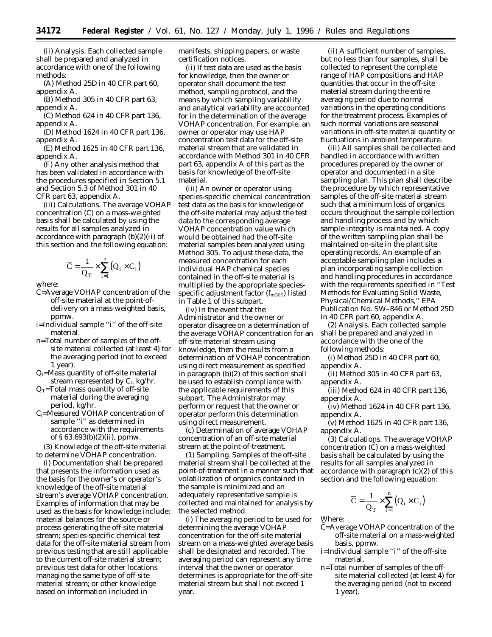(ii) Analysis. Each collected sample shall be prepared and analyzed in accordance with one of the following methods:

(A) Method 25D in 40 CFR part 60, appendix A.

(B) Method 305 in 40 CFR part 63, appendix A.

(C) Method 624 in 40 CFR part 136, appendix A.

(D) Method 1624 in 40 CFR part 136, appendix A.

(E) Method 1625 in 40 CFR part 136, appendix A.

(F) Any other analysis method that has been validated in accordance with the procedures specified in Section 5.1 and Section 5.3 of Method 301 in 40 CFR part 63, appendix A.

(iii) Calculations. The average VOHAP concentration (C) on a mass-weighted basis shall be calculated by using the results for all samples analyzed in accordance with paragraph (b)(2)(ii) of this section and the following equation:

$$
\overline{C} = \frac{1}{Q_T} \times \sum_{i=1}^{n} (Q_i \times C_i)
$$

where:

- C=Average VOHAP concentration of the off-site material at the point-ofdelivery on a mass-weighted basis, ppmw.
- i=Individual sample ''i'' of the off-site material.
- n=Total number of samples of the offsite material collected (at least 4) for the averaging period (not to exceed 1 year).
- $Q_i$ =Mass quantity of off-site material stream represented by  $C_i$ , kg/hr.
- $Q_T$ =Total mass quantity of off-site material during the averaging period, kg/hr.
- Ci=Measured VOHAP concentration of sample ''i'' as determined in accordance with the requirements of § 63.693(b)(2)(ii), ppmw.

(3) Knowledge of the off-site material to determine VOHAP concentration.

(i) Documentation shall be prepared that presents the information used as the basis for the owner's or operator's knowledge of the off-site material stream's average VOHAP concentration. Examples of information that may be used as the basis for knowledge include: material balances for the source or process generating the off-site material stream; species-specific chemical test data for the off-site material stream from previous testing that are still applicable to the current off-site material stream; previous test data for other locations managing the same type of off-site material stream; or other knowledge based on information included in

manifests, shipping papers, or waste certification notices.

(ii) If test data are used as the basis for knowledge, then the owner or operator shall document the test method, sampling protocol, and the means by which sampling variability and analytical variability are accounted for in the determination of the average VOHAP concentration. For example, an owner or operator may use HAP concentration test data for the off-site material stream that are validated in accordance with Method 301 in 40 CFR part 63, appendix A of this part as the basis for knowledge of the off-site material.

(iii) An owner or operator using species-specific chemical concentration test data as the basis for knowledge of the off-site material may adjust the test data to the corresponding average VOHAP concentration value which would be obtained had the off-site material samples been analyzed using Method 305. To adjust these data, the measured concentration for each individual HAP chemical species contained in the off-site material is multiplied by the appropriate speciesspecific adjustment factor ( $f_{\rm m305}$ ) listed in Table 1 of this subpart.

(iv) In the event that the Administrator and the owner or operator disagree on a determination of the average VOHAP concentration for an off-site material stream using knowledge, then the results from a determination of VOHAP concentration using direct measurement as specified in paragraph (b)(2) of this section shall be used to establish compliance with the applicable requirements of this subpart. The Administrator may perform or request that the owner or operator perform this determination using direct measurement.

(c) Determination of average VOHAP concentration of an off-site material stream at the point-of-treatment.

(1) Sampling. Samples of the off-site material stream shall be collected at the point-of-treatment in a manner such that volatilization of organics contained in the sample is minimized and an adequately representative sample is collected and maintained for analysis by the selected method.

(i) The averaging period to be used for determining the average VOHAP concentration for the off-site material stream on a mass-weighted average basis shall be designated and recorded. The averaging period can represent any time interval that the owner or operator determines is appropriate for the off-site material stream but shall not exceed 1 year.

(ii) A sufficient number of samples, but no less than four samples, shall be collected to represent the complete range of HAP compositions and HAP quantities that occur in the off-site material stream during the entire averaging period due to normal variations in the operating conditions for the treatment process. Examples of such normal variations are seasonal variations in off-site material quantity or fluctuations in ambient temperature.

(iii) All samples shall be collected and handled in accordance with written procedures prepared by the owner or operator and documented in a site sampling plan. This plan shall describe the procedure by which representative samples of the off-site material stream such that a minimum loss of organics occurs throughout the sample collection and handling process and by which sample integrity is maintained. A copy of the written sampling plan shall be maintained on-site in the plant site operating records. An example of an acceptable sampling plan includes a plan incorporating sample collection and handling procedures in accordance with the requirements specified in ''Test Methods for Evaluating Solid Waste, Physical/Chemical Methods,'' EPA Publication No. SW–846 or Method 25D in 40 CFR part 60, appendix A.

(2) Analysis. Each collected sample shall be prepared and analyzed in accordance with the one of the following methods:

(i) Method 25D in 40 CFR part 60, appendix A.

(ii) Method 305 in 40 CFR part 63, appendix A.

(iii) Method 624 in 40 CFR part 136, appendix A.

(iv) Method 1624 in 40 CFR part 136, appendix A.

(v) Method 1625 in 40 CFR part 136, appendix A.

(3) Calculations. The average VOHAP  $concentration (C)$  on a mass-weighted basis shall be calculated by using the results for all samples analyzed in accordance with paragraph (c)(2) of this section and the following equation:

$$
\overline{C} = \frac{1}{Q_T} \times \sum_{i=1}^{n} (Q_i \times C_i)
$$

Where:

- $\bar{C}$ =Average VOHAP concentration of the off-site material on a mass-weighted basis, ppmw.
- i=Individual sample ''i'' of the off-site material.
- n=Total number of samples of the offsite material collected (at least 4) for the averaging period (not to exceed 1 year).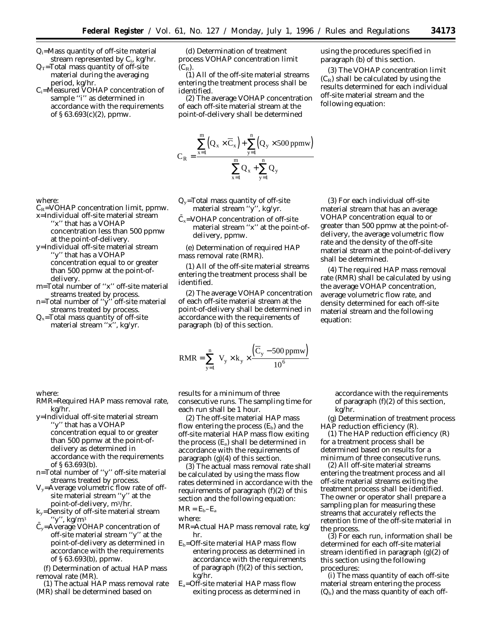- Qi=Mass quantity of off-site material stream represented by  $C_i$ , kg/hr.
- $Q_T$ =Total mass quantity of off-site material during the averaging period, kg/hr.
- $C_i$ =Measured VOHAP concentration of sample ''i'' as determined in accordance with the requirements of § 63.693(c)(2), ppmw.

(d) Determination of treatment process VOHAP concentration limit  $(C_R)$ .

(1) All of the off-site material streams entering the treatment process shall be identified.

(2) The average VOHAP concentration of each off-site material stream at the point-of-delivery shall be determined

$$
C_R = \frac{\displaystyle\sum_{x=1}^m \Bigl(Q_x \times \overline{C}_x\Bigr) + \displaystyle\sum_{y=1}^n \Bigl(Q_y \times 500 \text{ ppmw}\Bigr)}{\displaystyle\sum_{x=1}^m Q_x + \displaystyle\sum_{y=1}^n Q_y}
$$

- $Q_y$ =Total mass quantity of off-site material stream ''y'', kg/yr.
	- $C_x = VOHAP$  concentration of off-site material stream ''x'' at the point-ofdelivery, ppmw.

(e) Determination of required HAP mass removal rate (RMR).

(1) All of the off-site material streams entering the treatment process shall be identified.

(2) The average VOHAP concentration of each off-site material stream at the point-of-delivery shall be determined in accordance with the requirements of paragraph (b) of this section.

$$
RMR = \sum_{y=1}^{n} \left[ V_y \times k_y \times \frac{(\overline{C}_y - 500 \text{ ppmw})}{10^6} \right]
$$

RMR=Required HAP mass removal rate, results for a minimum of three consecutive runs. The sampling time for each run shall be 1 hour.

> (2) The off-site material HAP mass flow entering the process  $(E_b)$  and the off-site material HAP mass flow exiting the process  $(E_a)$  shall be determined in accordance with the requirements of paragraph  $(g)(4)$  of this section.

(3) The actual mass removal rate shall be calculated by using the mass flow rates determined in accordance with the requirements of paragraph (f)(2) of this section and the following equation: MR = Eb–Ea

$$
M_K = E_b - E_a
$$

where:

- MR=Actual HAP mass removal rate, kg/ hr.
- $E_b =$ Off-site material HAP mass flow entering process as determined in accordance with the requirements of paragraph (f)(2) of this section, kg/hr.
- $E_a = \overrightarrow{OF}$ -site material HAP mass flow exiting process as determined in

accordance with the requirements of paragraph (f)(2) of this section, kg/hr.

using the procedures specified in paragraph (b) of this section.

(3) For each individual off-site material stream that has an average VOHAP concentration equal to or greater than 500 ppmw at the point-ofdelivery, the average volumetric flow rate and the density of the off-site material stream at the point-of-delivery

(4) The required HAP mass removal rate (RMR) shall be calculated by using the average VOHAP concentration, average volumetric flow rate, and density determined for each off-site material stream and the following

following equation:

shall be determined.

equation:

(3) The VOHAP concentration limit  $(C_R)$  shall be calculated by using the results determined for each individual off-site material stream and the

(g) Determination of treatment process HAP reduction efficiency (R).

(1) The HAP reduction efficiency (R) for a treatment process shall be determined based on results for a minimum of three consecutive runs.

(2) All off-site material streams entering the treatment process and all off-site material streams exiting the treatment process shall be identified. The owner or operator shall prepare a sampling plan for measuring these streams that accurately reflects the retention time of the off-site material in the process.

(3) For each run, information shall be determined for each off-site material stream identified in paragraph (g)(2) of this section using the following procedures:

(i) The mass quantity of each off-site material stream entering the process  $(Q_b)$  and the mass quantity of each off-

where:

where:

kg/hr.

of § 63.693(b).

''y'', kg/m3

removal rate (MR).

 $C_R$ =VOHAP concentration limit, ppmw.

x=Individual off-site material stream "x" that has a VOHAP concentration less than 500 ppmw

at the point-of-delivery. y=Individual off-site material stream ''y'' that has a VOHAP concentration equal to or greater than 500 ppmw at the point-of-

- delivery. m=Total number of ''x'' off-site material
- streams treated by process. n=Total number of ''y'' off-site material streams treated by process.

 $Q_x$ =Total mass quantity of off-site material stream "x", kg/yr.

y=Individual off-site material stream ''y'' that has a VOHAP

> concentration equal to or greater than 500 ppmw at the point-ofdelivery as determined in accordance with the requirements

n=Total number of ''y'' off-site material streams treated by process.  $V_y$ =Average volumetric flow rate of offsite material stream ''y'' at the point-of-delivery, m3/hr. ky=Density of off-site material stream

 $\bar{C}_y$ =Average VOHAP concentration of off-site material stream ''y'' at the point-of-delivery as determined in accordance with the requirements

(f) Determination of actual HAP mass

(1) The actual HAP mass removal rate (MR) shall be determined based on

of § 63.693(b), ppmw.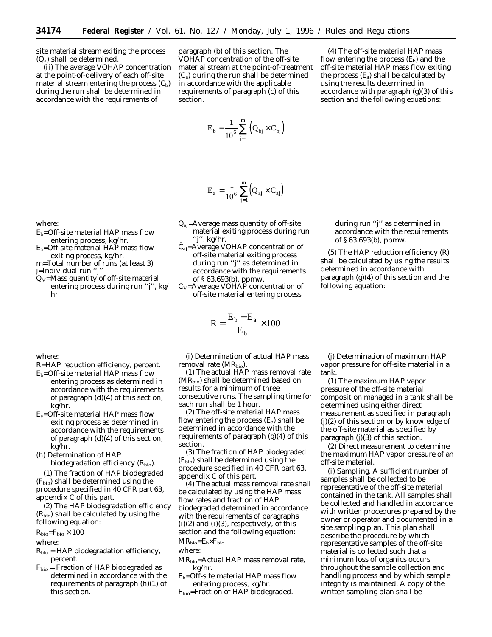site material stream exiting the process (Qa) shall be determined.

(ii) The average VOHAP concentration at the point-of-delivery of each off-site material stream entering the process  $(C_b)$ during the run shall be determined in accordance with the requirements of

paragraph (b) of this section. The VOHAP concentration of the off-site material stream at the point-of-treatment  $(C_a)$  during the run shall be determined in accordance with the applicable requirements of paragraph (c) of this section.

$$
E_{b} = \frac{1}{10^{6}} \sum_{j=1}^{m} \left( Q_{bj} \times \overline{C}_{bj} \right)
$$

$$
E_a = \frac{1}{10^6} \sum_{j=1}^m \Bigl(Q_{aj} \times \overline{C}_{aj}\Bigr)
$$

- $Q_{ai}$ =Average mass quantity of off-site material exiting process during run ''j'', kg/hr.
- $\overline{C}_{ai}$ =Average VOHAP concentration of off-site material exiting process during run ''j'' as determined in accordance with the requirements of § 63.693(b), ppmw.
- $\overline{C}_{V}$ =Average VOHAP concentration of off-site material entering process

$$
R = \frac{E_b - E_a}{E_b} \times 100
$$

where:

hr.

where:

j=Individual run ''j''

R=HAP reduction efficiency, percent.

 $E_b =$ Off-site material HAP mass flow entering process, kg/hr.  $E_a =$ Off-site material HAP mass flow exiting process, kg/hr. m=Total number of runs (at least 3)

Q $_\mathrm{V}$ =Mass quantity of off-site material entering process during run ''j'', kg/

- $E_b =$ Off-site material HAP mass flow entering process as determined in accordance with the requirements of paragraph (d)(4) of this section, kg/hr.
- Ea=Off-site material HAP mass flow exiting process as determined in accordance with the requirements of paragraph (d)(4) of this section, kg/hr.
- (h) Determination of HAP biodegradation efficiency  $(R_{bio})$ .

(1) The fraction of HAP biodegraded  $(F<sub>bio</sub>)$  shall be determined using the procedure specified in 40 CFR part 63, appendix C of this part.

(2) The HAP biodegradation efficiency  $(R<sub>bio</sub>)$  shall be calculated by using the following equation:

 $R_{\text{bio}}=F_{\text{bio}}\times 100$ 

where:

- $R_{bio} = HAP$  biodegradation efficiency, percent.
- Fbio = Fraction of HAP biodegraded as determined in accordance with the requirements of paragraph (h)(1) of this section.

(i) Determination of actual HAP mass removal rate (MR<sub>bio</sub>).

(1) The actual HAP mass removal rate (MR<sub>bio</sub>) shall be determined based on results for a minimum of three consecutive runs. The sampling time for each run shall be 1 hour.

(2) The off-site material HAP mass flow entering the process  $(E_b)$  shall be determined in accordance with the requirements of paragraph  $(g)(4)$  of this section.

(3) The fraction of HAP biodegraded  $(F<sub>bio</sub>)$  shall be determined using the procedure specified in 40 CFR part 63, appendix C of this part.

(4) The actual mass removal rate shall be calculated by using the HAP mass flow rates and fraction of HAP biodegraded determined in accordance with the requirements of paragraphs  $(i)(2)$  and  $(i)(3)$ , respectively, of this section and the following equation:  $MR_{bio}=E_b\times F_{bio}$ 

- where:
- MRbio=Actual HAP mass removal rate, kg/hr.
- $E_b =$ Off-site material HAP mass flow entering process, kg/hr.
- Fbio=Fraction of HAP biodegraded.

(4) The off-site material HAP mass flow entering the process  $(E_b)$  and the off-site material HAP mass flow exiting the process  $(E_a)$  shall be calculated by using the results determined in accordance with paragraph (g)(3) of this section and the following equations:

> during run ''j'' as determined in accordance with the requirements of § 63.693(b), ppmw.

(5) The HAP reduction efficiency (R) shall be calculated by using the results determined in accordance with paragraph (g)(4) of this section and the following equation:

(j) Determination of maximum HAP vapor pressure for off-site material in a tank.

(1) The maximum HAP vapor pressure of the off-site material composition managed in a tank shall be determined using either direct measurement as specified in paragraph (j)(2) of this section or by knowledge of the off-site material as specified by paragraph (j)(3) of this section.

(2) Direct measurement to determine the maximum HAP vapor pressure of an off-site material.

(i) Sampling. A sufficient number of samples shall be collected to be representative of the off-site material contained in the tank. All samples shall be collected and handled in accordance with written procedures prepared by the owner or operator and documented in a site sampling plan. This plan shall describe the procedure by which representative samples of the off-site material is collected such that a minimum loss of organics occurs throughout the sample collection and handling process and by which sample integrity is maintained. A copy of the written sampling plan shall be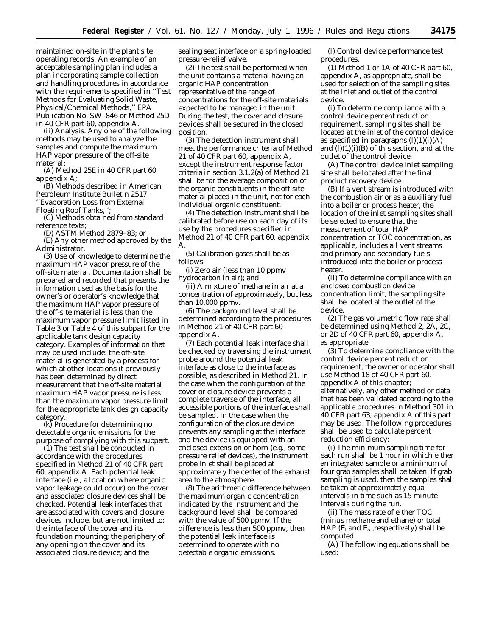maintained on-site in the plant site operating records. An example of an acceptable sampling plan includes a plan incorporating sample collection and handling procedures in accordance with the requirements specified in ''Test Methods for Evaluating Solid Waste, Physical/Chemical Methods,'' EPA Publication No. SW–846 or Method 25D in 40 CFR part 60, appendix A.

(ii) Analysis. Any one of the following methods may be used to analyze the samples and compute the maximum HAP vapor pressure of the off-site material:

(A) Method 25E in 40 CFR part 60 appendix A;

(B) Methods described in American Petroleum Institute Bulletin 2517, ''Evaporation Loss from External

Floating Roof Tanks,'';

(C) Methods obtained from standard reference texts;

(D) ASTM Method 2879–83; or

(E) Any other method approved by the Administrator.

(3) Use of knowledge to determine the maximum HAP vapor pressure of the off-site material. Documentation shall be prepared and recorded that presents the information used as the basis for the owner's or operator's knowledge that the maximum HAP vapor pressure of the off-site material is less than the maximum vapor pressure limit listed in Table 3 or Table 4 of this subpart for the applicable tank design capacity category. Examples of information that may be used include: the off-site material is generated by a process for which at other locations it previously has been determined by direct measurement that the off-site material maximum HAP vapor pressure is less than the maximum vapor pressure limit for the appropriate tank design capacity category.

(k) Procedure for determining no detectable organic emissions for the purpose of complying with this subpart.

 $(1)$  The test shall be conducted in accordance with the procedures specified in Method 21 of 40 CFR part 60, appendix A. Each potential leak interface (i.e., a location where organic vapor leakage could occur) on the cover and associated closure devices shall be checked. Potential leak interfaces that are associated with covers and closure devices include, but are not limited to: the interface of the cover and its foundation mounting; the periphery of any opening on the cover and its associated closure device; and the

sealing seat interface on a spring-loaded pressure-relief valve.

(2) The test shall be performed when the unit contains a material having an organic HAP concentration representative of the range of concentrations for the off-site materials expected to be managed in the unit. During the test, the cover and closure devices shall be secured in the closed position.

(3) The detection instrument shall meet the performance criteria of Method 21 of 40 CFR part 60, appendix A, except the instrument response factor criteria in section 3.1.2(a) of Method 21 shall be for the average composition of the organic constituents in the off-site material placed in the unit, not for each individual organic constituent.

(4) The detection instrument shall be calibrated before use on each day of its use by the procedures specified in Method 21 of 40 CFR part 60, appendix A.

(5) Calibration gases shall be as follows:

(i) Zero air (less than 10 ppmv hydrocarbon in air); and

(ii) A mixture of methane in air at a concentration of approximately, but less than 10,000 ppmv.

(6) The background level shall be determined according to the procedures in Method 21 of 40 CFR part 60 appendix A.

(7) Each potential leak interface shall be checked by traversing the instrument probe around the potential leak interface as close to the interface as possible, as described in Method 21. In the case when the configuration of the cover or closure device prevents a complete traverse of the interface, all accessible portions of the interface shall be sampled. In the case when the configuration of the closure device prevents any sampling at the interface and the device is equipped with an enclosed extension or horn (e.g., some pressure relief devices), the instrument probe inlet shall be placed at approximately the center of the exhaust area to the atmosphere.

(8) The arithmetic difference between the maximum organic concentration indicated by the instrument and the background level shall be compared with the value of 500 ppmv. If the difference is less than 500 ppmv, then the potential leak interface is determined to operate with no detectable organic emissions.

(l) Control device performance test procedures.

(1) Method 1 or 1A of 40 CFR part 60, appendix A, as appropriate, shall be used for selection of the sampling sites at the inlet and outlet of the control device.

(i) To determine compliance with a control device percent reduction requirement, sampling sites shall be located at the inlet of the control device as specified in paragraphs  $(l)(1)(i)(A)$ and  $(l)(1)(i)(B)$  of this section, and at the outlet of the control device.

(A) The control device inlet sampling site shall be located after the final product recovery device.

(B) If a vent stream is introduced with the combustion air or as a auxiliary fuel into a boiler or process heater, the location of the inlet sampling sites shall be selected to ensure that the measurement of total HAP concentration or TOC concentration, as applicable, includes all vent streams and primary and secondary fuels introduced into the boiler or process heater.

(ii) To determine compliance with an enclosed combustion device concentration limit, the sampling site shall be located at the outlet of the device.

(2) The gas volumetric flow rate shall be determined using Method 2, 2A, 2C, or 2D of 40 CFR part 60, appendix A, as appropriate.

(3) To determine compliance with the control device percent reduction requirement, the owner or operator shall use Method 18 of 40 CFR part 60, appendix A of this chapter; alternatively, any other method or data that has been validated according to the applicable procedures in Method 301 in 40 CFR part 63, appendix A of this part may be used. The following procedures shall be used to calculate percent reduction efficiency:

(i) The minimum sampling time for each run shall be 1 hour in which either an integrated sample or a minimum of four grab samples shall be taken. If grab sampling is used, then the samples shall be taken at approximately equal intervals in time such as 15 minute intervals during the run.

(ii) The mass rate of either TOC (minus methane and ethane) or total HAP ( $E_i$  and  $E_o$ , respectively) shall be computed.

(A) The following equations shall be used: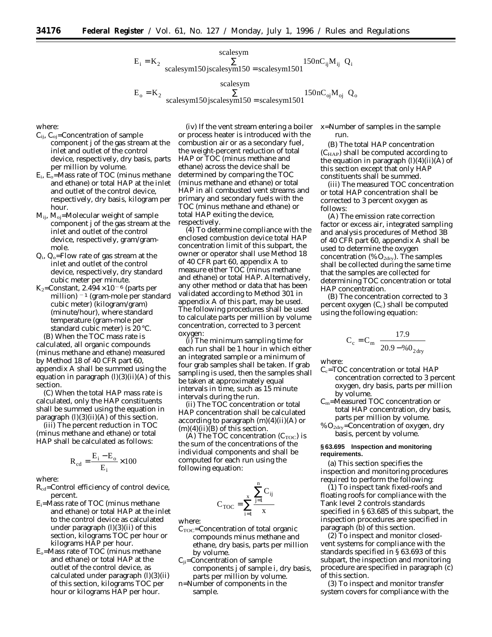

where:

- $C_{ii}$ ,  $C_{oi}$ =Concentration of sample component j of the gas stream at the inlet and outlet of the control device, respectively, dry basis, parts per million by volume.
- $E_i$ ,  $E_o$ =Mass rate of TOC (minus methane and ethane) or total HAP at the inlet and outlet of the control device, respectively, dry basis, kilogram per hour.
- $M_{ij}$ ,  $M_{oj}$ =Molecular weight of sample component j of the gas stream at the inlet and outlet of the control device, respectively, gram/grammole.
- $Q_i$ ,  $Q_o$ =Flow rate of gas stream at the inlet and outlet of the control device, respectively, dry standard cubic meter per minute.
- K<sub>2</sub>=Constant,  $2.494 \times 10^{-6}$  (parts per million) <sup>-1</sup> (gram-mole per standard cubic meter) (kilogram/gram) (minute/hour), where standard temperature (gram-mole per standard cubic meter) is 20 °C.

(B) When the TOC mass rate is calculated, all organic compounds (minus methane and ethane) measured by Method 18 of 40 CFR part 60, appendix A shall be summed using the equation in paragraph  $(l)(3)(ii)(A)$  of this section.

(C) When the total HAP mass rate is calculated, only the HAP constituents shall be summed using the equation in paragraph (l)(3)(ii)(A) of this section.

(iii) The percent reduction in TOC (minus methane and ethane) or total HAP shall be calculated as follows:

$$
R_{cd} = \frac{E_i - E_o}{E_i} \times 100
$$

where:

R<sub>cd</sub>=Control efficiency of control device, percent.

- Ei=Mass rate of TOC (minus methane and ethane) or total HAP at the inlet to the control device as calculated under paragraph  $(l)(3)(ii)$  of this section, kilograms TOC per hour or kilograms HAP per hour.
- $E<sub>o</sub>$ =Mass rate of TOC (minus methane and ethane) or total HAP at the outlet of the control device, as calculated under paragraph (l)(3)(ii) of this section, kilograms TOC per hour or kilograms HAP per hour.

(iv) If the vent stream entering a boiler or process heater is introduced with the combustion air or as a secondary fuel, the weight-percent reduction of total HAP or TOC (minus methane and ethane) across the device shall be determined by comparing the TOC (minus methane and ethane) or total HAP in all combusted vent streams and primary and secondary fuels with the TOC (minus methane and ethane) or total HAP exiting the device, respectively.

(4) To determine compliance with the enclosed combustion device total HAP concentration limit of this subpart, the owner or operator shall use Method 18 of 40 CFR part 60, appendix A to measure either TOC (minus methane and ethane) or total HAP. Alternatively, any other method or data that has been validated according to Method 301 in appendix A of this part, may be used. The following procedures shall be used to calculate parts per million by volume concentration, corrected to 3 percent oxygen:

(i) The minimum sampling time for each run shall be 1 hour in which either an integrated sample or a minimum of four grab samples shall be taken. If grab sampling is used, then the samples shall be taken at approximately equal intervals in time, such as 15 minute intervals during the run.

(ii) The TOC concentration or total HAP concentration shall be calculated according to paragraph  $(m)(4)(ii)(A)$  or  $(m)(4)(ii)(B)$  of this section.

(A) The TOC concentration  $(C_{\text{TOC}})$  is the sum of the concentrations of the individual components and shall be computed for each run using the following equation:

$$
C_{\mathrm{TOC}} = \sum_{i=1}^{x} \frac{\sum_{j=1}^{n} C_{ij}}{x}
$$

where:

- $C_{\text{TOC}}$ =Concentration of total organic compounds minus methane and ethane, dry basis, parts per million by volume.
- $C_{ii}$ =Concentration of sample components j of sample i, dry basis, parts per million by volume.
- n=Number of components in the sample.

x=Number of samples in the sample run.

(B) The total HAP concentration  $(C_{\text{HAP}})$  shall be computed according to the equation in paragraph  $(l)(4)(ii)(A)$  of this section except that only HAP constituents shall be summed.

(iii) The measured TOC concentration or total HAP concentration shall be corrected to 3 percent oxygen as follows:

(A) The emission rate correction factor or excess air, integrated sampling and analysis procedures of Method 3B of 40 CFR part 60, appendix A shall be used to determine the oxygen concentration (% $O_{2dry}$ ). The samples shall be collected during the same time that the samples are collected for determining TOC concentration or total HAP concentration.

(B) The concentration corrected to 3 percent oxygen  $(C_c)$  shall be computed using the following equation:

$$
C_c = C_m \left( \frac{17.9}{20.9 - \%0_{2} \text{dry}} \right)
$$

where:

- $C_c$ =TOC concentration or total HAP concentration corrected to 3 percent oxygen, dry basis, parts per million by volume.
- Cm=Measured TOC concentration or total HAP concentration, dry basis, parts per million by volume.

%O2dry=Concentration of oxygen, dry basis, percent by volume.

## **§ 63.695 Inspection and monitoring requirements.**

(a) This section specifies the inspection and monitoring procedures required to perform the following:

(1) To inspect tank fixed-roofs and floating roofs for compliance with the Tank level 2 controls standards specified in § 63.685 of this subpart, the inspection procedures are specified in paragraph (b) of this section.

(2) To inspect and monitor closedvent systems for compliance with the standards specified in § 63.693 of this subpart, the inspection and monitoring procedure are specified in paragraph (c) of this section.

(3) To inspect and monitor transfer system covers for compliance with the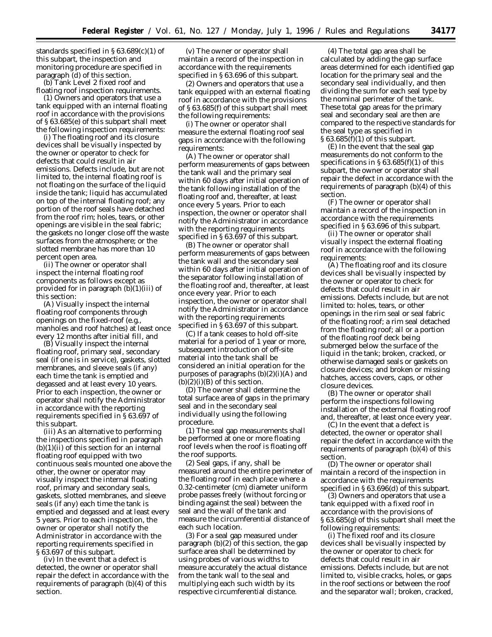standards specified in § 63.689(c)(1) of this subpart, the inspection and monitoring procedure are specified in paragraph (d) of this section.

(b) Tank Level 2 fixed roof and floating roof inspection requirements.

(1) Owners and operators that use a tank equipped with an internal floating roof in accordance with the provisions of § 63.685(e) of this subpart shall meet the following inspection requirements:

(i) The floating roof and its closure devices shall be visually inspected by the owner or operator to check for defects that could result in air emissions. Defects include, but are not limited to, the internal floating roof is not floating on the surface of the liquid inside the tank; liquid has accumulated on top of the internal floating roof; any portion of the roof seals have detached from the roof rim; holes, tears, or other openings are visible in the seal fabric; the gaskets no longer close off the waste surfaces from the atmosphere; or the slotted membrane has more than 10 percent open area.

(ii) The owner or operator shall inspect the internal floating roof components as follows except as provided for in paragraph (b)(1)(iii) of this section:

(A) Visually inspect the internal floating roof components through openings on the fixed-roof (e.g., manholes and roof hatches) at least once every 12 months after initial fill, and

(B) Visually inspect the internal floating roof, primary seal, secondary seal (if one is in service), gaskets, slotted membranes, and sleeve seals (if any) each time the tank is emptied and degassed and at least every 10 years. Prior to each inspection, the owner or operator shall notify the Administrator in accordance with the reporting requirements specified in § 63.697 of this subpart.

(iii) As an alternative to performing the inspections specified in paragraph  $(b)(1)(ii)$  of this section for an internal floating roof equipped with two continuous seals mounted one above the other, the owner or operator may visually inspect the internal floating roof, primary and secondary seals, gaskets, slotted membranes, and sleeve seals (if any) each time the tank is emptied and degassed and at least every 5 years. Prior to each inspection, the owner or operator shall notify the Administrator in accordance with the reporting requirements specified in § 63.697 of this subpart.

(iv) In the event that a defect is detected, the owner or operator shall repair the defect in accordance with the requirements of paragraph (b)(4) of this section.

(v) The owner or operator shall maintain a record of the inspection in accordance with the requirements specified in § 63.696 of this subpart.

(2) Owners and operators that use a tank equipped with an external floating roof in accordance with the provisions of § 63.685(f) of this subpart shall meet the following requirements:

(i) The owner or operator shall measure the external floating roof seal gaps in accordance with the following requirements:

(A) The owner or operator shall perform measurements of gaps between the tank wall and the primary seal within 60 days after initial operation of the tank following installation of the floating roof and, thereafter, at least once every 5 years. Prior to each inspection, the owner or operator shall notify the Administrator in accordance with the reporting requirements specified in § 63.697 of this subpart.

(B) The owner or operator shall perform measurements of gaps between the tank wall and the secondary seal within 60 days after initial operation of the separator following installation of the floating roof and, thereafter, at least once every year. Prior to each inspection, the owner or operator shall notify the Administrator in accordance with the reporting requirements specified in § 63.697 of this subpart.

(C) If a tank ceases to hold off-site material for a period of 1 year or more, subsequent introduction of off-site material into the tank shall be considered an initial operation for the purposes of paragraphs (b)(2)(i)(A) and  $(b)(2)(i)(B)$  of this section.

(D) The owner shall determine the total surface area of gaps in the primary seal and in the secondary seal individually using the following procedure.

(*1*) The seal gap measurements shall be performed at one or more floating roof levels when the roof is floating off the roof supports.

(*2*) Seal gaps, if any, shall be measured around the entire perimeter of the floating roof in each place where a 0.32-centimeter (cm) diameter uniform probe passes freely (without forcing or binding against the seal) between the seal and the wall of the tank and measure the circumferential distance of each such location.

(*3*) For a seal gap measured under paragraph (b)(2) of this section, the gap surface area shall be determined by using probes of various widths to measure accurately the actual distance from the tank wall to the seal and multiplying each such width by its respective circumferential distance.

(*4*) The total gap area shall be calculated by adding the gap surface areas determined for each identified gap location for the primary seal and the secondary seal individually, and then dividing the sum for each seal type by the nominal perimeter of the tank. These total gap areas for the primary seal and secondary seal are then are compared to the respective standards for the seal type as specified in § 63.685(f)(1) of this subpart.

(E) In the event that the seal gap measurements do not conform to the specifications in  $\S 63.685(f)(1)$  of this subpart, the owner or operator shall repair the defect in accordance with the requirements of paragraph (b)(4) of this section.

(F) The owner or operator shall maintain a record of the inspection in accordance with the requirements specified in § 63.696 of this subpart.

(ii) The owner or operator shall visually inspect the external floating roof in accordance with the following requirements:

(A) The floating roof and its closure devices shall be visually inspected by the owner or operator to check for defects that could result in air emissions. Defects include, but are not limited to: holes, tears, or other openings in the rim seal or seal fabric of the floating roof; a rim seal detached from the floating roof; all or a portion of the floating roof deck being submerged below the surface of the liquid in the tank; broken, cracked, or otherwise damaged seals or gaskets on closure devices; and broken or missing hatches, access covers, caps, or other closure devices.

(B) The owner or operator shall perform the inspections following installation of the external floating roof and, thereafter, at least once every year.

(C) In the event that a defect is detected, the owner or operator shall repair the defect in accordance with the requirements of paragraph (b)(4) of this section.

(D) The owner or operator shall maintain a record of the inspection in accordance with the requirements specified in  $\S 63.696(d)$  of this subpart.

(3) Owners and operators that use a tank equipped with a fixed roof in accordance with the provisions of § 63.685(g) of this subpart shall meet the following requirements:

(i) The fixed roof and its closure devices shall be visually inspected by the owner or operator to check for defects that could result in air emissions. Defects include, but are not limited to, visible cracks, holes, or gaps in the roof sections or between the roof and the separator wall; broken, cracked,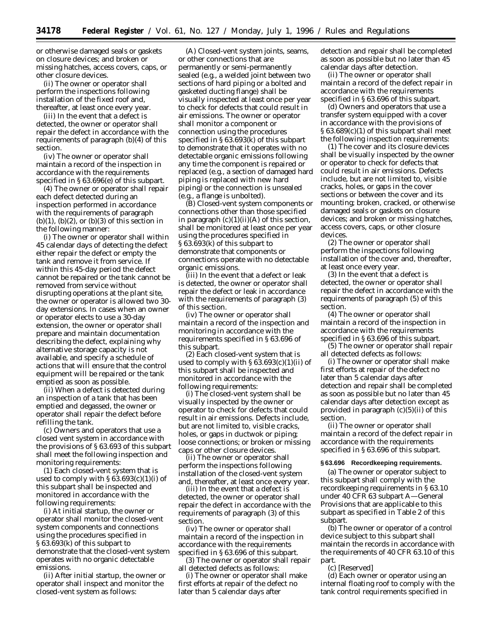or otherwise damaged seals or gaskets on closure devices; and broken or missing hatches, access covers, caps, or other closure devices.

(ii) The owner or operator shall perform the inspections following installation of the fixed roof and, thereafter, at least once every year.

(iii) In the event that a defect is detected, the owner or operator shall repair the defect in accordance with the requirements of paragraph (b)(4) of this section.

(iv) The owner or operator shall maintain a record of the inspection in accordance with the requirements specified in § 63.696(e) of this subpart.

(4) The owner or operator shall repair each defect detected during an inspection performed in accordance with the requirements of paragraph  $(b)(1)$ ,  $(b)(2)$ , or  $(b)(3)$  of this section in the following manner:

(i) The owner or operator shall within 45 calendar days of detecting the defect either repair the defect or empty the tank and remove it from service. If within this 45-day period the defect cannot be repaired or the tank cannot be removed from service without disrupting operations at the plant site, the owner or operator is allowed two 30 day extensions. In cases when an owner or operator elects to use a 30-day extension, the owner or operator shall prepare and maintain documentation describing the defect, explaining why alternative storage capacity is not available, and specify a schedule of actions that will ensure that the control equipment will be repaired or the tank emptied as soon as possible.

(ii) When a defect is detected during an inspection of a tank that has been emptied and degassed, the owner or operator shall repair the defect before refilling the tank.

(c) Owners and operators that use a closed vent system in accordance with the provisions of § 63.693 of this subpart shall meet the following inspection and monitoring requirements:

(1) Each closed-vent system that is used to comply with  $\S 63.693(c)(1)(i)$  of this subpart shall be inspected and monitored in accordance with the following requirements:

(i) At initial startup, the owner or operator shall monitor the closed-vent system components and connections using the procedures specified in § 63.693(k) of this subpart to demonstrate that the closed-vent system operates with no organic detectable emissions.

(ii) After initial startup, the owner or operator shall inspect and monitor the closed-vent system as follows:

(A) Closed-vent system joints, seams, or other connections that are permanently or semi-permanently sealed (e.g., a welded joint between two sections of hard piping or a bolted and gasketed ducting flange) shall be visually inspected at least once per year to check for defects that could result in air emissions. The owner or operator shall monitor a component or connection using the procedures specified in § 63.693(k) of this subpart to demonstrate that it operates with no detectable organic emissions following any time the component is repaired or replaced (e.g., a section of damaged hard piping is replaced with new hard piping) or the connection is unsealed (e.g., a flange is unbolted).

(B) Closed-vent system components or connections other than those specified in paragraph  $(c)(1)(ii)(A)$  of this section, shall be monitored at least once per year using the procedures specified in § 63.693(k) of this subpart to demonstrate that components or connections operate with no detectable organic emissions.

(iii) In the event that a defect or leak is detected, the owner or operator shall repair the defect or leak in accordance with the requirements of paragraph (3) of this section.

(iv) The owner or operator shall maintain a record of the inspection and monitoring in accordance with the requirements specified in § 63.696 of this subpart.

(2) Each closed-vent system that is used to comply with  $\S 63.693(c)(1)(ii)$  of this subpart shall be inspected and monitored in accordance with the following requirements:

(i) The closed-vent system shall be visually inspected by the owner or operator to check for defects that could result in air emissions. Defects include, but are not limited to, visible cracks, holes, or gaps in ductwok or piping; loose connections; or broken or missing caps or other closure devices.

(ii) The owner or operator shall perform the inspections following installation of the closed-vent system and, thereafter, at least once every year.

(iii) In the event that a defect is detected, the owner or operator shall repair the defect in accordance with the requirements of paragraph (3) of this section.

(iv) The owner or operator shall maintain a record of the inspection in accordance with the requirements specified in § 63.696 of this subpart.

(3) The owner or operator shall repair all detected defects as follows:

(i) The owner or operator shall make first efforts at repair of the defect no later than 5 calendar days after

detection and repair shall be completed as soon as possible but no later than 45 calendar days after detection.

(ii) The owner or operator shall maintain a record of the defect repair in accordance with the requirements specified in § 63.696 of this subpart.

(d) Owners and operators that use a transfer system equipped with a cover in accordance with the provisions of § 63.689(c)(1) of this subpart shall meet the following inspection requirements:

(1) The cover and its closure devices shall be visually inspected by the owner or operator to check for defects that could result in air emissions. Defects include, but are not limited to, visible cracks, holes, or gaps in the cover sections or between the cover and its mounting; broken, cracked, or otherwise damaged seals or gaskets on closure devices; and broken or missing hatches, access covers, caps, or other closure devices.

(2) The owner or operator shall perform the inspections following installation of the cover and, thereafter, at least once every year.

(3) In the event that a defect is detected, the owner or operator shall repair the defect in accordance with the requirements of paragraph (5) of this section.

(4) The owner or operator shall maintain a record of the inspection in accordance with the requirements specified in § 63.696 of this subpart.

(5) The owner or operator shall repair all detected defects as follows:

(i) The owner or operator shall make first efforts at repair of the defect no later than 5 calendar days after detection and repair shall be completed as soon as possible but no later than 45 calendar days after detection except as provided in paragraph (c)(5)(ii) of this section.

(ii) The owner or operator shall maintain a record of the defect repair in accordance with the requirements specified in § 63.696 of this subpart.

## **§ 63.696 Recordkeeping requirements.**

(a) The owner or operator subject to this subpart shall comply with the recordkeeping requirements in § 63.10 under 40 CFR 63 subpart A—General Provisions that are applicable to this subpart as specified in Table 2 of this subpart.

(b) The owner or operator of a control device subject to this subpart shall maintain the records in accordance with the requirements of 40 CFR 63.10 of this part.

#### (c) [Reserved]

(d) Each owner or operator using an internal floating roof to comply with the tank control requirements specified in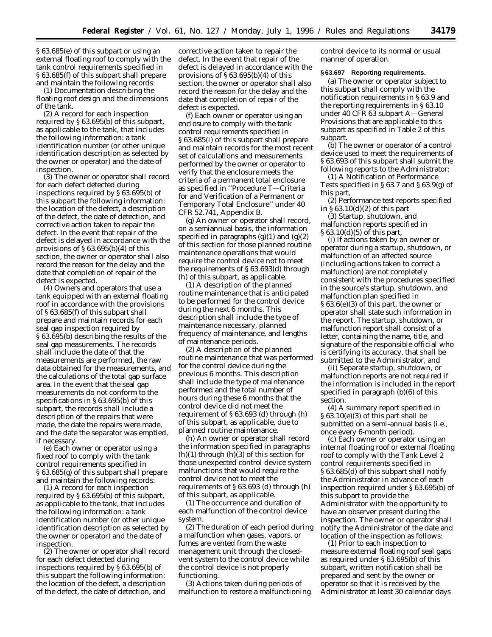§ 63.685(e) of this subpart or using an external floating roof to comply with the tank control requirements specified in § 63.685(f) of this subpart shall prepare and maintain the following records:

(1) Documentation describing the floating roof design and the dimensions of the tank.

(2) A record for each inspection required by § 63.695(b) of this subpart, as applicable to the tank, that includes the following information: a tank identification number (or other unique identification description as selected by the owner or operator) and the date of inspection.

(3) The owner or operator shall record for each defect detected during inspections required by § 63.695(b) of this subpart the following information: the location of the defect, a description of the defect, the date of detection, and corrective action taken to repair the defect. In the event that repair of the defect is delayed in accordance with the provisions of  $\S 63.695(b)(4)$  of this section, the owner or operator shall also record the reason for the delay and the date that completion of repair of the defect is expected.

(4) Owners and operators that use a tank equipped with an external floating roof in accordance with the provisions of § 63.685(f) of this subpart shall prepare and maintain records for each seal gap inspection required by § 63.695(b) describing the results of the seal gap measurements. The records shall include the date of that the measurements are performed, the raw data obtained for the measurements, and the calculations of the total gap surface area. In the event that the seal gap measurements do not conform to the specifications in § 63.695(b) of this subpart, the records shall include a description of the repairs that were made, the date the repairs were made, and the date the separator was emptied, if necessary.

(e) Each owner or operator using a fixed roof to comply with the tank control requirements specified in § 63.685(g) of this subpart shall prepare and maintain the following records:

(1) A record for each inspection required by § 63.695(b) of this subpart, as applicable to the tank, that includes the following information: a tank identification number (or other unique identification description as selected by the owner or operator) and the date of inspection.

(2) The owner or operator shall record for each defect detected during inspections required by § 63.695(b) of this subpart the following information: the location of the defect, a description of the defect, the date of detection, and

corrective action taken to repair the defect. In the event that repair of the defect is delayed in accordance with the provisions of § 63.695(b)(4) of this section, the owner or operator shall also record the reason for the delay and the date that completion of repair of the defect is expected.

(f) Each owner or operator using an enclosure to comply with the tank control requirements specified in § 63.685(i) of this subpart shall prepare and maintain records for the most recent set of calculations and measurements performed by the owner or operator to verify that the enclosure meets the criteria of a permanent total enclosure as specified in ''Procedure T—Criteria for and Verification of a Permanent or Temporary Total Enclosure'' under 40 CFR 52.741, Appendix B.

(g) An owner or operator shall record, on a semiannual basis, the information specified in paragraphs  $(g)(1)$  and  $(g)(2)$ of this section for those planned routine maintenance operations that would require the control device not to meet the requirements of § 63.693(d) through (h) of this subpart, as applicable.

(1) A description of the planned routine maintenance that is anticipated to be performed for the control device during the next 6 months. This description shall include the type of maintenance necessary, planned frequency of maintenance, and lengths of maintenance periods.

(2) A description of the planned routine maintenance that was performed for the control device during the previous 6 months. This description shall include the type of maintenance performed and the total number of hours during these 6 months that the control device did not meet the requirement of § 63.693 (d) through (h) of this subpart, as applicable, due to planned routine maintenance.

(h) An owner or operator shall record the information specified in paragraphs  $(h)(1)$  through  $(h)(3)$  of this section for those unexpected control device system malfunctions that would require the control device not to meet the requirements of § 63.693 (d) through (h) of this subpart, as applicable.

(1) The occurrence and duration of each malfunction of the control device system.

(2) The duration of each period during a malfunction when gases, vapors, or fumes are vented from the waste management unit through the closedvent system to the control device while the control device is not properly functioning.

(3) Actions taken during periods of malfunction to restore a malfunctioning control device to its normal or usual manner of operation.

#### **§ 63.697 Reporting requirements.**

(a) The owner or operator subject to this subpart shall comply with the notification requirements in § 63.9 and the reporting requirements in § 63.10 under 40 CFR 63 subpart A—General Provisions that are applicable to this subpart as specified in Table 2 of this subpart.

(b) The owner or operator of a control device used to meet the requirements of § 63.693 of this subpart shall submit the following reports to the Administrator:

(1) A Notification of Performance Tests specified in § 63.7 and § 63.9(g) of this part,

(2) Performance test reports specified in  $\S 63.10(d)(2)$  of this part

(3) Startup, shutdown, and malfunction reports specified in § 63.10(d)(5) of this part,

(i) If actions taken by an owner or operator during a startup, shutdown, or malfunction of an affected source (including actions taken to correct a malfunction) are not completely consistent with the procedures specified in the source's startup, shutdown, and malfunction plan specified in § 63.6(e)(3) of this part, the owner or operator shall state such information in the report. The startup, shutdown, or malfunction report shall consist of a letter, containing the name, title, and signature of the responsible official who is certifying its accuracy, that shall be submitted to the Administrator, and

(ii) Separate startup, shutdown, or malfunction reports are not required if the information is included in the report specified in paragraph (b)(6) of this section.

(4) A summary report specified in § 63.10(e)(3) of this part shall be submitted on a semi-annual basis (i.e., once every 6-month period).

(c) Each owner or operator using an internal floating roof or external floating roof to comply with the Tank Level 2 control requirements specified in § 63.685(d) of this subpart shall notify the Administrator in advance of each inspection required under § 63.695(b) of this subpart to provide the Administrator with the opportunity to have an observer present during the inspection. The owner or operator shall notify the Administrator of the date and location of the inspection as follows:

(1) Prior to each inspection to measure external floating roof seal gaps as required under § 63.695(b) of this subpart, written notification shall be prepared and sent by the owner or operator so that it is received by the Administrator at least 30 calendar days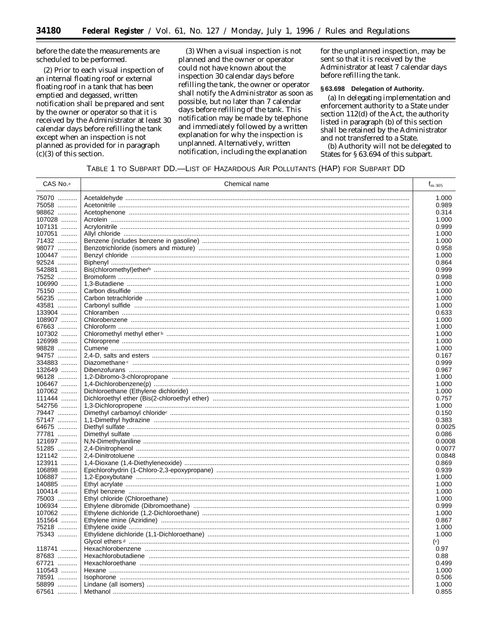before the date the measurements are scheduled to be performed.

(2) Prior to each visual inspection of an internal floating roof or external floating roof in a tank that has been emptied and degassed, written notification shall be prepared and sent by the owner or operator so that it is received by the Administrator at least 30 calendar days before refilling the tank except when an inspection is not planned as provided for in paragraph  $(c)(3)$  of this section.

(3) When a visual inspection is not planned and the owner or operator could not have known about the inspection 30 calendar days before refilling the tank, the owner or operator shall notify the Administrator as soon as possible, but no later than 7 calendar days before refilling of the tank. This notification may be made by telephone and immediately followed by a written explanation for why the inspection is unplanned. Alternatively, written notification, including the explanation

for the unplanned inspection, may be sent so that it is received by the Administrator at least 7 calendar days before refilling the tank.

## §63.698 Delegation of Authority.

(a) In delegating implementation and enforcement authority to a State under section 112(d) of the Act, the authority listed in paragraph (b) of this section shall be retained by the Administrator and not transferred to a State.

(b) Authority will not be delegated to States for §63.694 of this subpart.

# TABLE 1 TO SUBPART DD.-LIST OF HAZARDOUS AIR POLLUTANTS (HAP) FOR SUBPART DD

| CAS No. <sup>a</sup> | Chemical name | f <sub>m 305</sub> |
|----------------------|---------------|--------------------|
| 75070                |               | 1.000              |
| 75058                |               | 0.989              |
| 98862                |               | 0.314              |
| 107028               |               | 1.000              |
| 107131               |               | 0.999              |
| 107051               |               | 1.000              |
| 71432                |               | 1.000              |
| 98077                |               | 0.958              |
| 100447               |               | 1.000              |
| 92524                |               | 0.864              |
| 542881               |               | 0.999              |
| 75252                |               | 0.998              |
| 106990               |               | 1.000              |
| 75150                |               | 1.000              |
| 56235                |               | 1.000              |
| 43581                |               | 1.000              |
| 133904               |               | 0.633              |
| 108907               |               | 1.000              |
| 67663                |               | 1.000              |
| 107302               |               | 1.000              |
| 126998               |               | 1.000              |
| 98828                |               | 1.000              |
| 94757                |               | 0.167              |
| 334883               |               | 0.999              |
| 132649               |               | 0.967              |
| 96128                |               | 1.000              |
| 106467               |               | 1.000              |
| 107062               |               | 1.000              |
| 111444               |               | 0.757              |
| 542756               |               | 1.000              |
| 79447                |               | 0.150              |
| 57147                |               | 0.383              |
| 64675                |               | 0.0025             |
| 77781                |               | 0.086              |
| 121697               |               | 0.0008             |
| 51285                |               | 0.0077             |
| 121142               |               | 0.0848             |
| 123911               |               | 0.869              |
| 106898               |               | 0.939              |
| 106887               |               | 1.000              |
| 140885               |               | 1.000              |
| 100414               |               | 1.000              |
| 75003                |               | 1.000              |
| 106934               |               | 0.999              |
| 107062               |               | 1.000              |
| 151564<br>75218      |               | 0.867<br>1.000     |
| 75343                |               | 1.000              |
|                      |               | (e)                |
| 118741               |               | 0.97               |
| 87683                |               | 0.88               |
| 67721                |               | 0.499              |
| 110543               |               | 1.000              |
| 78591                |               | 0.506              |
| 58899                |               | 1.000              |
| 67561  l             |               | 0.855              |
|                      |               |                    |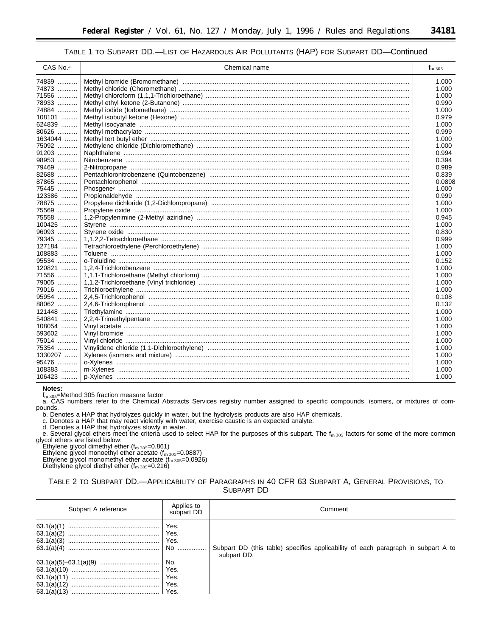# TABLE 1 TO SUBPART DD.-LIST OF HAZARDOUS AIR POLLUTANTS (HAP) FOR SUBPART DD-Continued

| CAS No. <sup>a</sup> | Chemical name | $f_{\rm m\,305}$ |
|----------------------|---------------|------------------|
| 74839                |               | 1.000            |
| 74873                |               | 1.000            |
| 71556                |               | 1.000            |
| 78933                |               | 0.990            |
| 74884                |               | 1.000            |
| 108101               |               | 0.979            |
| 624839               |               | 1.000            |
| 80626                |               | 0.999            |
| 1634044              |               | 1.000            |
| 75092                |               | 1.000            |
| 91203                |               | 0.994            |
| 98953                |               | 0.394            |
| 79469                |               | 0.989            |
| 82688                |               | 0.839            |
| 87865                |               | 0.0898           |
| 75445                |               | 1.000            |
| 123386               |               | 0.999            |
| 78875                |               | 1.000            |
| 75569                |               | 1.000            |
| 75558                |               | 0.945            |
| 100425               |               | 1.000            |
| 96093                |               | 0.830            |
| 79345                |               | 0.999            |
| 127184               |               | 1.000            |
| 108883               |               | 1.000            |
| 95534                |               | 0.152            |
| 120821               |               | 1.000            |
| 71556                |               | 1.000            |
| 79005                |               | 1.000            |
| 79016                |               | 1.000            |
| 95954                |               | 0.108            |
| 88062                |               | 0.132            |
| 121448               |               | 1.000            |
| 540841               |               | 1.000            |
| 108054               |               | 1.000            |
| 593602               |               | 1.000            |
| 75014                |               | 1.000            |
| 75354                |               | 1.000            |
| 1330207              |               | 1.000            |
| 95476                |               | 1.000            |
| $108383$             |               | 1.000            |
| 106423               |               | 1.000            |
|                      |               |                  |

Notes:

Thored.<br>1. 305=Method 305 fraction measure factor<br>a. CAS numbers refer to the Chemical Abstracts Services registry number assigned to specific compounds, isomers, or mixtures of compounds.

b. Denotes a HAP that hydrolyzes quickly in water, but the hydrolysis products are also HAP chemicals.<br>c. Denotes a HAP that may react violently with water, exercise caustic is an expected analyte.<br>d. Denotes a HAP that hy

e. Several glycol ethers meet the criteria used to select HAP for the purposes of this subpart. The  $f_{\rm m,305}$  factors for some of the more common glycol ethers are listed below:

Ethylene glycol dimethyl ether  $(f_{\rm m,305}=0.861)$ <br>Ethylene glycol monoethyl ether acetate  $(f_{\rm m,305}=0.0887)$ <br>Ethylene glycol monoethyl ether acetate  $(f_{\rm m,305}=0.0887)$ <br>Ethylene glycol monomethyl ether  $(f_{\rm m,305}=0.0926)$ 

Diethylene glycol diethyl ether  $(f_{\rm m\,305}=0.216)$ 

| TABLE 2 TO SUBPART DD.—APPLICABILITY OF PARAGRAPHS IN 40 CFR 63 SUBPART A. GENERAL PROVISIONS. TO |  |  |  |  |  |  |
|---------------------------------------------------------------------------------------------------|--|--|--|--|--|--|
| SUBPART DD                                                                                        |  |  |  |  |  |  |

| Subpart A reference        | Applies to<br>subpart DD            | Comment                                                                           |
|----------------------------|-------------------------------------|-----------------------------------------------------------------------------------|
| 63.1(a)(1)<br>63.1(a)(2)   | Yes.<br>Yes.<br>Yes.<br>No          | Subpart DD (this table) specifies applicability of each paragraph in subpart A to |
| 63.1(a)(11)<br>63.1(a)(12) | No.<br>Yes.<br>Yes.<br>Yes.<br>Yes. | subpart DD.                                                                       |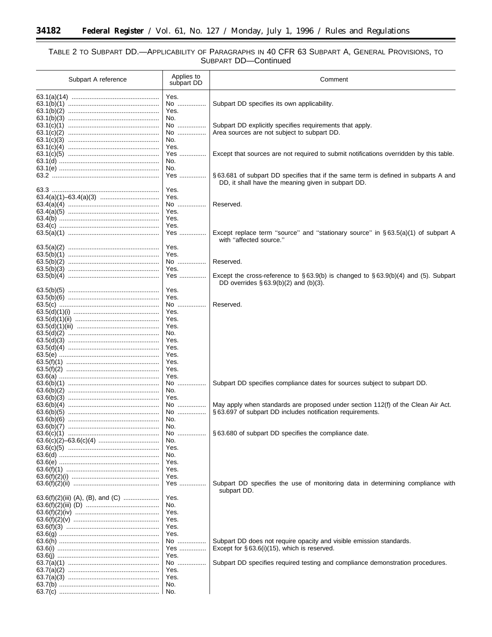۳

# TABLE 2 TO SUBPART DD.—APPLICABILITY OF PARAGRAPHS IN 40 CFR 63 SUBPART A, GENERAL PROVISIONS, TO<br>SUBPART DD—Continued

۰

| Subpart A reference | Applies to<br>subpart DD            | Comment                                                                                                                                       |
|---------------------|-------------------------------------|-----------------------------------------------------------------------------------------------------------------------------------------------|
|                     | Yes.<br>No<br>Yes.                  | Subpart DD specifies its own applicability.                                                                                                   |
|                     | No.<br>No<br>No<br>No.              | Subpart DD explicitly specifies requirements that apply.<br>Area sources are not subject to subpart DD.                                       |
|                     | Yes.<br>Yes<br>No.<br>No.           | Except that sources are not required to submit notifications overridden by this table.                                                        |
|                     | Yes<br>Yes.                         | §63.681 of subpart DD specifies that if the same term is defined in subparts A and<br>DD, it shall have the meaning given in subpart DD.      |
|                     | Yes.<br>No<br>Yes.<br>Yes.          | Reserved.                                                                                                                                     |
|                     | Yes.<br>Yes<br>Yes.                 | Except replace term "source" and "stationary source" in $\S 63.5(a)(1)$ of subpart A<br>with "affected source."                               |
|                     | Yes.<br>No<br>Yes.                  | Reserved.                                                                                                                                     |
|                     | Yes<br>Yes.                         | Except the cross-reference to $\S 63.9(b)$ is changed to $\S 63.9(b)(4)$ and (5). Subpart<br>DD overrides $\S 63.9(b)(2)$ and $(b)(3)$ .      |
|                     | Yes.<br>No<br>Yes.                  | Reserved.                                                                                                                                     |
|                     | Yes.<br>Yes.<br>No.<br>Yes.         |                                                                                                                                               |
|                     | Yes.<br>Yes.<br>Yes.<br>Yes.        |                                                                                                                                               |
|                     | Yes.<br>No<br>No.                   | Subpart DD specifies compliance dates for sources subject to subpart DD.                                                                      |
|                     | Yes.<br>No<br>No<br>No.             | May apply when standards are proposed under section 112(f) of the Clean Air Act.<br>§63.697 of subpart DD includes notification requirements. |
|                     | No.<br>No<br>No.<br>Yes.            | §63.680 of subpart DD specifies the compliance date.                                                                                          |
|                     | No.<br>Yes.<br>Yes.                 |                                                                                                                                               |
|                     | Yes.<br>Yes                         | Subpart DD specifies the use of monitoring data in determining compliance with<br>subpart DD.                                                 |
|                     | Yes.<br>No.<br>Yes.<br>Yes.<br>Yes. |                                                                                                                                               |
|                     | Yes.<br>No<br>Yes<br>Yes.           | Subpart DD does not require opacity and visible emission standards.<br>Except for $\S 63.6(i)(15)$ , which is reserved.                       |
|                     | No<br>Yes.<br>Yes.                  | Subpart DD specifies required testing and compliance demonstration procedures.                                                                |
|                     | No.<br>No.                          |                                                                                                                                               |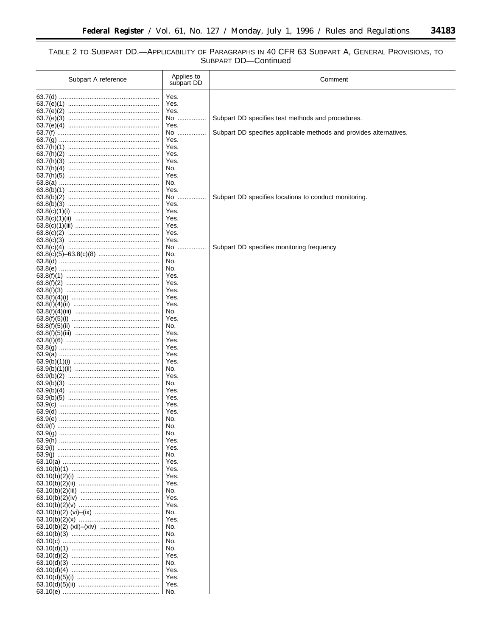$\equiv$ 

# TABLE 2 TO SUBPART DD.—APPLICABILITY OF PARAGRAPHS IN 40 CFR 63 SUBPART A, GENERAL PROVISIONS, TO<br>SUBPART DD—Continued

| Subpart A reference | Applies to<br>subpart DD | Comment                                                            |
|---------------------|--------------------------|--------------------------------------------------------------------|
|                     | Yes.                     |                                                                    |
|                     | Yes.                     |                                                                    |
|                     | Yes.                     |                                                                    |
|                     | No                       | Subpart DD specifies test methods and procedures.                  |
|                     | Yes.<br>No               | Subpart DD specifies applicable methods and provides alternatives. |
|                     | Yes.                     |                                                                    |
|                     | Yes.                     |                                                                    |
|                     | Yes.                     |                                                                    |
|                     | Yes.                     |                                                                    |
|                     | No.                      |                                                                    |
|                     | Yes.<br>No.              |                                                                    |
|                     | Yes.                     |                                                                    |
|                     | No                       | Subpart DD specifies locations to conduct monitoring.              |
|                     | Yes.                     |                                                                    |
|                     | Yes.                     |                                                                    |
|                     | Yes.<br>Yes.             |                                                                    |
|                     | Yes.                     |                                                                    |
|                     | Yes.                     |                                                                    |
|                     | No.<br>                  | Subpart DD specifies monitoring frequency                          |
|                     | No.                      |                                                                    |
|                     | No.<br>No.               |                                                                    |
|                     | Yes.                     |                                                                    |
|                     | Yes.                     |                                                                    |
|                     | Yes.                     |                                                                    |
|                     | Yes.                     |                                                                    |
|                     | Yes.                     |                                                                    |
|                     | No.<br>Yes.              |                                                                    |
|                     | No.                      |                                                                    |
|                     | Yes.                     |                                                                    |
|                     | Yes.                     |                                                                    |
|                     | Yes.                     |                                                                    |
|                     | Yes.<br>Yes.             |                                                                    |
|                     | No.                      |                                                                    |
|                     | Yes.                     |                                                                    |
|                     | No.                      |                                                                    |
|                     | Yes.<br>Yes.             |                                                                    |
|                     | Yes.                     |                                                                    |
|                     | Yes.                     |                                                                    |
|                     | No.                      |                                                                    |
|                     | No.                      |                                                                    |
|                     | No.<br>Yes.              |                                                                    |
|                     | Yes.                     |                                                                    |
|                     | No.                      |                                                                    |
|                     | Yes.                     |                                                                    |
|                     | Yes.                     |                                                                    |
|                     | Yes.<br>Yes.             |                                                                    |
|                     | No.                      |                                                                    |
|                     | Yes.                     |                                                                    |
|                     | Yes.                     |                                                                    |
|                     | No.                      |                                                                    |
|                     | Yes.                     |                                                                    |
|                     | No.<br>No.               |                                                                    |
|                     | No.                      |                                                                    |
|                     | No.                      |                                                                    |
|                     | Yes.                     |                                                                    |
|                     | No.                      |                                                                    |
|                     | Yes.<br>Yes.             |                                                                    |
|                     | Yes.                     |                                                                    |
|                     | No.                      |                                                                    |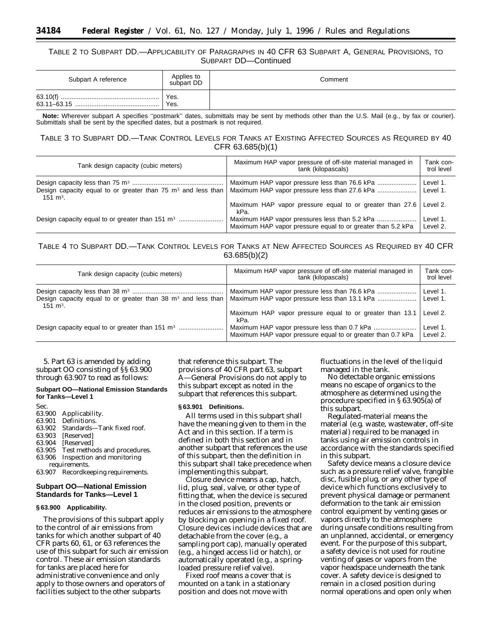# TABLE 2 TO SUBPART DD.—APPLICABILITY OF PARAGRAPHS IN 40 CFR 63 SUBPART A, GENERAL PROVISIONS, TO SUBPART DD—Continued

| Subpart A reference | Applies to<br>subpart DD | Comment |
|---------------------|--------------------------|---------|
| 63.11-63.15         | Yes.<br>Yes.             |         |

**Note:** Wherever subpart A specifies ''postmark'' dates, submittals may be sent by methods other than the U.S. Mail (e.g., by fax or courier). Submittals shall be sent by the specified dates, but a postmark is not required.

# TABLE 3 TO SUBPART DD.—TANK CONTROL LEVELS FOR TANKS AT EXISTING AFFECTED SOURCES AS REQUIRED BY 40 CFR 63.685(b)(1)

| Tank design capacity (cubic meters)                                                              | Maximum HAP vapor pressure of off-site material managed in<br>tank (kilopascals) | Tank con-<br>trol level |
|--------------------------------------------------------------------------------------------------|----------------------------------------------------------------------------------|-------------------------|
| Design capacity equal to or greater than 75 m <sup>3</sup> and less than<br>151 $\mathrm{m}^3$ . |                                                                                  | Level 1.<br>Level 1.    |
|                                                                                                  | Maximum HAP vapor pressure equal to or greater than 27.6<br>kPa.                 | Level 2.                |
|                                                                                                  | Maximum HAP vapor pressure equal to or greater than 5.2 kPa                      | Level 1.<br>Level 2.    |

# TABLE 4 TO SUBPART DD.—TANK CONTROL LEVELS FOR TANKS AT NEW AFFECTED SOURCES AS REQUIRED BY 40 CFR 63.685(b)(2)

| Tank design capacity (cubic meters)                                                   | Maximum HAP vapor pressure of off-site material managed in<br>tank (kilopascals) | Tank con-<br>trol level |
|---------------------------------------------------------------------------------------|----------------------------------------------------------------------------------|-------------------------|
| Design capacity equal to or greater than 38 $m3$ and less than<br>$151 \text{ m}^3$ . |                                                                                  | Level 1.<br>Level 1.    |
|                                                                                       | Maximum HAP vapor pressure equal to or greater than 13.1<br>kPa.                 | Level 2.                |
|                                                                                       | Maximum HAP vapor pressure equal to or greater than 0.7 kPa                      | Level 1.<br>Level 2.    |

5. Part 63 is amended by adding subpart OO consisting of §§ 63.900 through 63.907 to read as follows:

## **Subpart OO—National Emission Standards for Tanks—Level 1**

Sec. 63.900 Applicability. 63.901 Definitions. Standards—Tank fixed roof. 63.903 [Reserved] 63.904 [Reserved] Test methods and procedures. 63.906 Inspection and monitoring

requirements. 63.907 Recordkeeping requirements.

# **Subpart OO—National Emission Standards for Tanks—Level 1**

# **§ 63.900 Applicability.**

The provisions of this subpart apply to the control of air emissions from tanks for which another subpart of 40 CFR parts 60, 61, or 63 references the use of this subpart for such air emission control. These air emission standards for tanks are placed here for administrative convenience and only apply to those owners and operators of facilities subject to the other subparts

that reference this subpart. The provisions of 40 CFR part 63, subpart A—General Provisions do not apply to this subpart except as noted in the subpart that references this subpart.

## **§ 63.901 Definitions.**

All terms used in this subpart shall have the meaning given to them in the Act and in this section. If a term is defined in both this section and in another subpart that references the use of this subpart, then the definition in this subpart shall take precedence when implementing this subpart.

*Closure device* means a cap, hatch, lid, plug, seal, valve, or other type of fitting that, when the device is secured in the closed position, prevents or reduces air emissions to the atmosphere by blocking an opening in a fixed roof. Closure devices include devices that are detachable from the cover (e.g., a sampling port cap), manually operated (e.g., a hinged access lid or hatch), or automatically operated (e.g., a springloaded pressure relief valve).

*Fixed roof* means a cover that is mounted on a tank in a stationary position and does not move with

fluctuations in the level of the liquid managed in the tank.

*No detectable organic emissions* means no escape of organics to the atmosphere as determined using the procedure specified in § 63.905(a) of this subpart.

*Regulated-material* means the material (e.g. waste, wastewater, off-site material) required to be managed in tanks using air emission controls in accordance with the standards specified in this subpart.

*Safety device* means a closure device such as a pressure relief valve, frangible disc, fusible plug, or any other type of device which functions exclusively to prevent physical damage or permanent deformation to the tank air emission control equipment by venting gases or vapors directly to the atmosphere during unsafe conditions resulting from an unplanned, accidental, or emergency event. For the purpose of this subpart, a safety device is not used for routine venting of gases or vapors from the vapor headspace underneath the tank cover. A safety device is designed to remain in a closed position during normal operations and open only when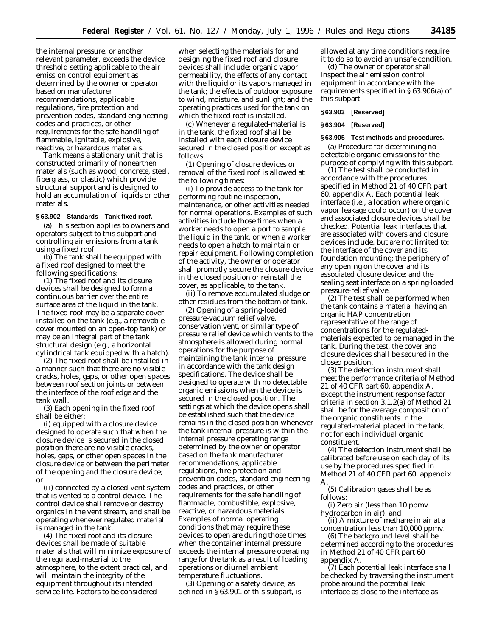the internal pressure, or another relevant parameter, exceeds the device threshold setting applicable to the air emission control equipment as determined by the owner or operator based on manufacturer recommendations, applicable regulations, fire protection and prevention codes, standard engineering codes and practices, or other requirements for the safe handling of flammable, ignitable, explosive, reactive, or hazardous materials.

*Tank* means a stationary unit that is constructed primarily of nonearthen materials (such as wood, concrete, steel, fiberglass, or plastic) which provide structural support and is designed to hold an accumulation of liquids or other materials.

## **§ 63.902 Standards—Tank fixed roof.**

(a) This section applies to owners and operators subject to this subpart and controlling air emissions from a tank using a fixed roof.

(b) The tank shall be equipped with a fixed roof designed to meet the following specifications:

(1) The fixed roof and its closure devices shall be designed to form a continuous barrier over the entire surface area of the liquid in the tank. The fixed roof may be a separate cover installed on the tank (e.g., a removable cover mounted on an open-top tank) or may be an integral part of the tank structural design (e.g., a horizontal cylindrical tank equipped with a hatch).

(2) The fixed roof shall be installed in a manner such that there are no visible cracks, holes, gaps, or other open spaces between roof section joints or between the interface of the roof edge and the tank wall.

(3) Each opening in the fixed roof shall be either:

(i) equipped with a closure device designed to operate such that when the closure device is secured in the closed position there are no visible cracks, holes, gaps, or other open spaces in the closure device or between the perimeter of the opening and the closure device; or

(ii) connected by a closed-vent system that is vented to a control device. The control device shall remove or destroy organics in the vent stream, and shall be operating whenever regulated material is managed in the tank.

(4) The fixed roof and its closure devices shall be made of suitable materials that will minimize exposure of the regulated-material to the atmosphere, to the extent practical, and will maintain the integrity of the equipment throughout its intended service life. Factors to be considered

when selecting the materials for and designing the fixed roof and closure devices shall include: organic vapor permeability, the effects of any contact with the liquid or its vapors managed in the tank; the effects of outdoor exposure to wind, moisture, and sunlight; and the operating practices used for the tank on which the fixed roof is installed.

(c) Whenever a regulated-material is in the tank, the fixed roof shall be installed with each closure device secured in the closed position except as follows:

(1) Opening of closure devices or removal of the fixed roof is allowed at the following times:

(i) To provide access to the tank for performing routine inspection, maintenance, or other activities needed for normal operations. Examples of such activities include those times when a worker needs to open a port to sample the liquid in the tank, or when a worker needs to open a hatch to maintain or repair equipment. Following completion of the activity, the owner or operator shall promptly secure the closure device in the closed position or reinstall the cover, as applicable, to the tank.

(ii) To remove accumulated sludge or other residues from the bottom of tank.

(2) Opening of a spring-loaded pressure-vacuum relief valve, conservation vent, or similar type of pressure relief device which vents to the atmosphere is allowed during normal operations for the purpose of maintaining the tank internal pressure in accordance with the tank design specifications. The device shall be designed to operate with no detectable organic emissions when the device is secured in the closed position. The settings at which the device opens shall be established such that the device remains in the closed position whenever the tank internal pressure is within the internal pressure operating range determined by the owner or operator based on the tank manufacturer recommendations, applicable regulations, fire protection and prevention codes, standard engineering codes and practices, or other requirements for the safe handling of flammable, combustible, explosive, reactive, or hazardous materials. Examples of normal operating conditions that may require these devices to open are during those times when the container internal pressure exceeds the internal pressure operating range for the tank as a result of loading operations or diurnal ambient temperature fluctuations.

(3) Opening of a safety device, as defined in § 63.901 of this subpart, is allowed at any time conditions require it to do so to avoid an unsafe condition.

(d) The owner or operator shall inspect the air emission control equipment in accordance with the requirements specified in § 63.906(a) of this subpart.

#### **§ 63.903 [Reserved]**

## **§ 63.904 [Reserved]**

## **§ 63.905 Test methods and procedures.**

(a) Procedure for determining no detectable organic emissions for the purpose of complying with this subpart.

(1) The test shall be conducted in accordance with the procedures specified in Method 21 of 40 CFR part 60, appendix A. Each potential leak interface (i.e., a location where organic vapor leakage could occur) on the cover and associated closure devices shall be checked. Potential leak interfaces that are associated with covers and closure devices include, but are not limited to: the interface of the cover and its foundation mounting; the periphery of any opening on the cover and its associated closure device; and the sealing seat interface on a spring-loaded pressure-relief valve.

(2) The test shall be performed when the tank contains a material having an organic HAP concentration representative of the range of concentrations for the regulatedmaterials expected to be managed in the tank. During the test, the cover and closure devices shall be secured in the closed position.

(3) The detection instrument shall meet the performance criteria of Method 21 of 40 CFR part 60, appendix A, except the instrument response factor criteria in section 3.1.2(a) of Method 21 shall be for the average composition of the organic constituents in the regulated-material placed in the tank, not for each individual organic constituent.

(4) The detection instrument shall be calibrated before use on each day of its use by the procedures specified in Method 21 of 40 CFR part 60, appendix A.

(5) Calibration gases shall be as follows:

(i) Zero air (less than 10 ppmv hydrocarbon in air); and

(ii) A mixture of methane in air at a concentration less than 10,000 ppmv.

(6) The background level shall be determined according to the procedures in Method 21 of 40 CFR part 60 appendix A.

(7) Each potential leak interface shall be checked by traversing the instrument probe around the potential leak interface as close to the interface as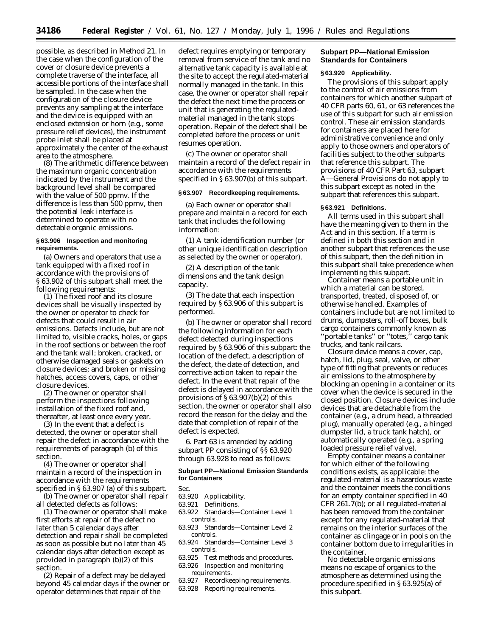possible, as described in Method 21. In the case when the configuration of the cover or closure device prevents a complete traverse of the interface, all accessible portions of the interface shall be sampled. In the case when the configuration of the closure device prevents any sampling at the interface and the device is equipped with an enclosed extension or horn (e.g., some pressure relief devices), the instrument probe inlet shall be placed at approximately the center of the exhaust area to the atmosphere.

(8) The arithmetic difference between the maximum organic concentration indicated by the instrument and the background level shall be compared with the value of 500 ppmv. If the difference is less than 500 ppmv, then the potential leak interface is determined to operate with no detectable organic emissions.

# **§ 63.906 Inspection and monitoring requirements.**

(a) Owners and operators that use a tank equipped with a fixed roof in accordance with the provisions of § 63.902 of this subpart shall meet the following requirements:

(1) The fixed roof and its closure devices shall be visually inspected by the owner or operator to check for defects that could result in air emissions. Defects include, but are not limited to, visible cracks, holes, or gaps in the roof sections or between the roof and the tank wall; broken, cracked, or otherwise damaged seals or gaskets on closure devices; and broken or missing hatches, access covers, caps, or other closure devices.

(2) The owner or operator shall perform the inspections following installation of the fixed roof and, thereafter, at least once every year.

(3) In the event that a defect is detected, the owner or operator shall repair the defect in accordance with the requirements of paragraph (b) of this section.

(4) The owner or operator shall maintain a record of the inspection in accordance with the requirements specified in § 63.907 (a) of this subpart.

(b) The owner or operator shall repair all detected defects as follows:

(1) The owner or operator shall make first efforts at repair of the defect no later than 5 calendar days after detection and repair shall be completed as soon as possible but no later than 45 calendar days after detection except as provided in paragraph (b)(2) of this section.

(2) Repair of a defect may be delayed beyond 45 calendar days if the owner or operator determines that repair of the

defect requires emptying or temporary removal from service of the tank and no alternative tank capacity is available at the site to accept the regulated-material normally managed in the tank. In this case, the owner or operator shall repair the defect the next time the process or unit that is generating the regulatedmaterial managed in the tank stops operation. Repair of the defect shall be completed before the process or unit resumes operation.

(c) The owner or operator shall maintain a record of the defect repair in accordance with the requirements specified in § 63.907(b) of this subpart.

## **§ 63.907 Recordkeeping requirements.**

(a) Each owner or operator shall prepare and maintain a record for each tank that includes the following information:

(1) A tank identification number (or other unique identification description as selected by the owner or operator).

(2) A description of the tank dimensions and the tank design capacity.

(3) The date that each inspection required by § 63.906 of this subpart is performed.

(b) The owner or operator shall record the following information for each defect detected during inspections required by § 63.906 of this subpart: the location of the defect, a description of the defect, the date of detection, and corrective action taken to repair the defect. In the event that repair of the defect is delayed in accordance with the provisions of § 63.907(b)(2) of this section, the owner or operator shall also record the reason for the delay and the date that completion of repair of the defect is expected.

6. Part 63 is amended by adding subpart PP consisting of §§ 63.920 through 63.928 to read as follows:

## **Subpart PP—National Emission Standards for Containers**

Sec.

- 63.920 Applicability.
- 63.921 Definitions.
- 63.922 Standards—Container Level 1 controls.
- 63.923 Standards—Container Level 2 controls.
- 63.924 Standards—Container Level 3 controls.
- 63.925 Test methods and procedures.
- 63.926 Inspection and monitoring
- requirements.
- 63.927 Recordkeeping requirements. 63.928 Reporting requirements.
- 

# **Subpart PP—National Emission Standards for Containers**

## **§ 63.920 Applicability.**

The provisions of this subpart apply to the control of air emissions from containers for which another subpart of 40 CFR parts 60, 61, or 63 references the use of this subpart for such air emission control. These air emission standards for containers are placed here for administrative convenience and only apply to those owners and operators of facilities subject to the other subparts that reference this subpart. The provisions of 40 CFR Part 63, subpart A—General Provisions do not apply to this subpart except as noted in the subpart that references this subpart.

## **§ 63.921 Definitions.**

All terms used in this subpart shall have the meaning given to them in the Act and in this section. If a term is defined in both this section and in another subpart that references the use of this subpart, then the definition in this subpart shall take precedence when implementing this subpart.

*Container* means a portable unit in which a material can be stored, transported, treated, disposed of, or otherwise handled. Examples of containers include but are not limited to drums, dumpsters, roll-off boxes, bulk cargo containers commonly known as ''portable tanks'' or ''totes,'' cargo tank trucks, and tank railcars.

*Closure device* means a cover, cap, hatch, lid, plug, seal, valve, or other type of fitting that prevents or reduces air emissions to the atmosphere by blocking an opening in a container or its cover when the device is secured in the closed position. Closure devices include devices that are detachable from the container (e.g., a drum head, a threaded plug), manually operated (e.g., a hinged dumpster lid, a truck tank hatch), or automatically operated (e.g., a spring loaded pressure relief valve).

*Empty container* means a container for which either of the following conditions exists, as applicable: the regulated-material is a hazardous waste and the container meets the conditions for an empty container specified in 40 CFR 261.7(b); or all regulated-material has been removed from the container except for any regulated-material that remains on the interior surfaces of the container as clingage or in pools on the container bottom due to irregularities in the container.

*No detectable organic emissions* means no escape of organics to the atmosphere as determined using the procedure specified in § 63.925(a) of this subpart.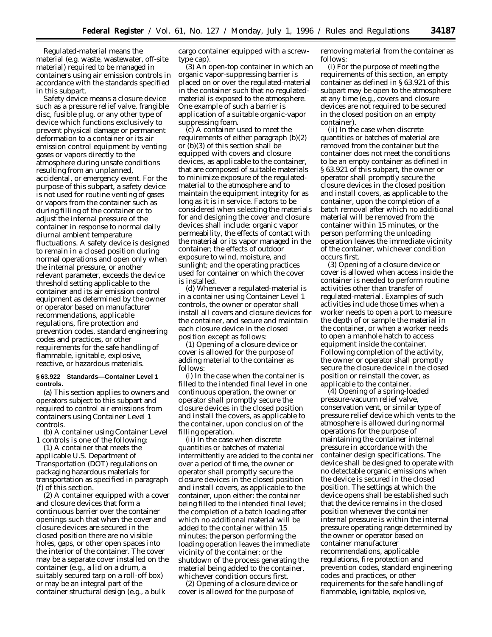*Regulated-material* means the material (e.g. waste, wastewater, off-site material) required to be managed in containers using air emission controls in accordance with the standards specified in this subpart.

*Safety device* means a closure device such as a pressure relief valve, frangible disc, fusible plug, or any other type of device which functions exclusively to prevent physical damage or permanent deformation to a container or its air emission control equipment by venting gases or vapors directly to the atmosphere during unsafe conditions resulting from an unplanned, accidental, or emergency event. For the purpose of this subpart, a safety device is not used for routine venting of gases or vapors from the container such as during filling of the container or to adjust the internal pressure of the container in response to normal daily diurnal ambient temperature fluctuations. A safety device is designed to remain in a closed position during normal operations and open only when the internal pressure, or another relevant parameter, exceeds the device threshold setting applicable to the container and its air emission control equipment as determined by the owner or operator based on manufacturer recommendations, applicable regulations, fire protection and prevention codes, standard engineering codes and practices, or other requirements for the safe handling of flammable, ignitable, explosive, reactive, or hazardous materials.

## **§ 63.922 Standards—Container Level 1 controls.**

(a) This section applies to owners and operators subject to this subpart and required to control air emissions from containers using Container Level 1 controls.

(b) A container using Container Level 1 controls is one of the following:

(1) A container that meets the applicable U.S. Department of Transportation (DOT) regulations on packaging hazardous materials for transportation as specified in paragraph (f) of this section.

(2) A container equipped with a cover and closure devices that form a continuous barrier over the container openings such that when the cover and closure devices are secured in the closed position there are no visible holes, gaps, or other open spaces into the interior of the container. The cover may be a separate cover installed on the container (e.g., a lid on a drum, a suitably secured tarp on a roll-off box) or may be an integral part of the container structural design (e.g., a bulk

cargo container equipped with a screwtype cap).

(3) An open-top container in which an organic vapor-suppressing barrier is placed on or over the regulated-material in the container such that no regulatedmaterial is exposed to the atmosphere. One example of such a barrier is application of a suitable organic-vapor suppressing foam.

(c) A container used to meet the requirements of either paragraph (b)(2) or (b)(3) of this section shall be equipped with covers and closure devices, as applicable to the container, that are composed of suitable materials to minimize exposure of the regulatedmaterial to the atmosphere and to maintain the equipment integrity for as long as it is in service. Factors to be considered when selecting the materials for and designing the cover and closure devices shall include: organic vapor permeability, the effects of contact with the material or its vapor managed in the container; the effects of outdoor exposure to wind, moisture, and sunlight; and the operating practices used for container on which the cover is installed.

(d) Whenever a regulated-material is in a container using Container Level 1 controls, the owner or operator shall install all covers and closure devices for the container, and secure and maintain each closure device in the closed position except as follows:

(1) Opening of a closure device or cover is allowed for the purpose of adding material to the container as follows:

(i) In the case when the container is filled to the intended final level in one continuous operation, the owner or operator shall promptly secure the closure devices in the closed position and install the covers, as applicable to the container, upon conclusion of the filling operation.

(ii) In the case when discrete quantities or batches of material intermittently are added to the container over a period of time, the owner or operator shall promptly secure the closure devices in the closed position and install covers, as applicable to the container, upon either: the container being filled to the intended final level; the completion of a batch loading after which no additional material will be added to the container within 15 minutes; the person performing the loading operation leaves the immediate vicinity of the container; or the shutdown of the process generating the material being added to the container, whichever condition occurs first.

(2) Opening of a closure device or cover is allowed for the purpose of

removing material from the container as follows:

(i) For the purpose of meeting the requirements of this section, an empty container as defined in § 63.921 of this subpart may be open to the atmosphere at any time (e.g., covers and closure devices are not required to be secured in the closed position on an empty container).

(ii) In the case when discrete quantities or batches of material are removed from the container but the container does not meet the conditions to be an empty container as defined in § 63.921 of this subpart, the owner or operator shall promptly secure the closure devices in the closed position and install covers, as applicable to the container, upon the completion of a batch removal after which no additional material will be removed from the container within 15 minutes, or the person performing the unloading operation leaves the immediate vicinity of the container, whichever condition occurs first.

(3) Opening of a closure device or cover is allowed when access inside the container is needed to perform routine activities other than transfer of regulated-material. Examples of such activities include those times when a worker needs to open a port to measure the depth of or sample the material in the container, or when a worker needs to open a manhole hatch to access equipment inside the container. Following completion of the activity, the owner or operator shall promptly secure the closure device in the closed position or reinstall the cover, as applicable to the container.

(4) Opening of a spring-loaded pressure-vacuum relief valve, conservation vent, or similar type of pressure relief device which vents to the atmosphere is allowed during normal operations for the purpose of maintaining the container internal pressure in accordance with the container design specifications. The device shall be designed to operate with no detectable organic emissions when the device is secured in the closed position. The settings at which the device opens shall be established such that the device remains in the closed position whenever the container internal pressure is within the internal pressure operating range determined by the owner or operator based on container manufacturer recommendations, applicable regulations, fire protection and prevention codes, standard engineering codes and practices, or other requirements for the safe handling of flammable, ignitable, explosive,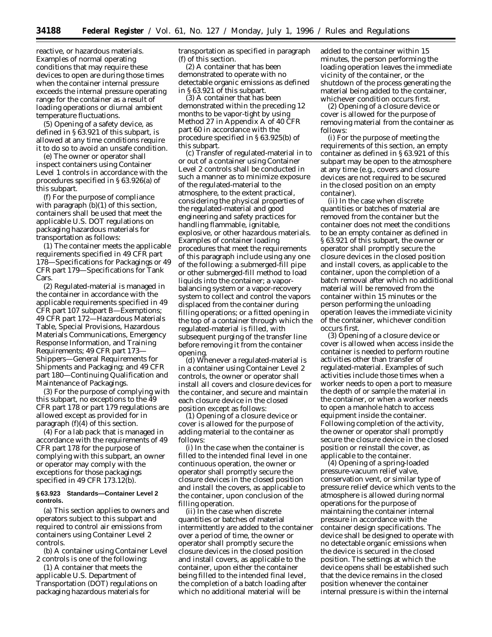reactive, or hazardous materials. Examples of normal operating conditions that may require these devices to open are during those times when the container internal pressure exceeds the internal pressure operating range for the container as a result of loading operations or diurnal ambient temperature fluctuations.

(5) Opening of a safety device, as defined in § 63.921 of this subpart, is allowed at any time conditions require it to do so to avoid an unsafe condition.

(e) The owner or operator shall inspect containers using Container Level 1 controls in accordance with the procedures specified in § 63.926(a) of this subpart.

(f) For the purpose of compliance with paragraph (b)(1) of this section, containers shall be used that meet the applicable U.S. DOT regulations on packaging hazardous materials for transportation as follows:

(1) The container meets the applicable requirements specified in 49 CFR part 178—Specifications for Packagings or 49 CFR part 179—Specifications for Tank Cars.

(2) Regulated-material is managed in the container in accordance with the applicable requirements specified in 49 CFR part 107 subpart B—Exemptions; 49 CFR part 172—Hazardous Materials Table, Special Provisions, Hazardous Materials Communications, Emergency Response Information, and Training Requirements; 49 CFR part 173— Shippers—General Requirements for Shipments and Packaging; and 49 CFR part 180—Continuing Qualification and Maintenance of Packagings.

(3) For the purpose of complying with this subpart, no exceptions to the 49 CFR part 178 or part 179 regulations are allowed except as provided for in paragraph (f)(4) of this section.

(4) For a lab pack that is managed in accordance with the requirements of 49 CFR part 178 for the purpose of complying with this subpart, an owner or operator may comply with the exceptions for those packagings specified in 49 CFR 173.12(b).

## **§ 63.923 Standards—Container Level 2 controls.**

(a) This section applies to owners and operators subject to this subpart and required to control air emissions from containers using Container Level 2 controls.

(b) A container using Container Level 2 controls is one of the following:

(1) A container that meets the applicable U.S. Department of Transportation (DOT) regulations on packaging hazardous materials for

transportation as specified in paragraph (f) of this section.

(2) A container that has been demonstrated to operate with no detectable organic emissions as defined in § 63.921 of this subpart.

(3) A container that has been demonstrated within the preceding 12 months to be vapor-tight by using Method 27 in Appendix A of 40 CFR part 60 in accordance with the procedure specified in § 63.925(b) of this subpart.

(c) Transfer of regulated-material in to or out of a container using Container Level 2 controls shall be conducted in such a manner as to minimize exposure of the regulated-material to the atmosphere, to the extent practical, considering the physical properties of the regulated-material and good engineering and safety practices for handling flammable, ignitable, explosive, or other hazardous materials. Examples of container loading procedures that meet the requirements of this paragraph include using any one of the following: a submerged-fill pipe or other submerged-fill method to load liquids into the container; a vaporbalancing system or a vapor-recovery system to collect and control the vapors displaced from the container during filling operations; or a fitted opening in the top of a container through which the regulated-material is filled, with subsequent purging of the transfer line before removing it from the container opening.

(d) Whenever a regulated-material is in a container using Container Level 2 controls, the owner or operator shall install all covers and closure devices for the container, and secure and maintain each closure device in the closed position except as follows:

(1) Opening of a closure device or cover is allowed for the purpose of adding material to the container as follows:

(i) In the case when the container is filled to the intended final level in one continuous operation, the owner or operator shall promptly secure the closure devices in the closed position and install the covers, as applicable to the container, upon conclusion of the filling operation.

(ii) In the case when discrete quantities or batches of material intermittently are added to the container over a period of time, the owner or operator shall promptly secure the closure devices in the closed position and install covers, as applicable to the container, upon either the container being filled to the intended final level, the completion of a batch loading after which no additional material will be

added to the container within 15 minutes, the person performing the loading operation leaves the immediate vicinity of the container, or the shutdown of the process generating the material being added to the container, whichever condition occurs first.

(2) Opening of a closure device or cover is allowed for the purpose of removing material from the container as follows:

(i) For the purpose of meeting the requirements of this section, an empty container as defined in § 63.921 of this subpart may be open to the atmosphere at any time (e.g., covers and closure devices are not required to be secured in the closed position on an empty container).

(ii) In the case when discrete quantities or batches of material are removed from the container but the container does not meet the conditions to be an empty container as defined in § 63.921 of this subpart, the owner or operator shall promptly secure the closure devices in the closed position and install covers, as applicable to the container, upon the completion of a batch removal after which no additional material will be removed from the container within 15 minutes or the person performing the unloading operation leaves the immediate vicinity of the container, whichever condition occurs first.

(3) Opening of a closure device or cover is allowed when access inside the container is needed to perform routine activities other than transfer of regulated-material. Examples of such activities include those times when a worker needs to open a port to measure the depth of or sample the material in the container, or when a worker needs to open a manhole hatch to access equipment inside the container. Following completion of the activity, the owner or operator shall promptly secure the closure device in the closed position or reinstall the cover, as applicable to the container.

(4) Opening of a spring-loaded pressure-vacuum relief valve, conservation vent, or similar type of pressure relief device which vents to the atmosphere is allowed during normal operations for the purpose of maintaining the container internal pressure in accordance with the container design specifications. The device shall be designed to operate with no detectable organic emissions when the device is secured in the closed position. The settings at which the device opens shall be established such that the device remains in the closed position whenever the container internal pressure is within the internal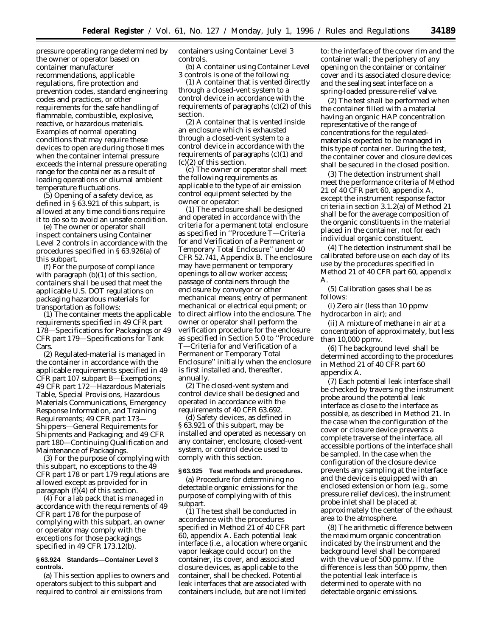pressure operating range determined by the owner or operator based on container manufacturer recommendations, applicable regulations, fire protection and prevention codes, standard engineering codes and practices, or other requirements for the safe handling of flammable, combustible, explosive, reactive, or hazardous materials. Examples of normal operating conditions that may require these devices to open are during those times when the container internal pressure exceeds the internal pressure operating range for the container as a result of loading operations or diurnal ambient temperature fluctuations.

(5) Opening of a safety device, as defined in § 63.921 of this subpart, is allowed at any time conditions require it to do so to avoid an unsafe condition.

(e) The owner or operator shall inspect containers using Container Level 2 controls in accordance with the procedures specified in § 63.926(a) of this subpart.

(f) For the purpose of compliance with paragraph (b)(1) of this section, containers shall be used that meet the applicable U.S. DOT regulations on packaging hazardous materials for transportation as follows:

(1) The container meets the applicable requirements specified in 49 CFR part 178—Specifications for Packagings or 49 CFR part 179—Specifications for Tank Cars.

(2) Regulated-material is managed in the container in accordance with the applicable requirements specified in 49 CFR part 107 subpart B—Exemptions; 49 CFR part 172—Hazardous Materials Table, Special Provisions, Hazardous Materials Communications, Emergency Response Information, and Training Requirements; 49 CFR part 173— Shippers—General Requirements for Shipments and Packaging; and 49 CFR part 180—Continuing Qualification and Maintenance of Packagings.

(3) For the purpose of complying with this subpart, no exceptions to the 49 CFR part 178 or part 179 regulations are allowed except as provided for in paragraph (f) $(4)$  of this section.

(4) For a lab pack that is managed in accordance with the requirements of 49 CFR part 178 for the purpose of complying with this subpart, an owner or operator may comply with the exceptions for those packagings specified in 49 CFR 173.12(b).

## **§ 63.924 Standards—Container Level 3 controls.**

(a) This section applies to owners and operators subject to this subpart and required to control air emissions from

containers using Container Level 3 controls.

(b) A container using Container Level 3 controls is one of the following:

(1) A container that is vented directly through a closed-vent system to a control device in accordance with the requirements of paragraphs  $(c)(2)$  of this section.

(2) A container that is vented inside an enclosure which is exhausted through a closed-vent system to a control device in accordance with the requirements of paragraphs (c)(1) and (c)(2) of this section.

(c) The owner or operator shall meet the following requirements as applicable to the type of air emission control equipment selected by the owner or operator:

(1) The enclosure shall be designed and operated in accordance with the criteria for a permanent total enclosure as specified in ''Procedure T—Criteria for and Verification of a Permanent or Temporary Total Enclosure'' under 40 CFR 52.741, Appendix B. The enclosure may have permanent or temporary openings to allow worker access; passage of containers through the enclosure by conveyor or other mechanical means; entry of permanent mechanical or electrical equipment; or to direct airflow into the enclosure. The owner or operator shall perform the verification procedure for the enclosure as specified in Section 5.0 to ''Procedure T—Criteria for and Verification of a Permanent or Temporary Total Enclosure'' initially when the enclosure is first installed and, thereafter, annually.

(2) The closed-vent system and control device shall be designed and operated in accordance with the requirements of 40 CFR 63.692.

(d) Safety devices, as defined in § 63.921 of this subpart, may be installed and operated as necessary on any container, enclosure, closed-vent system, or control device used to comply with this section.

## **§ 63.925 Test methods and procedures.**

(a) Procedure for determining no detectable organic emissions for the purpose of complying with of this subpart.

 $(1)$  The test shall be conducted in accordance with the procedures specified in Method 21 of 40 CFR part 60, appendix A. Each potential leak interface (i.e., a location where organic vapor leakage could occur) on the container, its cover, and associated closure devices, as applicable to the container, shall be checked. Potential leak interfaces that are associated with containers include, but are not limited

to: the interface of the cover rim and the container wall; the periphery of any opening on the container or container cover and its associated closure device; and the sealing seat interface on a spring-loaded pressure-relief valve.

(2) The test shall be performed when the container filled with a material having an organic HAP concentration representative of the range of concentrations for the regulatedmaterials expected to be managed in this type of container. During the test, the container cover and closure devices shall be secured in the closed position.

(3) The detection instrument shall meet the performance criteria of Method 21 of 40 CFR part 60, appendix A, except the instrument response factor criteria in section 3.1.2(a) of Method 21 shall be for the average composition of the organic constituents in the material placed in the container, not for each individual organic constituent.

(4) The detection instrument shall be calibrated before use on each day of its use by the procedures specified in Method 21 of 40 CFR part 60, appendix A.

(5) Calibration gases shall be as follows:

(i) Zero air (less than 10 ppmv hydrocarbon in air); and

(ii) A mixture of methane in air at a concentration of approximately, but less than 10,000 ppmv.

(6) The background level shall be determined according to the procedures in Method 21 of 40 CFR part 60 appendix A.

(7) Each potential leak interface shall be checked by traversing the instrument probe around the potential leak interface as close to the interface as possible, as described in Method 21. In the case when the configuration of the cover or closure device prevents a complete traverse of the interface, all accessible portions of the interface shall be sampled. In the case when the configuration of the closure device prevents any sampling at the interface and the device is equipped with an enclosed extension or horn (e.g., some pressure relief devices), the instrument probe inlet shall be placed at approximately the center of the exhaust area to the atmosphere.

(8) The arithmetic difference between the maximum organic concentration indicated by the instrument and the background level shall be compared with the value of 500 ppmv. If the difference is less than 500 ppmv, then the potential leak interface is determined to operate with no detectable organic emissions.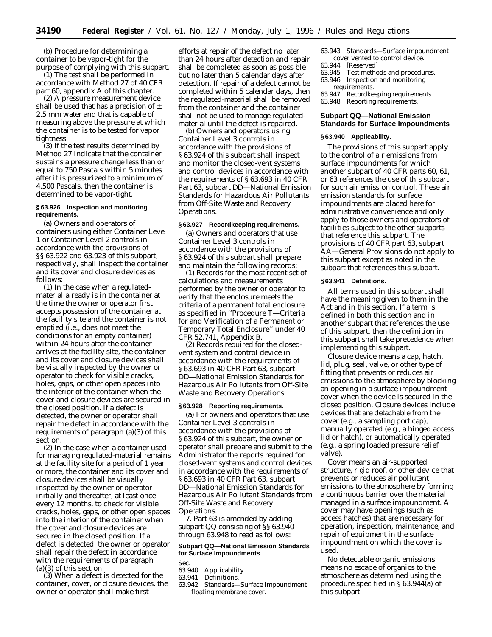(b) Procedure for determining a container to be vapor-tight for the purpose of complying with this subpart.

(1) The test shall be performed in accordance with Method 27 of 40 CFR part 60, appendix A of this chapter.

(2) A pressure measurement device shall be used that has a precision of  $\pm$ 2.5 mm water and that is capable of measuring above the pressure at which the container is to be tested for vapor tightness.

(3) If the test results determined by Method 27 indicate that the container sustains a pressure change less than or equal to 750 Pascals within 5 minutes after it is pressurized to a minimum of 4,500 Pascals, then the container is determined to be vapor-tight.

## **§ 63.926 Inspection and monitoring requirements.**

(a) Owners and operators of containers using either Container Level 1 or Container Level 2 controls in accordance with the provisions of §§ 63.922 and 63.923 of this subpart, respectively, shall inspect the container and its cover and closure devices as follows:

(1) In the case when a regulatedmaterial already is in the container at the time the owner or operator first accepts possession of the container at the facility site and the container is not emptied (i.e., does not meet the conditions for an empty container) within 24 hours after the container arrives at the facility site, the container and its cover and closure devices shall be visually inspected by the owner or operator to check for visible cracks, holes, gaps, or other open spaces into the interior of the container when the cover and closure devices are secured in the closed position. If a defect is detected, the owner or operator shall repair the defect in accordance with the requirements of paragraph (a)(3) of this section.

(2) In the case when a container used for managing regulated-material remains at the facility site for a period of 1 year or more, the container and its cover and closure devices shall be visually inspected by the owner or operator initially and thereafter, at least once every 12 months, to check for visible cracks, holes, gaps, or other open spaces into the interior of the container when the cover and closure devices are secured in the closed position. If a defect is detected, the owner or operator shall repair the defect in accordance with the requirements of paragraph (a)(3) of this section.

(3) When a defect is detected for the container, cover, or closure devices, the owner or operator shall make first

efforts at repair of the defect no later than 24 hours after detection and repair shall be completed as soon as possible but no later than 5 calendar days after detection. If repair of a defect cannot be completed within 5 calendar days, then the regulated-material shall be removed from the container and the container shall not be used to manage regulatedmaterial until the defect is repaired.

(b) Owners and operators using Container Level 3 controls in accordance with the provisions of § 63.924 of this subpart shall inspect and monitor the closed-vent systems and control devices in accordance with the requirements of § 63.693 in 40 CFR Part 63, subpart DD—National Emission Standards for Hazardous Air Pollutants from Off-Site Waste and Recovery Operations.

## **§ 63.927 Recordkeeping requirements.**

(a) Owners and operators that use Container Level 3 controls in accordance with the provisions of § 63.924 of this subpart shall prepare and maintain the following records:

(1) Records for the most recent set of calculations and measurements performed by the owner or operator to verify that the enclosure meets the criteria of a permanent total enclosure as specified in ''Procedure T—Criteria for and Verification of a Permanent or Temporary Total Enclosure'' under 40 CFR 52.741, Appendix B.

(2) Records required for the closedvent system and control device in accordance with the requirements of § 63.693 in 40 CFR Part 63, subpart DD—National Emission Standards for Hazardous Air Pollutants from Off-Site Waste and Recovery Operations.

## **§ 63.928 Reporting requirements.**

(a) For owners and operators that use Container Level 3 controls in accordance with the provisions of § 63.924 of this subpart, the owner or operator shall prepare and submit to the Administrator the reports required for closed-vent systems and control devices in accordance with the requirements of § 63.693 in 40 CFR Part 63, subpart DD—National Emission Standards for Hazardous Air Pollutant Standards from Off-Site Waste and Recovery Operations.

7. Part 63 is amended by adding subpart QQ consisting of §§ 63.940 through 63.948 to read as follows:

# **Subpart QQ—National Emission Standards for Surface Impoundments**

Sec.

- 63.940 Applicability.<br>63.941 Definitions.
- Definitions.
- 63.942 Standards—Surface impoundment floating membrane cover.
- 63.943 Standards—Surface impoundment cover vented to control device.<br>63.944 [Reserved]
- 
- 63.944 [Reserved] Test methods and procedures.
- 63.946 Inspection and monitoring requirements.
- 63.947 Recordkeeping requirements.
- 63.948 Reporting requirements.

# **Subpart QQ—National Emission Standards for Surface Impoundments**

## **§ 63.940 Applicability.**

The provisions of this subpart apply to the control of air emissions from surface impoundments for which another subpart of 40 CFR parts 60, 61, or 63 references the use of this subpart for such air emission control. These air emission standards for surface impoundments are placed here for administrative convenience and only apply to those owners and operators of facilities subject to the other subparts that reference this subpart. The provisions of 40 CFR part 63, subpart AA—General Provisions do not apply to this subpart except as noted in the subpart that references this subpart.

#### **§ 63.941 Definitions.**

All terms used in this subpart shall have the meaning given to them in the Act and in this section. If a term is defined in both this section and in another subpart that references the use of this subpart, then the definition in this subpart shall take precedence when implementing this subpart.

*Closure device* means a cap, hatch, lid, plug, seal, valve, or other type of fitting that prevents or reduces air emissions to the atmosphere by blocking an opening in a surface impoundment cover when the device is secured in the closed position. Closure devices include devices that are detachable from the cover (e.g., a sampling port cap), manually operated (e.g., a hinged access lid or hatch), or automatically operated (e.g., a spring loaded pressure relief valve).

*Cover* means an air-supported structure, rigid roof, or other device that prevents or reduces air pollutant emissions to the atmosphere by forming a continuous barrier over the material managed in a surface impoundment. A cover may have openings (such as access hatches) that are necessary for operation, inspection, maintenance, and repair of equipment in the surface impoundment on which the cover is used.

*No detectable organic emissions* means no escape of organics to the atmosphere as determined using the procedure specified in § 63.944(a) of this subpart.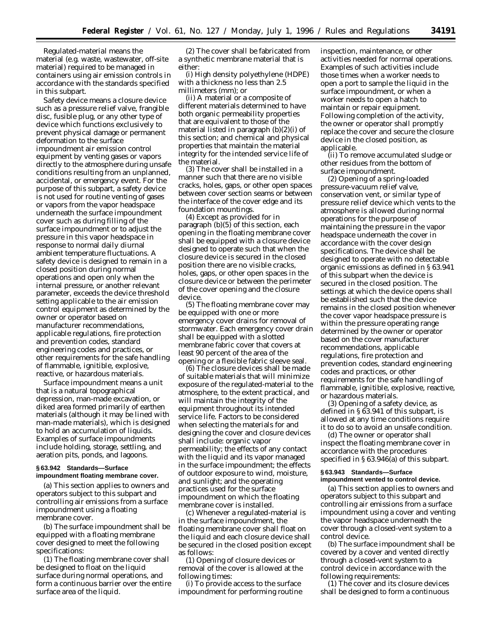*Regulated-material* means the material (e.g. waste, wastewater, off-site material) required to be managed in containers using air emission controls in accordance with the standards specified in this subpart.

*Safety device* means a closure device such as a pressure relief valve, frangible disc, fusible plug, or any other type of device which functions exclusively to prevent physical damage or permanent deformation to the surface impoundment air emission control equipment by venting gases or vapors directly to the atmosphere during unsafe conditions resulting from an unplanned, accidental, or emergency event. For the purpose of this subpart, a safety device is not used for routine venting of gases or vapors from the vapor headspace underneath the surface impoundment cover such as during filling of the surface impoundment or to adjust the pressure in this vapor headspace in response to normal daily diurnal ambient temperature fluctuations. A safety device is designed to remain in a closed position during normal operations and open only when the internal pressure, or another relevant parameter, exceeds the device threshold setting applicable to the air emission control equipment as determined by the owner or operator based on manufacturer recommendations, applicable regulations, fire protection and prevention codes, standard engineering codes and practices, or other requirements for the safe handling of flammable, ignitible, explosive, reactive, or hazardous materials.

*Surface impoundment* means a unit that is a natural topographical depression, man-made excavation, or diked area formed primarily of earthen materials (although it may be lined with man-made materials), which is designed to hold an accumulation of liquids. Examples of surface impoundments include holding, storage, settling, and aeration pits, ponds, and lagoons.

## **§ 63.942 Standards—Surface impoundment floating membrane cover.**

(a) This section applies to owners and operators subject to this subpart and controlling air emissions from a surface impoundment using a floating membrane cover.

(b) The surface impoundment shall be equipped with a floating membrane cover designed to meet the following specifications:

(1) The floating membrane cover shall be designed to float on the liquid surface during normal operations, and form a continuous barrier over the entire surface area of the liquid.

(2) The cover shall be fabricated from a synthetic membrane material that is either:

(i) High density polyethylene (HDPE) with a thickness no less than 2.5 millimeters (mm); or

(ii) A material or a composite of different materials determined to have both organic permeability properties that are equivalent to those of the material listed in paragraph (b)(2)(i) of this section; and chemical and physical properties that maintain the material integrity for the intended service life of the material.

(3) The cover shall be installed in a manner such that there are no visible cracks, holes, gaps, or other open spaces between cover section seams or between the interface of the cover edge and its foundation mountings.

(4) Except as provided for in paragraph (b)(5) of this section, each opening in the floating membrane cover shall be equipped with a closure device designed to operate such that when the closure device is secured in the closed position there are no visible cracks, holes, gaps, or other open spaces in the closure device or between the perimeter of the cover opening and the closure device.

(5) The floating membrane cover may be equipped with one or more emergency cover drains for removal of stormwater. Each emergency cover drain shall be equipped with a slotted membrane fabric cover that covers at least 90 percent of the area of the opening or a flexible fabric sleeve seal.

(6) The closure devices shall be made of suitable materials that will minimize exposure of the regulated-material to the atmosphere, to the extent practical, and will maintain the integrity of the equipment throughout its intended service life. Factors to be considered when selecting the materials for and designing the cover and closure devices shall include: organic vapor permeability; the effects of any contact with the liquid and its vapor managed in the surface impoundment; the effects of outdoor exposure to wind, moisture, and sunlight; and the operating practices used for the surface impoundment on which the floating membrane cover is installed.

(c) Whenever a regulated-material is in the surface impoundment, the floating membrane cover shall float on the liquid and each closure device shall be secured in the closed position except as follows:

(1) Opening of closure devices or removal of the cover is allowed at the following times:

(i) To provide access to the surface impoundment for performing routine inspection, maintenance, or other activities needed for normal operations. Examples of such activities include those times when a worker needs to open a port to sample the liquid in the surface impoundment, or when a worker needs to open a hatch to maintain or repair equipment. Following completion of the activity, the owner or operator shall promptly replace the cover and secure the closure device in the closed position, as applicable.

(ii) To remove accumulated sludge or other residues from the bottom of surface impoundment.

(2) Opening of a spring-loaded pressure-vacuum relief valve, conservation vent, or similar type of pressure relief device which vents to the atmosphere is allowed during normal operations for the purpose of maintaining the pressure in the vapor headspace underneath the cover in accordance with the cover design specifications. The device shall be designed to operate with no detectable organic emissions as defined in § 63.941 of this subpart when the device is secured in the closed position. The settings at which the device opens shall be established such that the device remains in the closed position whenever the cover vapor headspace pressure is within the pressure operating range determined by the owner or operator based on the cover manufacturer recommendations, applicable regulations, fire protection and prevention codes, standard engineering codes and practices, or other requirements for the safe handling of flammable, ignitible, explosive, reactive, or hazardous materials.

(3) Opening of a safety device, as defined in § 63.941 of this subpart, is allowed at any time conditions require it to do so to avoid an unsafe condition.

(d) The owner or operator shall inspect the floating membrane cover in accordance with the procedures specified in § 63.946(a) of this subpart.

## **§ 63.943 Standards—Surface impoundment vented to control device.**

(a) This section applies to owners and operators subject to this subpart and controlling air emissions from a surface impoundment using a cover and venting the vapor headspace underneath the cover through a closed-vent system to a control device.

(b) The surface impoundment shall be covered by a cover and vented directly through a closed-vent system to a control device in accordance with the following requirements:

(1) The cover and its closure devices shall be designed to form a continuous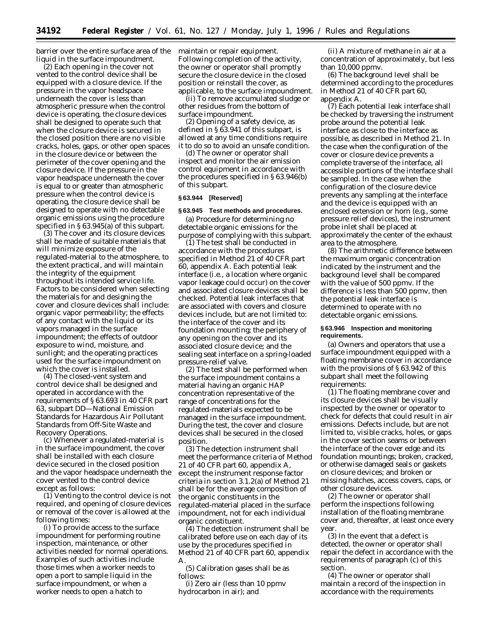barrier over the entire surface area of the liquid in the surface impoundment.

(2) Each opening in the cover not vented to the control device shall be equipped with a closure device. If the pressure in the vapor headspace underneath the cover is less than atmospheric pressure when the control device is operating, the closure devices shall be designed to operate such that when the closure device is secured in the closed position there are no visible cracks, holes, gaps, or other open spaces in the closure device or between the perimeter of the cover opening and the closure device. If the pressure in the vapor headspace underneath the cover is equal to or greater than atmospheric pressure when the control device is operating, the closure device shall be designed to operate with no detectable organic emissions using the procedure specified in § 63.945(a) of this subpart.

(3) The cover and its closure devices shall be made of suitable materials that will minimize exposure of the regulated-material to the atmosphere, to the extent practical, and will maintain the integrity of the equipment throughout its intended service life. Factors to be considered when selecting the materials for and designing the cover and closure devices shall include: organic vapor permeability; the effects of any contact with the liquid or its vapors managed in the surface impoundment; the effects of outdoor exposure to wind, moisture, and sunlight; and the operating practices used for the surface impoundment on which the cover is installed.

(4) The closed-vent system and control device shall be designed and operated in accordance with the requirements of § 63.693 in 40 CFR part 63, subpart DD—National Emission Standards for Hazardous Air Pollutant Standards from Off-Site Waste and Recovery Operations.

(c) Whenever a regulated-material is in the surface impoundment, the cover shall be installed with each closure device secured in the closed position and the vapor headspace underneath the cover vented to the control device except as follows:

(1) Venting to the control device is not required, and opening of closure devices or removal of the cover is allowed at the following times:

(i) To provide access to the surface impoundment for performing routine inspection, maintenance, or other activities needed for normal operations. Examples of such activities include those times when a worker needs to open a port to sample liquid in the surface impoundment, or when a worker needs to open a hatch to

maintain or repair equipment. Following completion of the activity, the owner or operator shall promptly secure the closure device in the closed position or reinstall the cover, as applicable, to the surface impoundment.

(ii) To remove accumulated sludge or other residues from the bottom of surface impoundment.

(2) Opening of a safety device, as defined in § 63.941 of this subpart, is allowed at any time conditions require it to do so to avoid an unsafe condition.

(d) The owner or operator shall inspect and monitor the air emission control equipment in accordance with the procedures specified in § 63.946(b) of this subpart.

# **§ 63.944 [Reserved]**

## **§ 63.945 Test methods and procedures.**

(a) Procedure for determining no detectable organic emissions for the purpose of complying with this subpart.

(1) The test shall be conducted in accordance with the procedures specified in Method 21 of 40 CFR part 60, appendix A. Each potential leak interface (i.e., a location where organic vapor leakage could occur) on the cover and associated closure devices shall be checked. Potential leak interfaces that are associated with covers and closure devices include, but are not limited to: the interface of the cover and its foundation mounting; the periphery of any opening on the cover and its associated closure device; and the sealing seat interface on a spring-loaded pressure-relief valve.

(2) The test shall be performed when the surface impoundment contains a material having an organic HAP concentration representative of the range of concentrations for the regulated-materials expected to be managed in the surface impoundment. During the test, the cover and closure devices shall be secured in the closed position.

(3) The detection instrument shall meet the performance criteria of Method 21 of 40 CFR part 60, appendix A, except the instrument response factor criteria in section 3.1.2(a) of Method 21 shall be for the average composition of the organic constituents in the regulated-material placed in the surface impoundment, not for each individual organic constituent.

(4) The detection instrument shall be calibrated before use on each day of its use by the procedures specified in Method 21 of 40 CFR part 60, appendix A.

(5) Calibration gases shall be as follows:

(i) Zero air (less than 10 ppmv hydrocarbon in air); and

(ii) A mixture of methane in air at a concentration of approximately, but less than 10,000 ppmv.

(6) The background level shall be determined according to the procedures in Method 21 of 40 CFR part 60, appendix A.

(7) Each potential leak interface shall be checked by traversing the instrument probe around the potential leak interface as close to the interface as possible, as described in Method 21. In the case when the configuration of the cover or closure device prevents a complete traverse of the interface, all accessible portions of the interface shall be sampled. In the case when the configuration of the closure device prevents any sampling at the interface and the device is equipped with an enclosed extension or horn (e.g., some pressure relief devices), the instrument probe inlet shall be placed at approximately the center of the exhaust area to the atmosphere.

(8) The arithmetic difference between the maximum organic concentration indicated by the instrument and the background level shall be compared with the value of 500 ppmv. If the difference is less than 500 ppmv, then the potential leak interface is determined to operate with no detectable organic emissions.

## **§ 63.946 Inspection and monitoring requirements.**

(a) Owners and operators that use a surface impoundment equipped with a floating membrane cover in accordance with the provisions of § 63.942 of this subpart shall meet the following requirements:

(1) The floating membrane cover and its closure devices shall be visually inspected by the owner or operator to check for defects that could result in air emissions. Defects include, but are not limited to, visible cracks, holes, or gaps in the cover section seams or between the interface of the cover edge and its foundation mountings; broken, cracked, or otherwise damaged seals or gaskets on closure devices; and broken or missing hatches, access covers, caps, or other closure devices.

(2) The owner or operator shall perform the inspections following installation of the floating membrane cover and, thereafter, at least once every year.

(3) In the event that a defect is detected, the owner or operator shall repair the defect in accordance with the requirements of paragraph (c) of this section.

(4) The owner or operator shall maintain a record of the inspection in accordance with the requirements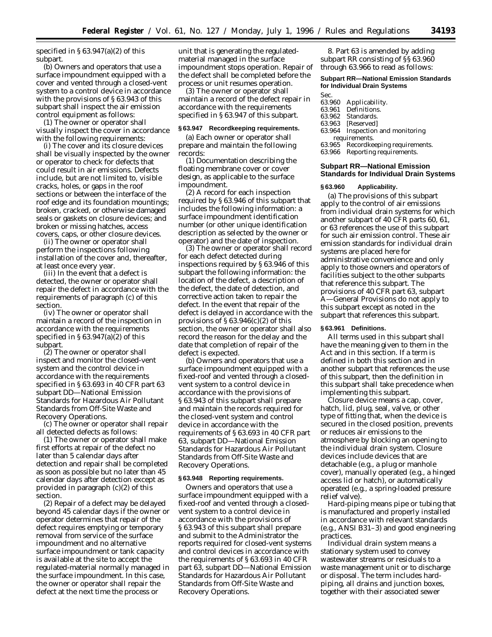specified in  $\S 63.947(a)(2)$  of this subpart.

(b) Owners and operators that use a surface impoundment equipped with a cover and vented through a closed-vent system to a control device in accordance with the provisions of § 63.943 of this subpart shall inspect the air emission control equipment as follows:

(1) The owner or operator shall visually inspect the cover in accordance with the following requirements:

(i) The cover and its closure devices shall be visually inspected by the owner or operator to check for defects that could result in air emissions. Defects include, but are not limited to, visible cracks, holes, or gaps in the roof sections or between the interface of the roof edge and its foundation mountings; broken, cracked, or otherwise damaged seals or gaskets on closure devices; and broken or missing hatches, access covers, caps, or other closure devices.

(ii) The owner or operator shall perform the inspections following installation of the cover and, thereafter, at least once every year.

(iii) In the event that a defect is detected, the owner or operator shall repair the defect in accordance with the requirements of paragraph (c) of this section.

(iv) The owner or operator shall maintain a record of the inspection in accordance with the requirements specified in  $\S 63.947(a)(2)$  of this subpart.

(2) The owner or operator shall inspect and monitor the closed-vent system and the control device in accordance with the requirements specified in § 63.693 in 40 CFR part 63 subpart DD—National Emission Standards for Hazardous Air Pollutant Standards from Off-Site Waste and Recovery Operations.

(c) The owner or operator shall repair all detected defects as follows:

(1) The owner or operator shall make first efforts at repair of the defect no later than 5 calendar days after detection and repair shall be completed as soon as possible but no later than 45 calendar days after detection except as provided in paragraph (c)(2) of this section.

(2) Repair of a defect may be delayed beyond 45 calendar days if the owner or operator determines that repair of the defect requires emptying or temporary removal from service of the surface impoundment and no alternative surface impoundment or tank capacity is available at the site to accept the regulated-material normally managed in the surface impoundment. In this case, the owner or operator shall repair the defect at the next time the process or

unit that is generating the regulatedmaterial managed in the surface impoundment stops operation. Repair of the defect shall be completed before the process or unit resumes operation.

(3) The owner or operator shall maintain a record of the defect repair in accordance with the requirements specified in § 63.947 of this subpart.

## **§ 63.947 Recordkeeping requirements.**

(a) Each owner or operator shall prepare and maintain the following records:

(1) Documentation describing the floating membrane cover or cover design, as applicable to the surface impoundment.

(2) A record for each inspection required by § 63.946 of this subpart that includes the following information: a surface impoundment identification number (or other unique identification description as selected by the owner or operator) and the date of inspection.

(3) The owner or operator shall record for each defect detected during inspections required by § 63.946 of this subpart the following information: the location of the defect, a description of the defect, the date of detection, and corrective action taken to repair the defect. In the event that repair of the defect is delayed in accordance with the provisions of  $\S 63.946(c)(2)$  of this section, the owner or operator shall also record the reason for the delay and the date that completion of repair of the defect is expected.

(b) Owners and operators that use a surface impoundment equipped with a fixed-roof and vented through a closedvent system to a control device in accordance with the provisions of § 63.943 of this subpart shall prepare and maintain the records required for the closed-vent system and control device in accordance with the requirements of § 63.693 in 40 CFR part 63, subpart DD—National Emission Standards for Hazardous Air Pollutant Standards from Off-Site Waste and Recovery Operations.

#### **§ 63.948 Reporting requirements.**

Owners and operators that use a surface impoundment equipped with a fixed-roof and vented through a closedvent system to a control device in accordance with the provisions of § 63.943 of this subpart shall prepare and submit to the Administrator the reports required for closed-vent systems and control devices in accordance with the requirements of § 63.693 in 40 CFR part 63, subpart DD—National Emission Standards for Hazardous Air Pollutant Standards from Off-Site Waste and Recovery Operations.

8. Part 63 is amended by adding subpart RR consisting of §§ 63.960 through 63.966 to read as follows:

# **Subpart RR—National Emission Standards for Individual Drain Systems**

Sec.<br>63.960

- 63.960 Applicability.<br>63.961 Definitions.
- Definitions.
- 63.962 Standards.
- 63.963 [Reserved]<br>63.964 Inspection Inspection and monitoring
- requirements.
- 63.965 Recordkeeping requirements.
- 63.966 Reporting requirements.

## **Subpart RR—National Emission Standards for Individual Drain Systems**

#### **§ 63.960 Applicability.**

(a) The provisions of this subpart apply to the control of air emissions from individual drain systems for which another subpart of 40 CFR parts 60, 61, or 63 references the use of this subpart for such air emission control. These air emission standards for individual drain systems are placed here for administrative convenience and only apply to those owners and operators of facilities subject to the other subparts that reference this subpart. The provisions of 40 CFR part 63, subpart A—General Provisions do not apply to this subpart except as noted in the subpart that references this subpart.

## **§ 63.961 Definitions.**

All terms used in this subpart shall have the meaning given to them in the Act and in this section. If a term is defined in both this section and in another subpart that references the use of this subpart, then the definition in this subpart shall take precedence when implementing this subpart.

*Closure device* means a cap, cover, hatch, lid, plug, seal, valve, or other type of fitting that, when the device is secured in the closed position, prevents or reduces air emissions to the atmosphere by blocking an opening to the individual drain system. Closure devices include devices that are detachable (e.g., a plug or manhole cover), manually operated (e.g., a hinged access lid or hatch), or automatically operated (e.g., a spring-loaded pressure relief valve).

*Hard-piping* means pipe or tubing that is manufactured and properly installed in accordance with relevant standards (e.g., ANSI B31–3) and good engineering practices.

*Individual drain system* means a stationary system used to convey wastewater streams or residuals to a waste management unit or to discharge or disposal. The term includes hardpiping, all drains and junction boxes, together with their associated sewer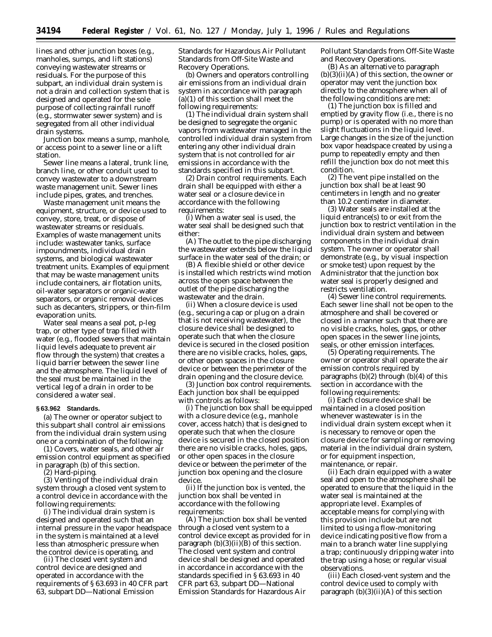lines and other junction boxes (e.g., manholes, sumps, and lift stations) conveying wastewater streams or residuals. For the purpose of this subpart, an individual drain system is not a drain and collection system that is designed and operated for the sole purpose of collecting rainfall runoff (e.g., stormwater sewer system) and is segregated from all other individual drain systems.

*Junction box* means a sump, manhole, or access point to a sewer line or a lift station.

*Sewer line* means a lateral, trunk line, branch line, or other conduit used to convey wastewater to a downstream waste management unit. Sewer lines include pipes, grates, and trenches.

*Waste management unit* means the equipment, structure, or device used to convey, store, treat, or dispose of wastewater streams or residuals. Examples of waste management units include: wastewater tanks, surface impoundments, individual drain systems, and biological wastewater treatment units. Examples of equipment that may be waste management units include containers, air flotation units, oil-water separators or organic-water separators, or organic removal devices such as decanters, strippers, or thin-film evaporation units.

*Water seal* means a seal pot, p-leg trap, or other type of trap filled with water (e.g., flooded sewers that maintain liquid levels adequate to prevent air flow through the system) that creates a liquid barrier between the sewer line and the atmosphere. The liquid level of the seal must be maintained in the vertical leg of a drain in order to be considered a water seal.

# **§ 63.962 Standards.**

(a) The owner or operator subject to this subpart shall control air emissions from the individual drain system using one or a combination of the following:

(1) Covers, water seals, and other air emission control equipment as specified in paragraph (b) of this section.

(2) Hard-piping.

(3) Venting of the individual drain system through a closed vent system to a control device in accordance with the following requirements:

(i) The individual drain system is designed and operated such that an internal pressure in the vapor headspace in the system is maintained at a level less than atmospheric pressure when the control device is operating, and

(ii) The closed vent system and control device are designed and operated in accordance with the requirements of § 63.693 in 40 CFR part 63, subpart DD—National Emission

Standards for Hazardous Air Pollutant Standards from Off-Site Waste and Recovery Operations.

(b) Owners and operators controlling air emissions from an individual drain system in accordance with paragraph (a)(1) of this section shall meet the following requirements:

(1) The individual drain system shall be designed to segregate the organic vapors from wastewater managed in the controlled individual drain system from entering any other individual drain system that is not controlled for air emissions in accordance with the standards specified in this subpart.

(2) *Drain control requirements.* Each drain shall be equipped with either a water seal or a closure device in accordance with the following requirements:

(i) When a water seal is used, the water seal shall be designed such that either:

(A) The outlet to the pipe discharging the wastewater extends below the liquid surface in the water seal of the drain; or

(B) A flexible shield or other device is installed which restricts wind motion across the open space between the outlet of the pipe discharging the wastewater and the drain.

(ii) When a closure device is used (e.g., securing a cap or plug on a drain that is not receiving wastewater), the closure device shall be designed to operate such that when the closure device is secured in the closed position there are no visible cracks, holes, gaps, or other open spaces in the closure device or between the perimeter of the drain opening and the closure device.

(3) *Junction box control requirements.* Each junction box shall be equipped with controls as follows:

(i) The junction box shall be equipped with a closure device (e.g., manhole cover, access hatch) that is designed to operate such that when the closure device is secured in the closed position there are no visible cracks, holes, gaps, or other open spaces in the closure device or between the perimeter of the junction box opening and the closure device.

(ii) If the junction box is vented, the junction box shall be vented in accordance with the following requirements:

(A) The junction box shall be vented through a closed vent system to a control device except as provided for in paragraph  $(b)(3)(ii)(B)$  of this section. The closed vent system and control device shall be designed and operated in accordance in accordance with the standards specified in § 63.693 in 40 CFR part 63, subpart DD—National Emission Standards for Hazardous Air

Pollutant Standards from Off-Site Waste and Recovery Operations.

(B) As an alternative to paragraph (b)(3)(ii)(A) of this section, the owner or operator may vent the junction box directly to the atmosphere when all of the following conditions are met:

(*1*) The junction box is filled and emptied by gravity flow (i.e., there is no pump) or is operated with no more than slight fluctuations in the liquid level. Large changes in the size of the junction box vapor headspace created by using a pump to repeatedly empty and then refill the junction box do not meet this condition.

(*2*) The vent pipe installed on the junction box shall be at least 90 centimeters in length and no greater than 10.2 centimeter in diameter.

(*3*) Water seals are installed at the liquid entrance(s) to or exit from the junction box to restrict ventilation in the individual drain system and between components in the individual drain system. The owner or operator shall demonstrate (e.g., by visual inspection or smoke test) upon request by the Administrator that the junction box water seal is properly designed and restricts ventilation.

(4) *Sewer line control requirements.* Each sewer line shall not be open to the atmosphere and shall be covered or closed in a manner such that there are no visible cracks, holes, gaps, or other open spaces in the sewer line joints, seals, or other emission interfaces.

(5) *Operating requirements.* The owner or operator shall operate the air emission controls required by paragraphs  $(b)(2)$  through  $(b)(4)$  of this section in accordance with the following requirements:

(i) Each closure device shall be maintained in a closed position whenever wastewater is in the individual drain system except when it is necessary to remove or open the closure device for sampling or removing material in the individual drain system, or for equipment inspection, maintenance, or repair.

(ii) Each drain equipped with a water seal and open to the atmosphere shall be operated to ensure that the liquid in the water seal is maintained at the appropriate level. Examples of acceptable means for complying with this provision include but are not limited to using a flow-monitoring device indicating positive flow from a main to a branch water line supplying a trap; continuously dripping water into the trap using a hose; or regular visual observations.

(iii) Each closed-vent system and the control device used to comply with paragraph  $(b)(3)(ii)(A)$  of this section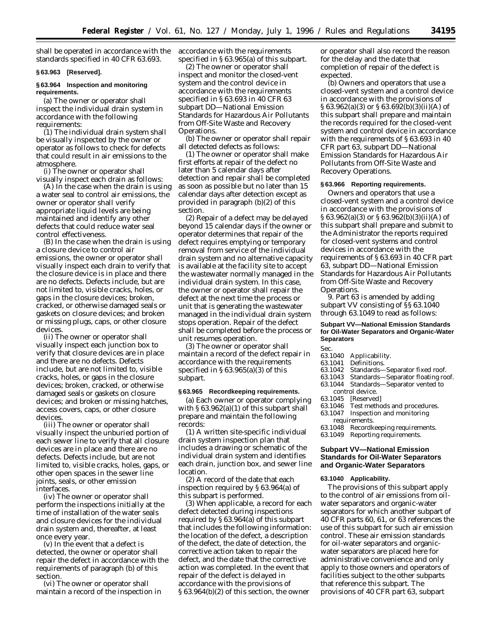shall be operated in accordance with the standards specified in 40 CFR 63.693.

## **§ 63.963 [Reserved].**

# **§ 63.964 Inspection and monitoring requirements.**

(a) The owner or operator shall inspect the individual drain system in accordance with the following requirements:

(1) The individual drain system shall be visually inspected by the owner or operator as follows to check for defects that could result in air emissions to the atmosphere.

(i) The owner or operator shall visually inspect each drain as follows:

(A) In the case when the drain is using a water seal to control air emissions, the owner or operator shall verify appropriate liquid levels are being maintained and identify any other defects that could reduce water seal control effectiveness.

(B) In the case when the drain is using a closure device to control air emissions, the owner or operator shall visually inspect each drain to verify that the closure device is in place and there are no defects. Defects include, but are not limited to, visible cracks, holes, or gaps in the closure devices; broken, cracked, or otherwise damaged seals or gaskets on closure devices; and broken or missing plugs, caps, or other closure devices.

(ii) The owner or operator shall visually inspect each junction box to verify that closure devices are in place and there are no defects. Defects include, but are not limited to, visible cracks, holes, or gaps in the closure devices; broken, cracked, or otherwise damaged seals or gaskets on closure devices; and broken or missing hatches, access covers, caps, or other closure devices.

(iii) The owner or operator shall visually inspect the unburied portion of each sewer line to verify that all closure devices are in place and there are no defects. Defects include, but are not limited to, visible cracks, holes, gaps, or other open spaces in the sewer line joints, seals, or other emission interfaces.

(iv) The owner or operator shall perform the inspections initially at the time of installation of the water seals and closure devices for the individual drain system and, thereafter, at least once every year.

(v) In the event that a defect is detected, the owner or operator shall repair the defect in accordance with the requirements of paragraph (b) of this section.

(vi) The owner or operator shall maintain a record of the inspection in accordance with the requirements specified in § 63.965(a) of this subpart.

(2) The owner or operator shall inspect and monitor the closed-vent system and the control device in accordance with the requirements specified in § 63.693 in 40 CFR 63 subpart DD—National Emission Standards for Hazardous Air Pollutants from Off-Site Waste and Recovery Operations.

(b) The owner or operator shall repair all detected defects as follows:

(1) The owner or operator shall make first efforts at repair of the defect no later than 5 calendar days after detection and repair shall be completed as soon as possible but no later than 15 calendar days after detection except as provided in paragraph (b)(2) of this section.

(2) Repair of a defect may be delayed beyond 15 calendar days if the owner or operator determines that repair of the defect requires emptying or temporary removal from service of the individual drain system and no alternative capacity is available at the facility site to accept the wastewater normally managed in the individual drain system. In this case, the owner or operator shall repair the defect at the next time the process or unit that is generating the wastewater managed in the individual drain system stops operation. Repair of the defect shall be completed before the process or unit resumes operation.

(3) The owner or operator shall maintain a record of the defect repair in accordance with the requirements specified in  $\S 63.965(a)(3)$  of this subpart.

# **§ 63.965 Recordkeeping requirements.**

(a) Each owner or operator complying with § 63.962(a)(1) of this subpart shall prepare and maintain the following records:

(1) A written site-specific individual drain system inspection plan that includes a drawing or schematic of the individual drain system and identifies each drain, junction box, and sewer line location.

(2) A record of the date that each inspection required by § 63.964(a) of this subpart is performed.

(3) When applicable, a record for each defect detected during inspections required by § 63.964(a) of this subpart that includes the following information: the location of the defect, a description of the defect, the date of detection, the corrective action taken to repair the defect, and the date that the corrective action was completed. In the event that repair of the defect is delayed in accordance with the provisions of § 63.964(b)(2) of this section, the owner

or operator shall also record the reason for the delay and the date that completion of repair of the defect is expected.

(b) Owners and operators that use a closed-vent system and a control device in accordance with the provisions of § 63.962(a)(3) or § 63.692(b)(3)(ii)(A) of this subpart shall prepare and maintain the records required for the closed-vent system and control device in accordance with the requirements of § 63.693 in 40 CFR part 63, subpart DD—National Emission Standards for Hazardous Air Pollutants from Off-Site Waste and Recovery Operations.

# **§ 63.966 Reporting requirements.**

Owners and operators that use a closed-vent system and a control device in accordance with the provisions of § 63.962(a)(3) or § 63.962(b)(3)(ii)(A) of this subpart shall prepare and submit to the Administrator the reports required for closed-vent systems and control devices in accordance with the requirements of § 63.693 in 40 CFR part 63, subpart DD—National Emission Standards for Hazardous Air Pollutants from Off-Site Waste and Recovery Operations.

9. Part 63 is amended by adding subpart VV consisting of §§ 63.1040 through 63.1049 to read as follows:

# **Subpart VV—National Emission Standards for Oil-Water Separators and Organic-Water Separators**

Sec.

- 63.1040 Applicability.<br>63.1041 Definitions.
- 63.1041 Definitions.<br>63.1042 Standards-
	-
- 63.1042 Standards—Separator fixed roof.<br>63.1043 Standards—Separator floating roo 63.1043 Standards—Separator floating roof.<br>63.1044 Standards—Separator vented to
- Standards—Separator vented to control device.
- 
- 63.1045 [Reserved]<br>63.1046 Test metho Test methods and procedures.
- 63.1047 Inspection and monitoring requirements.
- 63.1048 Recordkeeping requirements.
- 63.1049 Reporting requirements.

# **Subpart VV—National Emission Standards for Oil-Water Separators and Organic-Water Separators**

#### **63.1040 Applicability.**

The provisions of this subpart apply to the control of air emissions from oilwater separators and organic-water separators for which another subpart of 40 CFR parts 60, 61, or 63 references the use of this subpart for such air emission control. These air emission standards for oil-water separators and organicwater separators are placed here for administrative convenience and only apply to those owners and operators of facilities subject to the other subparts that reference this subpart. The provisions of 40 CFR part 63, subpart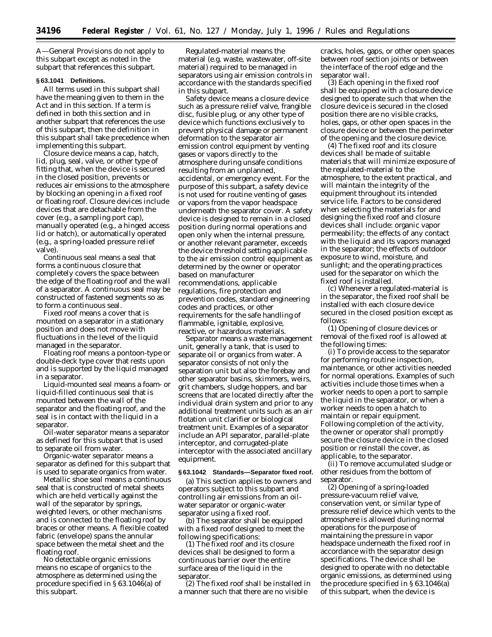A—General Provisions do not apply to this subpart except as noted in the subpart that references this subpart.

## **§ 63.1041 Definitions.**

All terms used in this subpart shall have the meaning given to them in the Act and in this section. If a term is defined in both this section and in another subpart that references the use of this subpart, then the definition in this subpart shall take precedence when implementing this subpart.

*Closure device* means a cap, hatch, lid, plug, seal, valve, or other type of fitting that, when the device is secured in the closed position, prevents or reduces air emissions to the atmosphere by blocking an opening in a fixed roof or floating roof. Closure devices include devices that are detachable from the cover (e.g., a sampling port cap), manually operated (e.g., a hinged access lid or hatch), or automatically operated (e.g., a spring-loaded pressure relief valve).

*Continuous seal* means a seal that forms a continuous closure that completely covers the space between the edge of the floating roof and the wall of a separator. A continuous seal may be constructed of fastened segments so as to form a continuous seal.

*Fixed roof* means a cover that is mounted on a separator in a stationary position and does not move with fluctuations in the level of the liquid managed in the separator.

*Floating roof* means a pontoon-type or double-deck type cover that rests upon and is supported by the liquid managed in a separator.

*Liquid-mounted seal* means a foam- or liquid-filled continuous seal that is mounted between the wall of the separator and the floating roof, and the seal is in contact with the liquid in a separator.

*Oil-water separator* means a separator as defined for this subpart that is used to separate oil from water.

*Organic-water separator* means a separator as defined for this subpart that is used to separate organics from water.

*Metallic shoe seal* means a continuous seal that is constructed of metal sheets which are held vertically against the wall of the separator by springs, weighted levers, or other mechanisms and is connected to the floating roof by braces or other means. A flexible coated fabric (envelope) spans the annular space between the metal sheet and the floating roof.

*No detectable organic emissions* means no escape of organics to the atmosphere as determined using the procedure specified in § 63.1046(a) of this subpart.

*Regulated-material* means the material (e.g. waste, wastewater, off-site material) required to be managed in separators using air emission controls in accordance with the standards specified in this subpart.

*Safety device* means a closure device such as a pressure relief valve, frangible disc, fusible plug, or any other type of device which functions exclusively to prevent physical damage or permanent deformation to the separator air emission control equipment by venting gases or vapors directly to the atmosphere during unsafe conditions resulting from an unplanned, accidental, or emergency event. For the purpose of this subpart, a safety device is not used for routine venting of gases or vapors from the vapor headspace underneath the separator cover. A safety device is designed to remain in a closed position during normal operations and open only when the internal pressure, or another relevant parameter, exceeds the device threshold setting applicable to the air emission control equipment as determined by the owner or operator based on manufacturer recommendations, applicable regulations, fire protection and prevention codes, standard engineering codes and practices, or other requirements for the safe handling of flammable, ignitable, explosive, reactive, or hazardous materials.

*Separator* means a waste management unit, generally a tank, that is used to separate oil or organics from water. A separator consists of not only the separation unit but also the forebay and other separator basins, skimmers, weirs, grit chambers, sludge hoppers, and bar screens that are located directly after the individual drain system and prior to any additional treatment units such as an air flotation unit clarifier or biological treatment unit. Examples of a separator include an API separator, parallel-plate interceptor, and corrugated-plate interceptor with the associated ancillary equipment.

#### **§ 63.1042 Standards—Separator fixed roof.**

(a) This section applies to owners and operators subject to this subpart and controlling air emissions from an oilwater separator or organic-water separator using a fixed roof.

(b) The separator shall be equipped with a fixed roof designed to meet the following specifications:

(1) The fixed roof and its closure devices shall be designed to form a continuous barrier over the entire surface area of the liquid in the separator.

(2) The fixed roof shall be installed in a manner such that there are no visible

cracks, holes, gaps, or other open spaces between roof section joints or between the interface of the roof edge and the separator wall.

(3) Each opening in the fixed roof shall be equipped with a closure device designed to operate such that when the closure device is secured in the closed position there are no visible cracks, holes, gaps, or other open spaces in the closure device or between the perimeter of the opening and the closure device.

(4) The fixed roof and its closure devices shall be made of suitable materials that will minimize exposure of the regulated-material to the atmosphere, to the extent practical, and will maintain the integrity of the equipment throughout its intended service life. Factors to be considered when selecting the materials for and designing the fixed roof and closure devices shall include: organic vapor permeability; the effects of any contact with the liquid and its vapors managed in the separator; the effects of outdoor exposure to wind, moisture, and sunlight; and the operating practices used for the separator on which the fixed roof is installed.

(c) Whenever a regulated-material is in the separator, the fixed roof shall be installed with each closure device secured in the closed position except as follows:

(1) Opening of closure devices or removal of the fixed roof is allowed at the following times:

(i) To provide access to the separator for performing routine inspection, maintenance, or other activities needed for normal operations. Examples of such activities include those times when a worker needs to open a port to sample the liquid in the separator, or when a worker needs to open a hatch to maintain or repair equipment. Following completion of the activity, the owner or operator shall promptly secure the closure device in the closed position or reinstall the cover, as applicable, to the separator.

(ii) To remove accumulated sludge or other residues from the bottom of separator.

(2) Opening of a spring-loaded pressure-vacuum relief valve, conservation vent, or similar type of pressure relief device which vents to the atmosphere is allowed during normal operations for the purpose of maintaining the pressure in vapor headspace underneath the fixed roof in accordance with the separator design specifications. The device shall be designed to operate with no detectable organic emissions, as determined using the procedure specified in § 63.1046(a) of this subpart, when the device is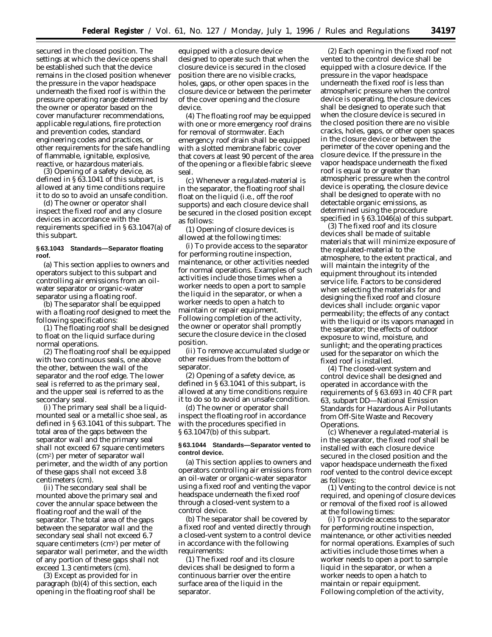secured in the closed position. The settings at which the device opens shall be established such that the device remains in the closed position whenever the pressure in the vapor headspace underneath the fixed roof is within the pressure operating range determined by the owner or operator based on the cover manufacturer recommendations, applicable regulations, fire protection and prevention codes, standard engineering codes and practices, or other requirements for the safe handling of flammable, ignitable, explosive, reactive, or hazardous materials.

(3) Opening of a safety device, as defined in § 63.1041 of this subpart, is allowed at any time conditions require it to do so to avoid an unsafe condition.

(d) The owner or operator shall inspect the fixed roof and any closure devices in accordance with the requirements specified in § 63.1047(a) of this subpart.

## **§ 63.1043 Standards—Separator floating roof.**

(a) This section applies to owners and operators subject to this subpart and controlling air emissions from an oilwater separator or organic-water separator using a floating roof.

(b) The separator shall be equipped with a floating roof designed to meet the following specifications:

(1) The floating roof shall be designed to float on the liquid surface during normal operations.

(2) The floating roof shall be equipped with two continuous seals, one above the other, between the wall of the separator and the roof edge. The lower seal is referred to as the primary seal, and the upper seal is referred to as the secondary seal.

(i) The primary seal shall be a liquidmounted seal or a metallic shoe seal, as defined in § 63.1041 of this subpart. The total area of the gaps between the separator wall and the primary seal shall not exceed 67 square centimeters (cm2) per meter of separator wall perimeter, and the width of any portion of these gaps shall not exceed 3.8 centimeters (cm).

(ii) The secondary seal shall be mounted above the primary seal and cover the annular space between the floating roof and the wall of the separator. The total area of the gaps between the separator wall and the secondary seal shall not exceed 6.7 square centimeters (cm2) per meter of separator wall perimeter, and the width of any portion of these gaps shall not exceed 1.3 centimeters (cm).

(3) Except as provided for in paragraph (b)(4) of this section, each opening in the floating roof shall be

equipped with a closure device designed to operate such that when the closure device is secured in the closed position there are no visible cracks, holes, gaps, or other open spaces in the closure device or between the perimeter of the cover opening and the closure device.

(4) The floating roof may be equipped with one or more emergency roof drains for removal of stormwater. Each emergency roof drain shall be equipped with a slotted membrane fabric cover that covers at least 90 percent of the area of the opening or a flexible fabric sleeve seal.

(c) Whenever a regulated-material is in the separator, the floating roof shall float on the liquid (i.e., off the roof supports) and each closure device shall be secured in the closed position except as follows:

(1) Opening of closure devices is allowed at the following times:

(i) To provide access to the separator for performing routine inspection, maintenance, or other activities needed for normal operations. Examples of such activities include those times when a worker needs to open a port to sample the liquid in the separator, or when a worker needs to open a hatch to maintain or repair equipment. Following completion of the activity, the owner or operator shall promptly secure the closure device in the closed position.

(ii) To remove accumulated sludge or other residues from the bottom of separator.

(2) Opening of a safety device, as defined in § 63.1041 of this subpart, is allowed at any time conditions require it to do so to avoid an unsafe condition.

(d) The owner or operator shall inspect the floating roof in accordance with the procedures specified in § 63.1047(b) of this subpart.

# **§ 63.1044 Standards—Separator vented to control device.**

(a) This section applies to owners and operators controlling air emissions from an oil-water or organic-water separator using a fixed roof and venting the vapor headspace underneath the fixed roof through a closed-vent system to a control device.

(b) The separator shall be covered by a fixed roof and vented directly through a closed-vent system to a control device in accordance with the following requirements:

(1) The fixed roof and its closure devices shall be designed to form a continuous barrier over the entire surface area of the liquid in the separator.

(2) Each opening in the fixed roof not vented to the control device shall be equipped with a closure device. If the pressure in the vapor headspace underneath the fixed roof is less than atmospheric pressure when the control device is operating, the closure devices shall be designed to operate such that when the closure device is secured in the closed position there are no visible cracks, holes, gaps, or other open spaces in the closure device or between the perimeter of the cover opening and the closure device. If the pressure in the vapor headspace underneath the fixed roof is equal to or greater than atmospheric pressure when the control device is operating, the closure device shall be designed to operate with no detectable organic emissions, as determined using the procedure specified in §63.1046(a) of this subpart.

(3) The fixed roof and its closure devices shall be made of suitable materials that will minimize exposure of the regulated-material to the atmosphere, to the extent practical, and will maintain the integrity of the equipment throughout its intended service life. Factors to be considered when selecting the materials for and designing the fixed roof and closure devices shall include: organic vapor permeability; the effects of any contact with the liquid or its vapors managed in the separator; the effects of outdoor exposure to wind, moisture, and sunlight; and the operating practices used for the separator on which the fixed roof is installed.

(4) The closed-vent system and control device shall be designed and operated in accordance with the requirements of § 63.693 in 40 CFR part 63, subpart DD—National Emission Standards for Hazardous Air Pollutants from Off-Site Waste and Recovery Operations.

(c) Whenever a regulated-material is in the separator, the fixed roof shall be installed with each closure device secured in the closed position and the vapor headspace underneath the fixed roof vented to the control device except as follows:

(1) Venting to the control device is not required, and opening of closure devices or removal of the fixed roof is allowed at the following times:

(i) To provide access to the separator for performing routine inspection, maintenance, or other activities needed for normal operations. Examples of such activities include those times when a worker needs to open a port to sample liquid in the separator, or when a worker needs to open a hatch to maintain or repair equipment. Following completion of the activity,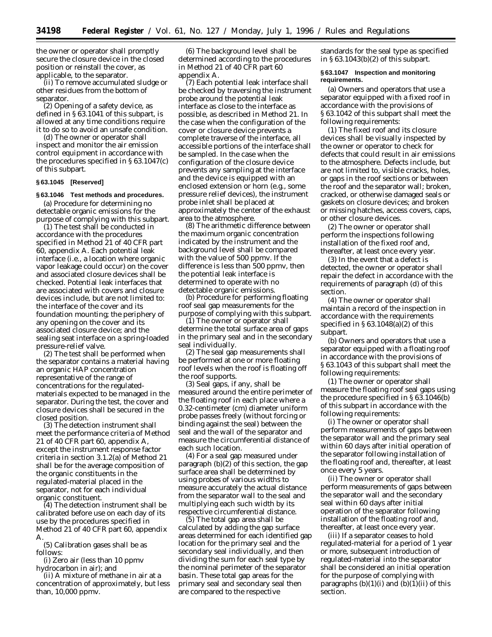the owner or operator shall promptly secure the closure device in the closed position or reinstall the cover, as applicable, to the separator.

(ii) To remove accumulated sludge or other residues from the bottom of separator.

(2) Opening of a safety device, as defined in § 63.1041 of this subpart, is allowed at any time conditions require it to do so to avoid an unsafe condition.

(d) The owner or operator shall inspect and monitor the air emission control equipment in accordance with the procedures specified in § 63.1047(c) of this subpart.

## **§ 63.1045 [Reserved]**

## **§ 63.1046 Test methods and procedures.**

(a) Procedure for determining no detectable organic emissions for the purpose of complying with this subpart.

 $(1)$  The test shall be conducted in accordance with the procedures specified in Method 21 of 40 CFR part 60, appendix A. Each potential leak interface (i.e., a location where organic vapor leakage could occur) on the cover and associated closure devices shall be checked. Potential leak interfaces that are associated with covers and closure devices include, but are not limited to: the interface of the cover and its foundation mounting; the periphery of any opening on the cover and its associated closure device; and the sealing seat interface on a spring-loaded pressure-relief valve.

(2) The test shall be performed when the separator contains a material having an organic HAP concentration representative of the range of concentrations for the regulatedmaterials expected to be managed in the separator. During the test, the cover and closure devices shall be secured in the closed position.

(3) The detection instrument shall meet the performance criteria of Method 21 of 40 CFR part 60, appendix A, except the instrument response factor criteria in section 3.1.2(a) of Method 21 shall be for the average composition of the organic constituents in the regulated-material placed in the separator, not for each individual organic constituent.

(4) The detection instrument shall be calibrated before use on each day of its use by the procedures specified in Method 21 of 40 CFR part 60, appendix A.

(5) Calibration gases shall be as follows:

(i) Zero air (less than 10 ppmv hydrocarbon in air); and

(ii) A mixture of methane in air at a concentration of approximately, but less than, 10,000 ppmv.

(6) The background level shall be determined according to the procedures in Method 21 of 40 CFR part 60 appendix A.

(7) Each potential leak interface shall be checked by traversing the instrument probe around the potential leak interface as close to the interface as possible, as described in Method 21. In the case when the configuration of the cover or closure device prevents a complete traverse of the interface, all accessible portions of the interface shall be sampled. In the case when the configuration of the closure device prevents any sampling at the interface and the device is equipped with an enclosed extension or horn (e.g., some pressure relief devices), the instrument probe inlet shall be placed at approximately the center of the exhaust area to the atmosphere.

(8) The arithmetic difference between the maximum organic concentration indicated by the instrument and the background level shall be compared with the value of 500 ppmv. If the difference is less than 500 ppmv, then the potential leak interface is determined to operate with no detectable organic emissions.

(b) Procedure for performing floating roof seal gap measurements for the purpose of complying with this subpart.

(1) The owner or operator shall determine the total surface area of gaps in the primary seal and in the secondary seal individually.

(2) The seal gap measurements shall be performed at one or more floating roof levels when the roof is floating off the roof supports.

(3) Seal gaps, if any, shall be measured around the entire perimeter of the floating roof in each place where a 0.32-centimeter (cm) diameter uniform probe passes freely (without forcing or binding against the seal) between the seal and the wall of the separator and measure the circumferential distance of each such location.

(4) For a seal gap measured under paragraph (b)(2) of this section, the gap surface area shall be determined by using probes of various widths to measure accurately the actual distance from the separator wall to the seal and multiplying each such width by its respective circumferential distance.

(5) The total gap area shall be calculated by adding the gap surface areas determined for each identified gap location for the primary seal and the secondary seal individually, and then dividing the sum for each seal type by the nominal perimeter of the separator basin. These total gap areas for the primary seal and secondary seal then are compared to the respective

standards for the seal type as specified in § 63.1043(b)(2) of this subpart.

## **§ 63.1047 Inspection and monitoring requirements.**

(a) Owners and operators that use a separator equipped with a fixed roof in accordance with the provisions of § 63.1042 of this subpart shall meet the following requirements:

(1) The fixed roof and its closure devices shall be visually inspected by the owner or operator to check for defects that could result in air emissions to the atmosphere. Defects include, but are not limited to, visible cracks, holes, or gaps in the roof sections or between the roof and the separator wall; broken, cracked, or otherwise damaged seals or gaskets on closure devices; and broken or missing hatches, access covers, caps, or other closure devices.

(2) The owner or operator shall perform the inspections following installation of the fixed roof and, thereafter, at least once every year.

(3) In the event that a defect is detected, the owner or operator shall repair the defect in accordance with the requirements of paragraph (d) of this section.

(4) The owner or operator shall maintain a record of the inspection in accordance with the requirements specified in  $\S 63.1048(a)(2)$  of this subpart.

(b) Owners and operators that use a separator equipped with a floating roof in accordance with the provisions of § 63.1043 of this subpart shall meet the following requirements:

(1) The owner or operator shall measure the floating roof seal gaps using the procedure specified in § 63.1046(b) of this subpart in accordance with the following requirements:

(i) The owner or operator shall perform measurements of gaps between the separator wall and the primary seal within 60 days after initial operation of the separator following installation of the floating roof and, thereafter, at least once every 5 years.

(ii) The owner or operator shall perform measurements of gaps between the separator wall and the secondary seal within 60 days after initial operation of the separator following installation of the floating roof and, thereafter, at least once every year.

(iii) If a separator ceases to hold regulated-material for a period of 1 year or more, subsequent introduction of regulated-material into the separator shall be considered an initial operation for the purpose of complying with paragraphs  $(b)(1)(i)$  and  $(b)(1)(ii)$  of this section.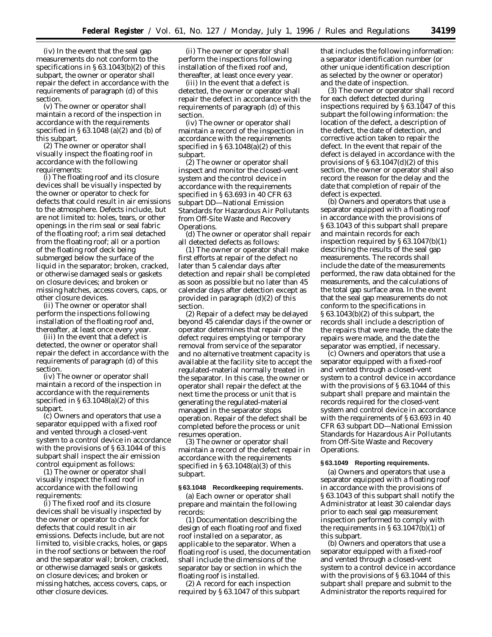(iv) In the event that the seal gap measurements do not conform to the specifications in § 63.1043(b)(2) of this subpart, the owner or operator shall repair the defect in accordance with the requirements of paragraph (d) of this section.

(v) The owner or operator shall maintain a record of the inspection in accordance with the requirements specified in § 63.1048 (a)(2) and (b) of this subpart.

(2) The owner or operator shall visually inspect the floating roof in accordance with the following requirements:

(i) The floating roof and its closure devices shall be visually inspected by the owner or operator to check for defects that could result in air emissions to the atmosphere. Defects include, but are not limited to: holes, tears, or other openings in the rim seal or seal fabric of the floating roof; a rim seal detached from the floating roof; all or a portion of the floating roof deck being submerged below the surface of the liquid in the separator; broken, cracked, or otherwise damaged seals or gaskets on closure devices; and broken or missing hatches, access covers, caps, or other closure devices.

(ii) The owner or operator shall perform the inspections following installation of the floating roof and, thereafter, at least once every year.

(iii) In the event that a defect is detected, the owner or operator shall repair the defect in accordance with the requirements of paragraph (d) of this section.

(iv) The owner or operator shall maintain a record of the inspection in accordance with the requirements specified in  $\S 63.1048(a)(2)$  of this subpart.

(c) Owners and operators that use a separator equipped with a fixed roof and vented through a closed-vent system to a control device in accordance with the provisions of § 63.1044 of this subpart shall inspect the air emission control equipment as follows:

(1) The owner or operator shall visually inspect the fixed roof in accordance with the following requirements:

(i) The fixed roof and its closure devices shall be visually inspected by the owner or operator to check for defects that could result in air emissions. Defects include, but are not limited to, visible cracks, holes, or gaps in the roof sections or between the roof and the separator wall; broken, cracked, or otherwise damaged seals or gaskets on closure devices; and broken or missing hatches, access covers, caps, or other closure devices.

(ii) The owner or operator shall perform the inspections following installation of the fixed roof and, thereafter, at least once every year.

(iii) In the event that a defect is detected, the owner or operator shall repair the defect in accordance with the requirements of paragraph (d) of this section.

(iv) The owner or operator shall maintain a record of the inspection in accordance with the requirements specified in § 63.1048(a)(2) of this subpart.

(2) The owner or operator shall inspect and monitor the closed-vent system and the control device in accordance with the requirements specified in § 63.693 in 40 CFR 63 subpart DD—National Emission Standards for Hazardous Air Pollutants from Off-Site Waste and Recovery Operations.

(d) The owner or operator shall repair all detected defects as follows:

(1) The owner or operator shall make first efforts at repair of the defect no later than 5 calendar days after detection and repair shall be completed as soon as possible but no later than 45 calendar days after detection except as provided in paragraph (d)(2) of this section.

(2) Repair of a defect may be delayed beyond 45 calendar days if the owner or operator determines that repair of the defect requires emptying or temporary removal from service of the separator and no alternative treatment capacity is available at the facility site to accept the regulated-material normally treated in the separator. In this case, the owner or operator shall repair the defect at the next time the process or unit that is generating the regulated-material managed in the separator stops operation. Repair of the defect shall be completed before the process or unit resumes operation.

(3) The owner or operator shall maintain a record of the defect repair in accordance with the requirements specified in § 63.1048(a)(3) of this subpart.

#### **§ 63.1048 Recordkeeping requirements.**

(a) Each owner or operator shall prepare and maintain the following records:

(1) Documentation describing the design of each floating roof and fixed roof installed on a separator, as applicable to the separator. When a floating roof is used, the documentation shall include the dimensions of the separator bay or section in which the floating roof is installed.

(2) A record for each inspection required by § 63.1047 of this subpart

that includes the following information: a separator identification number (or other unique identification description as selected by the owner or operator) and the date of inspection.

(3) The owner or operator shall record for each defect detected during inspections required by § 63.1047 of this subpart the following information: the location of the defect, a description of the defect, the date of detection, and corrective action taken to repair the defect. In the event that repair of the defect is delayed in accordance with the provisions of  $\S 63.1047(d)(2)$  of this section, the owner or operator shall also record the reason for the delay and the date that completion of repair of the defect is expected.

(b) Owners and operators that use a separator equipped with a floating roof in accordance with the provisions of § 63.1043 of this subpart shall prepare and maintain records for each inspection required by § 63.1047(b)(1) describing the results of the seal gap measurements. The records shall include the date of the measurements performed, the raw data obtained for the measurements, and the calculations of the total gap surface area. In the event that the seal gap measurements do not conform to the specifications in § 63.1043(b)(2) of this subpart, the records shall include a description of the repairs that were made, the date the repairs were made, and the date the separator was emptied, if necessary.

(c) Owners and operators that use a separator equipped with a fixed-roof and vented through a closed-vent system to a control device in accordance with the provisions of § 63.1044 of this subpart shall prepare and maintain the records required for the closed-vent system and control device in accordance with the requirements of § 63.693 in 40 CFR 63 subpart DD—National Emission Standards for Hazardous Air Pollutants from Off-Site Waste and Recovery Operations.

## **§ 63.1049 Reporting requirements.**

(a) Owners and operators that use a separator equipped with a floating roof in accordance with the provisions of § 63.1043 of this subpart shall notify the Administrator at least 30 calendar days prior to each seal gap measurement inspection performed to comply with the requirements in  $\S 63.1047(b)(1)$  of this subpart.

(b) Owners and operators that use a separator equipped with a fixed-roof and vented through a closed-vent system to a control device in accordance with the provisions of § 63.1044 of this subpart shall prepare and submit to the Administrator the reports required for